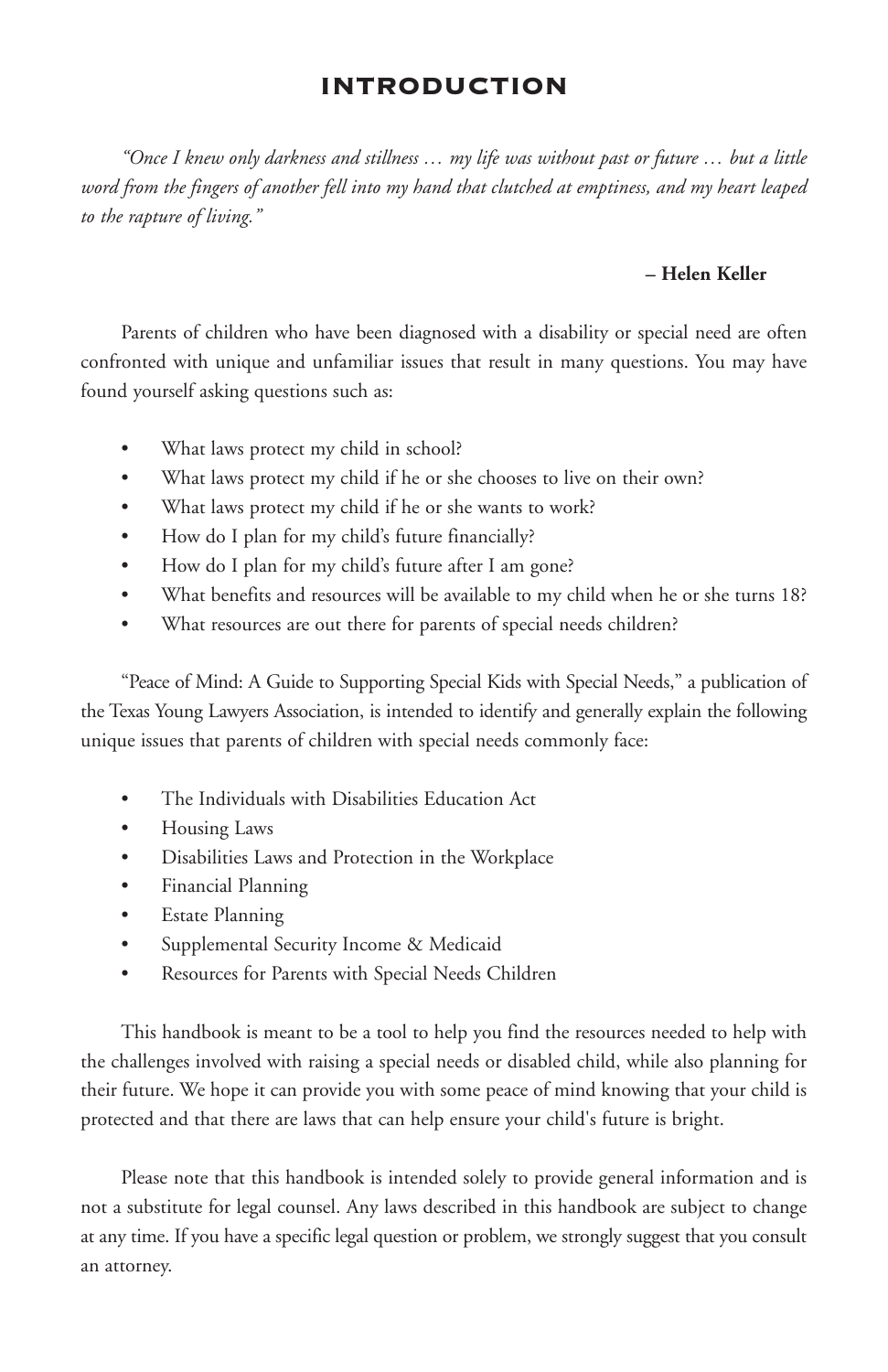# **INTRODUCTION**

"Once I knew only darkness and stillness ... my life was without past or future ... but a little *word from the fingers of another fell into my hand that clutched at emptiness, and my heart leaped to the rapture of living."*

### **– Helen Keller**

Parents of children who have been diagnosed with a disability or special need are often confronted with unique and unfamiliar issues that result in many questions. You may have found yourself asking questions such as:

- What laws protect my child in school?
- What laws protect my child if he or she chooses to live on their own?
- What laws protect my child if he or she wants to work?
- How do I plan for my child's future financially?
- How do I plan for my child's future after I am gone?
- What benefits and resources will be available to my child when he or she turns 18?
- What resources are out there for parents of special needs children?

"Peace of Mind: A Guide to Supporting Special Kids with Special Needs," a publication of the Texas Young Lawyers Association, is intended to identify and generally explain the following unique issues that parents of children with special needs commonly face:

- The Individuals with Disabilities Education Act
- Housing Laws
- Disabilities Laws and Protection in the Workplace
- Financial Planning
- **Estate Planning**
- Supplemental Security Income & Medicaid
- Resources for Parents with Special Needs Children

This handbook is meant to be a tool to help you find the resources needed to help with the challenges involved with raising a special needs or disabled child, while also planning for their future. We hope it can provide you with some peace of mind knowing that your child is protected and that there are laws that can help ensure your child's future is bright.

Please note that this handbook is intended solely to provide general information and is not a substitute for legal counsel. Any laws described in this handbook are subject to change at any time. If you have a specific legal question or problem, we strongly suggest that you consult an attorney.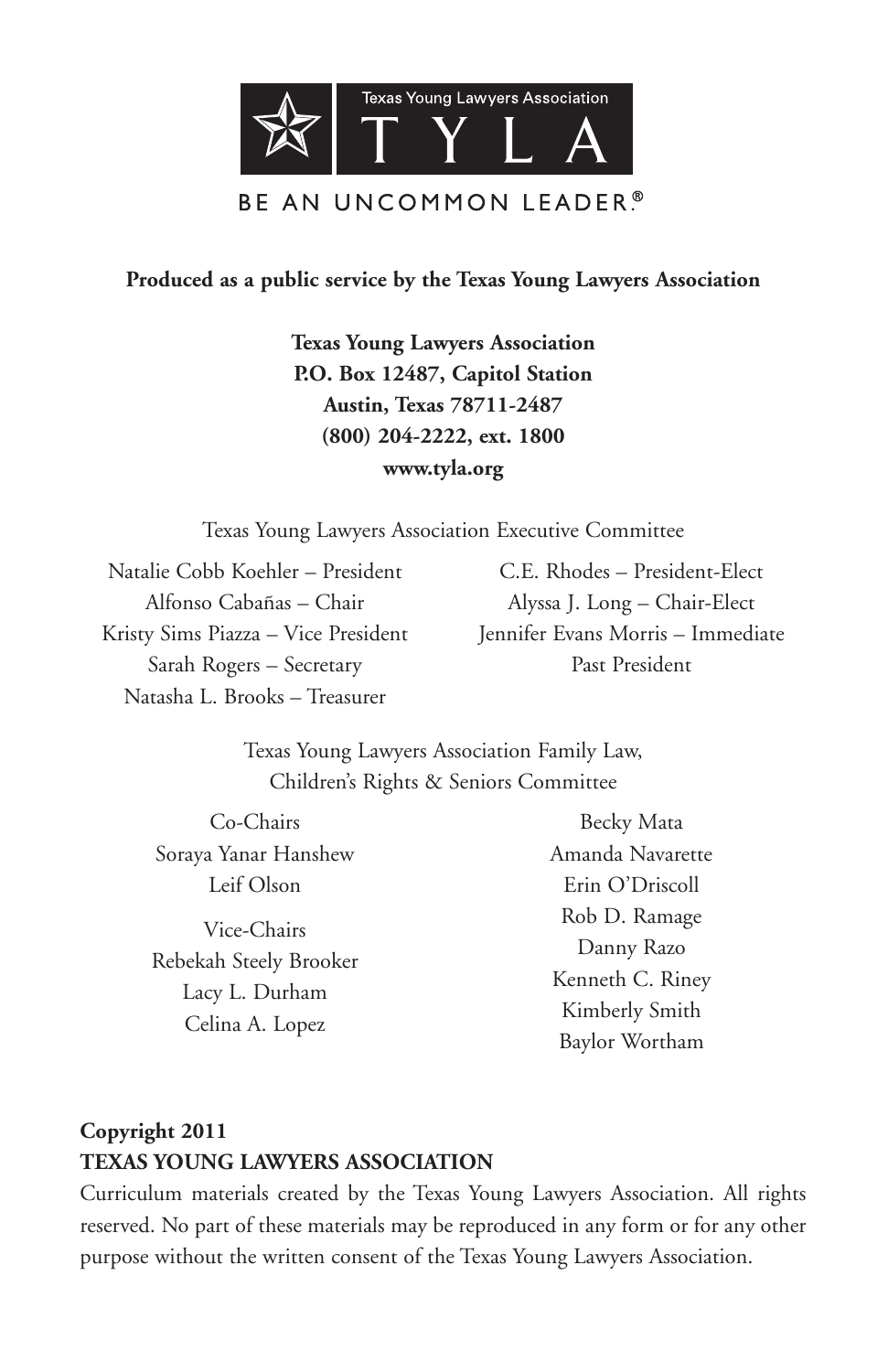

## **Produced as a public service by the Texas Young Lawyers Association**

**Texas Young Lawyers Association P.O. Box 12487, Capitol Station Austin, Texas 78711-2487 (800) 204-2222, ext. 1800 www.tyla.org**

Texas Young Lawyers Association Executive Committee

Natalie Cobb Koehler – President Alfonso Cabañas – Chair Kristy Sims Piazza – Vice President Sarah Rogers – Secretary Natasha L. Brooks – Treasurer

C.E. Rhodes – President-Elect Alyssa J. Long – Chair-Elect Jennifer Evans Morris – Immediate Past President

Texas Young Lawyers Association Family Law, Children's Rights & Seniors Committee

Co-Chairs Soraya Yanar Hanshew Leif Olson

Vice-Chairs Rebekah Steely Brooker Lacy L. Durham Celina A. Lopez

Becky Mata Amanda Navarette Erin O'Driscoll Rob D. Ramage Danny Razo Kenneth C. Riney Kimberly Smith Baylor Wortham

# **Copyright 2011 TEXAS YOUNG LAWYERS ASSOCIATION**

Curriculum materials created by the Texas Young Lawyers Association. All rights reserved. No part of these materials may be reproduced in any form or for any other purpose without the written consent of the Texas Young Lawyers Association.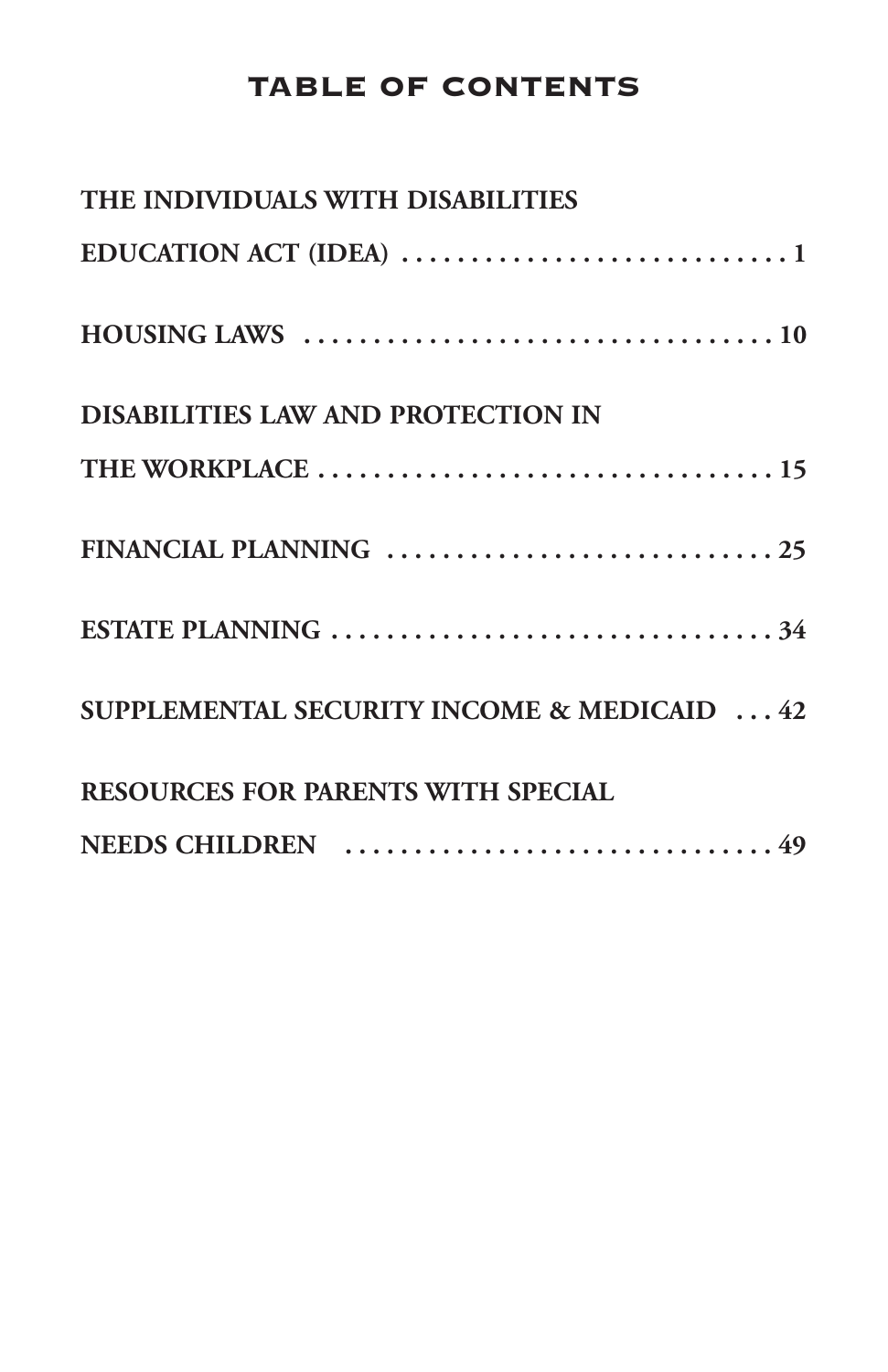# **TABLE OF CONTENTS**

| THE INDIVIDUALS WITH DISABILITIES           |
|---------------------------------------------|
|                                             |
|                                             |
| DISABILITIES LAW AND PROTECTION IN          |
|                                             |
|                                             |
|                                             |
| SUPPLEMENTAL SECURITY INCOME & MEDICAID  42 |
| RESOURCES FOR PARENTS WITH SPECIAL          |
|                                             |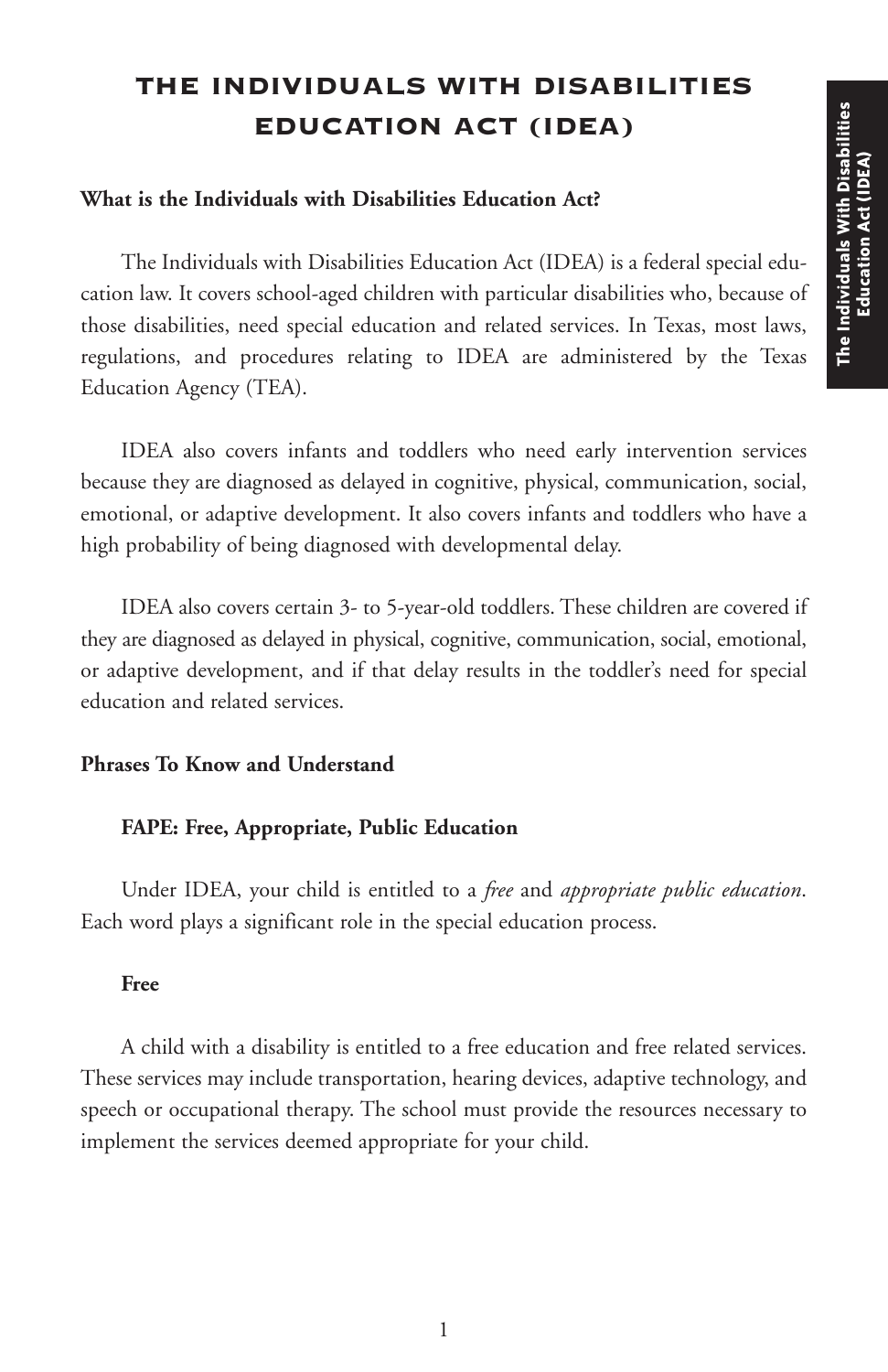# **THE INDIVIDUALS WITH DISABILITIES EDUCATION ACT (IDEA)**

### **What is the Individuals with Disabilities Education Act?**

The Individuals with Disabilities Education Act (IDEA) is a federal special education law. It covers school-aged children with particular disabilities who, because of those disabilities, need special education and related services. In Texas, most laws, regulations, and procedures relating to IDEA are administered by the Texas Education Agency (TEA).

IDEA also covers infants and toddlers who need early intervention services because they are diagnosed as delayed in cognitive, physical, communication, social, emotional, or adaptive development. It also covers infants and toddlers who have a high probability of being diagnosed with developmental delay.

IDEA also covers certain 3- to 5-year-old toddlers. These children are covered if they are diagnosed as delayed in physical, cognitive, communication, social, emotional, or adaptive development, and if that delay results in the toddler's need for special education and related services.

### **Phrases To Know and Understand**

### **FAPE: Free, Appropriate, Public Education**

Under IDEA, your child is entitled to a *free* and *appropriate public education*. Each word plays a significant role in the special education process.

#### **Free**

A child with a disability is entitled to a free education and free related services. These services may include transportation, hearing devices, adaptive technology, and speech or occupational therapy. The school must provide the resources necessary to implement the services deemed appropriate for your child.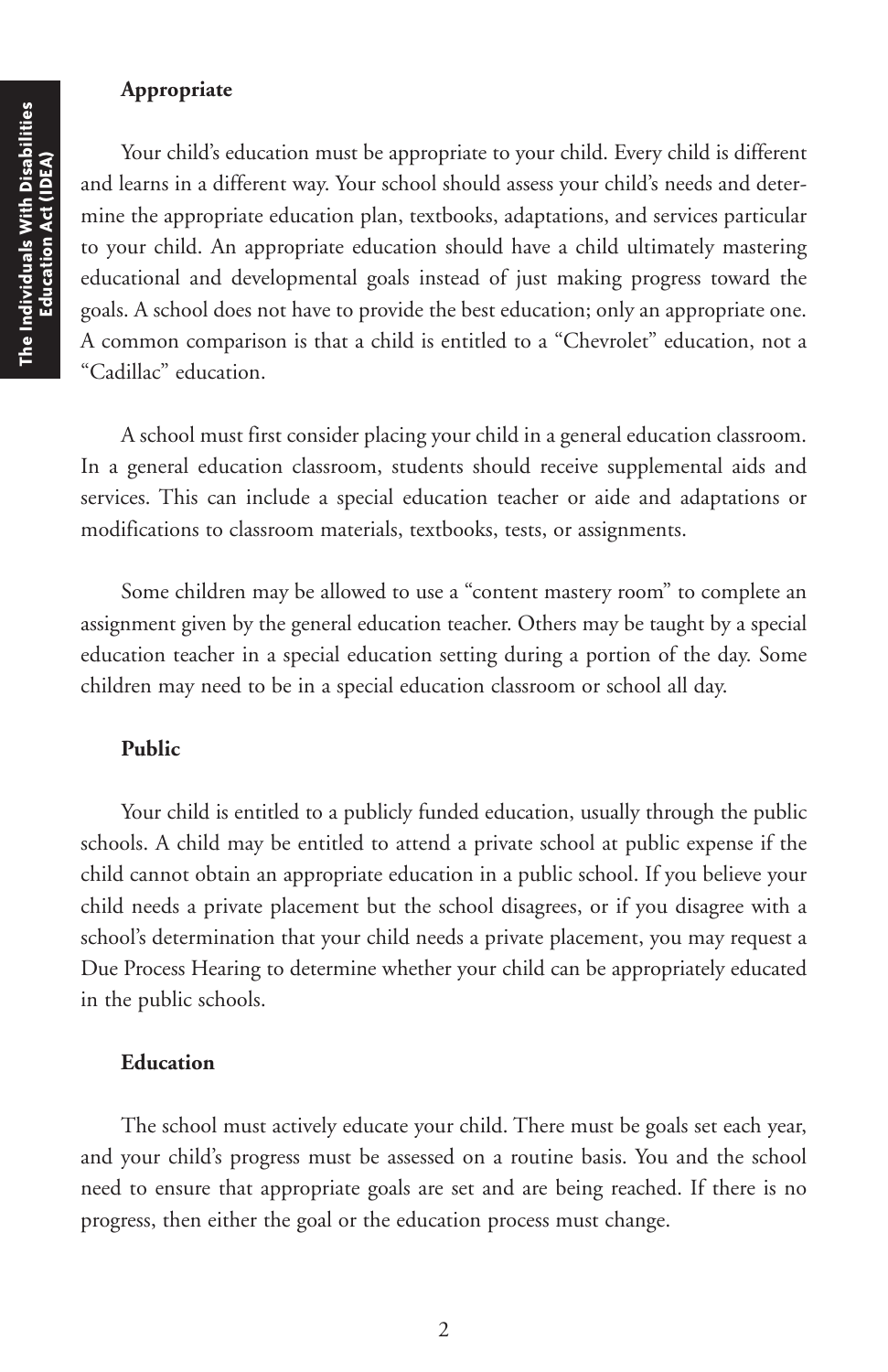### **Appropriate**

Your child's education must be appropriate to your child. Every child is different and learns in a different way. Your school should assess your child's needs and determine the appropriate education plan, textbooks, adaptations, and services particular to your child. An appropriate education should have a child ultimately mastering educational and developmental goals instead of just making progress toward the goals. A school does not have to provide the best education; only an appropriate one. A common comparison is that a child is entitled to a "Chevrolet" education, not a "Cadillac" education.

A school must first consider placing your child in a general education classroom. In a general education classroom, students should receive supplemental aids and services. This can include a special education teacher or aide and adaptations or modifications to classroom materials, textbooks, tests, or assignments.

Some children may be allowed to use a "content mastery room" to complete an assignment given by the general education teacher. Others may be taught by a special education teacher in a special education setting during a portion of the day. Some children may need to be in a special education classroom or school all day.

### **Public**

Your child is entitled to a publicly funded education, usually through the public schools. A child may be entitled to attend a private school at public expense if the child cannot obtain an appropriate education in a public school. If you believe your child needs a private placement but the school disagrees, or if you disagree with a school's determination that your child needs a private placement, you may request a Due Process Hearing to determine whether your child can be appropriately educated in the public schools.

#### **Education**

The school must actively educate your child. There must be goals set each year, and your child's progress must be assessed on a routine basis. You and the school need to ensure that appropriate goals are set and are being reached. If there is no progress, then either the goal or the education process must change.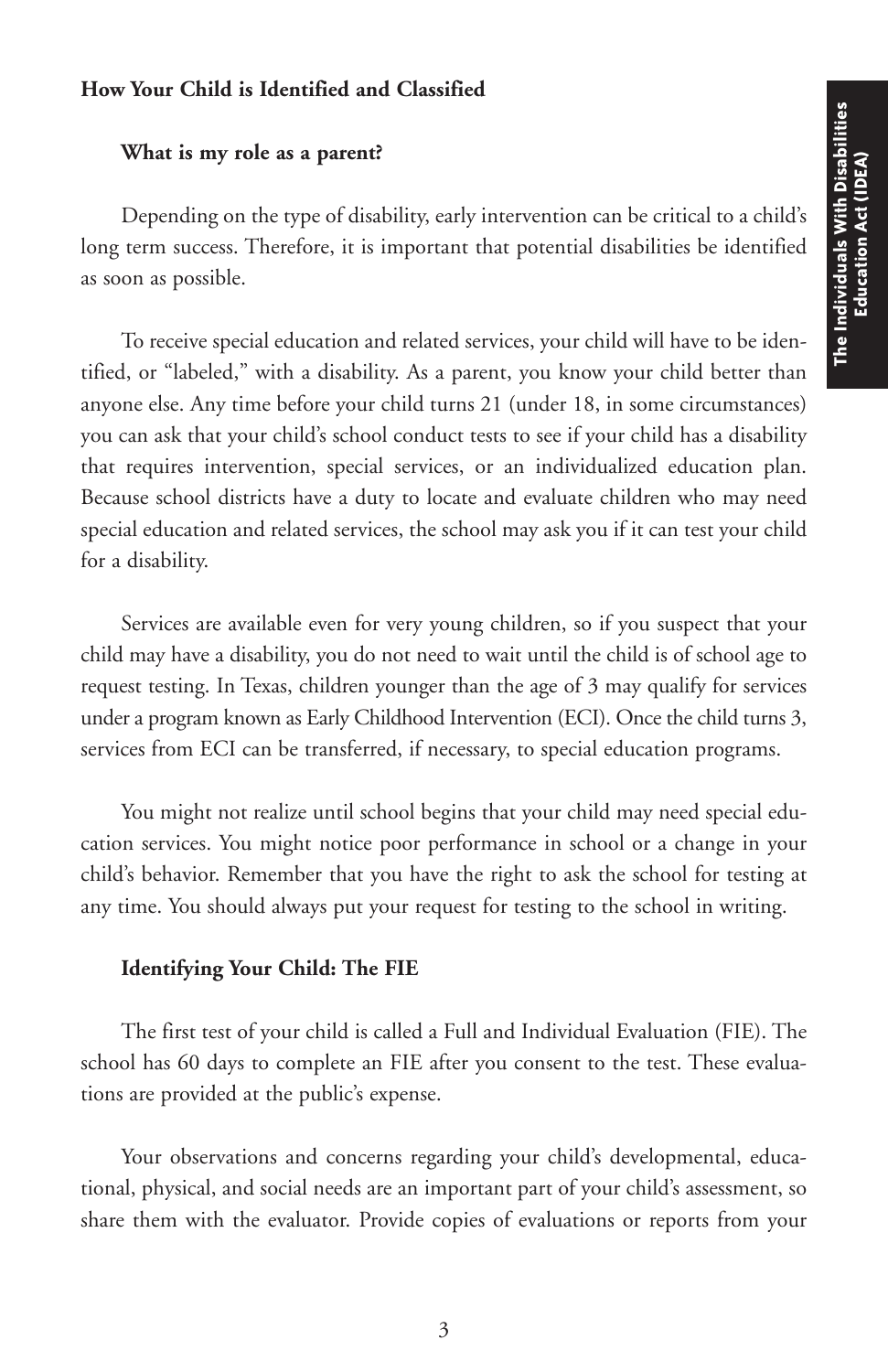### **How Your Child is Identified and Classified**

#### **What is my role as a parent?**

Depending on the type of disability, early intervention can be critical to a child's long term success. Therefore, it is important that potential disabilities be identified as soon as possible.

To receive special education and related services, your child will have to be identified, or "labeled," with a disability. As a parent, you know your child better than anyone else. Any time before your child turns 21 (under 18, in some circumstances) you can ask that your child's school conduct tests to see if your child has a disability that requires intervention, special services, or an individualized education plan. Because school districts have a duty to locate and evaluate children who may need special education and related services, the school may ask you if it can test your child for a disability.

Services are available even for very young children, so if you suspect that your child may have a disability, you do not need to wait until the child is of school age to request testing. In Texas, children younger than the age of 3 may qualify for services under a program known as Early Childhood Intervention (ECI). Once the child turns 3, services from ECI can be transferred, if necessary, to special education programs.

You might not realize until school begins that your child may need special education services. You might notice poor performance in school or a change in your child's behavior. Remember that you have the right to ask the school for testing at any time. You should always put your request for testing to the school in writing.

### **Identifying Your Child: The FIE**

The first test of your child is called a Full and Individual Evaluation (FIE). The school has 60 days to complete an FIE after you consent to the test. These evaluations are provided at the public's expense.

Your observations and concerns regarding your child's developmental, educational, physical, and social needs are an important part of your child's assessment, so share them with the evaluator. Provide copies of evaluations or reports from your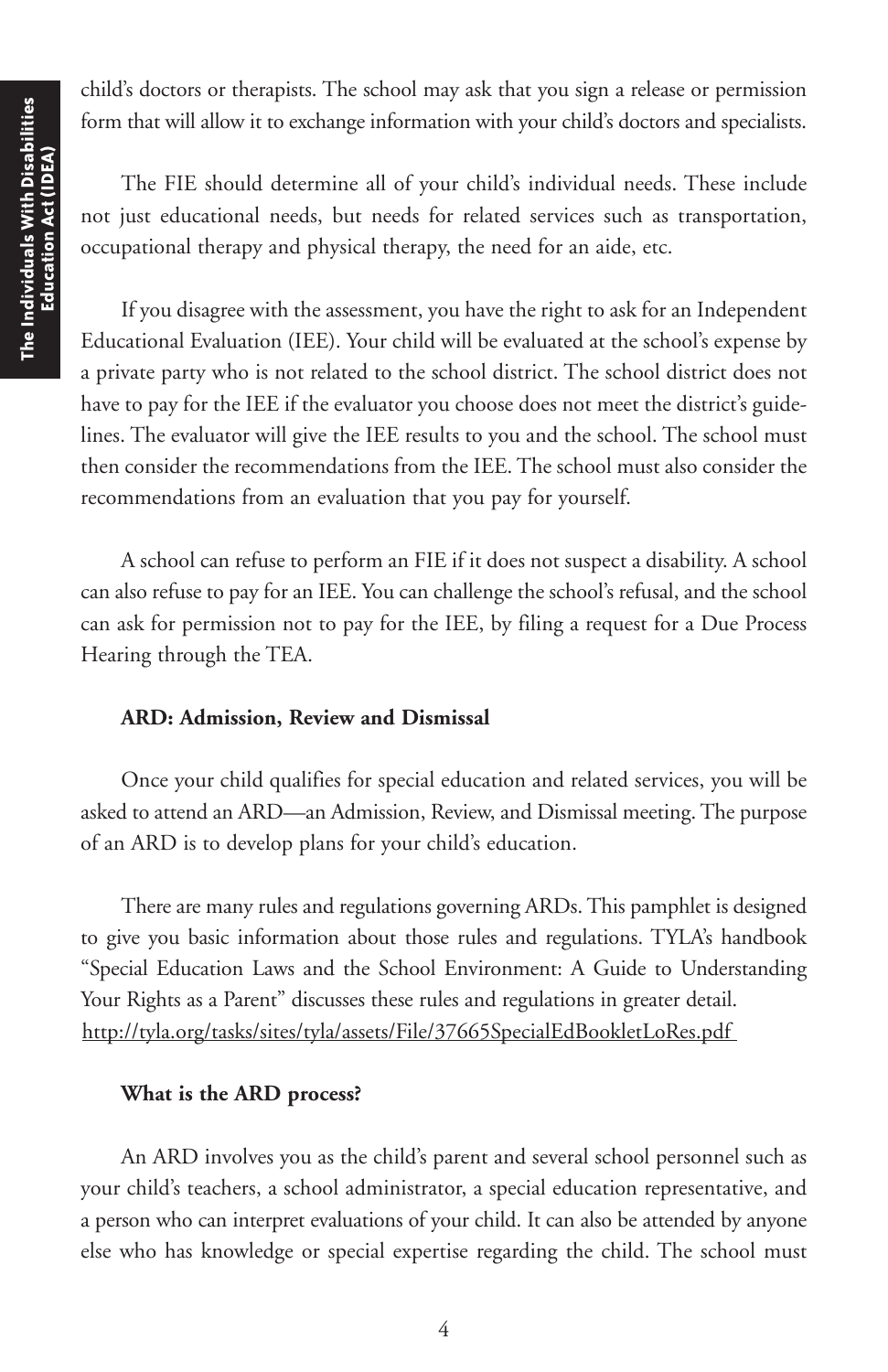child's doctors or therapists. The school may ask that you sign a release or permission form that will allow it to exchange information with your child's doctors and specialists.

The FIE should determine all of your child's individual needs. These include not just educational needs, but needs for related services such as transportation, occupational therapy and physical therapy, the need for an aide, etc.

If you disagree with the assessment, you have the right to ask for an Independent Educational Evaluation (IEE). Your child will be evaluated at the school's expense by a private party who is not related to the school district. The school district does not have to pay for the IEE if the evaluator you choose does not meet the district's guidelines. The evaluator will give the IEE results to you and the school. The school must then consider the recommendations from the IEE. The school must also consider the recommendations from an evaluation that you pay for yourself.

A school can refuse to perform an FIE if it does not suspect a disability. A school can also refuse to pay for an IEE. You can challenge the school's refusal, and the school can ask for permission not to pay for the IEE, by filing a request for a Due Process Hearing through the TEA.

### **ARD: Admission, Review and Dismissal**

Once your child qualifies for special education and related services, you will be asked to attend an ARD—an Admission, Review, and Dismissal meeting. The purpose of an ARD is to develop plans for your child's education.

There are many rules and regulations governing ARDs. This pamphlet is designed to give you basic information about those rules and regulations. TYLA's handbook "Special Education Laws and the School Environment: A Guide to Understanding Your Rights as a Parent" discusses these rules and regulations in greater detail. http://tyla.org/tasks/sites/tyla/assets/File/37665SpecialEdBookletLoRes.pdf

#### **What is the ARD process?**

An ARD involves you as the child's parent and several school personnel such as your child's teachers, a school administrator, a special education representative, and a person who can interpret evaluations of your child. It can also be attended by anyone else who has knowledge or special expertise regarding the child. The school must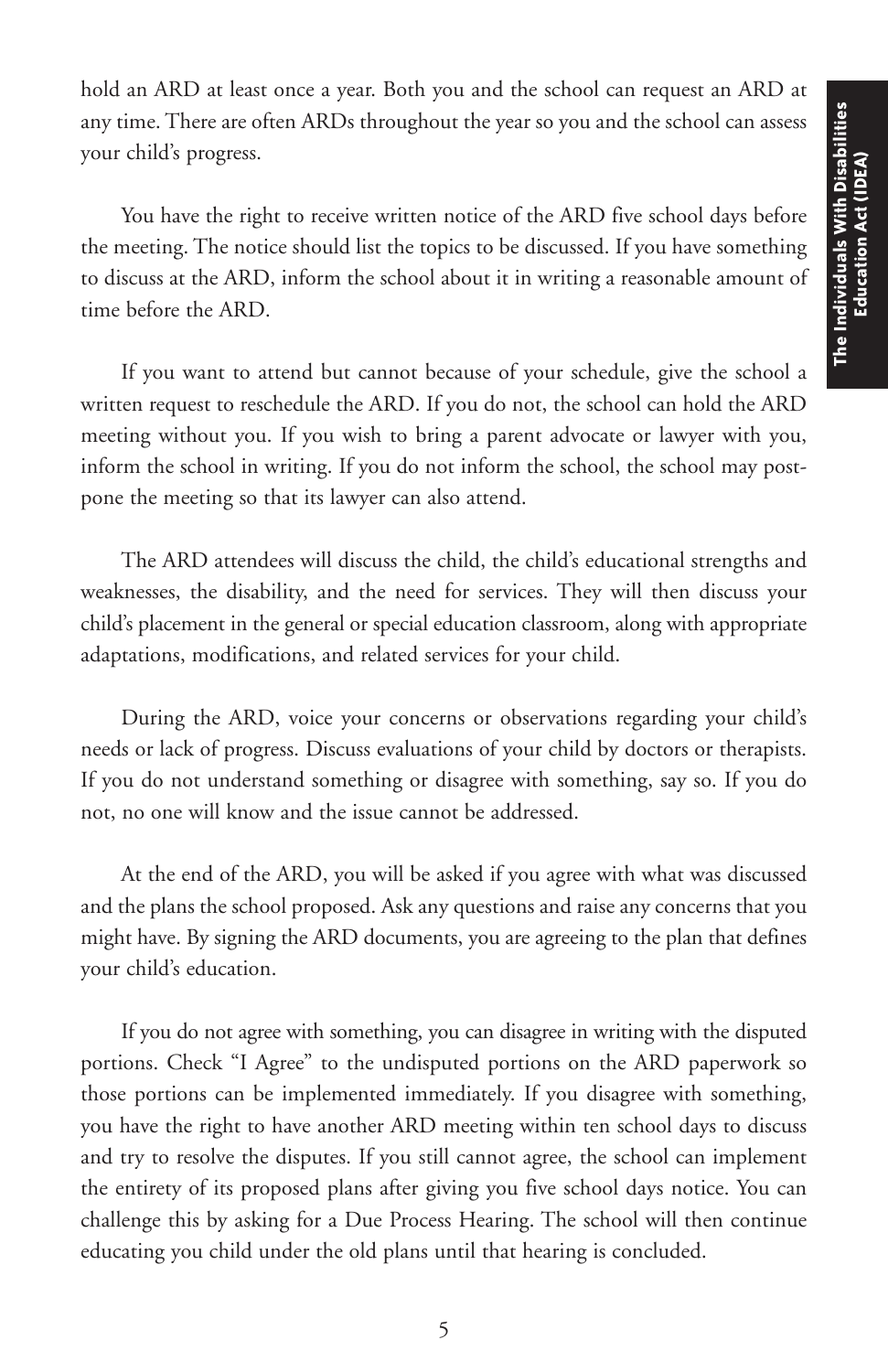hold an ARD at least once a year. Both you and the school can request an ARD at any time. There are often ARDs throughout the year so you and the school can assess your child's progress.

You have the right to receive written notice of the ARD five school days before the meeting. The notice should list the topics to be discussed. If you have something to discuss at the ARD, inform the school about it in writing a reasonable amount of time before the ARD.

If you want to attend but cannot because of your schedule, give the school a written request to reschedule the ARD. If you do not, the school can hold the ARD meeting without you. If you wish to bring a parent advocate or lawyer with you, inform the school in writing. If you do not inform the school, the school may postpone the meeting so that its lawyer can also attend.

The ARD attendees will discuss the child, the child's educational strengths and weaknesses, the disability, and the need for services. They will then discuss your child's placement in the general or special education classroom, along with appropriate adaptations, modifications, and related services for your child.

During the ARD, voice your concerns or observations regarding your child's needs or lack of progress. Discuss evaluations of your child by doctors or therapists. If you do not understand something or disagree with something, say so. If you do not, no one will know and the issue cannot be addressed.

At the end of the ARD, you will be asked if you agree with what was discussed and the plans the school proposed. Ask any questions and raise any concerns that you might have. By signing the ARD documents, you are agreeing to the plan that defines your child's education.

If you do not agree with something, you can disagree in writing with the disputed portions. Check "I Agree" to the undisputed portions on the ARD paperwork so those portions can be implemented immediately. If you disagree with something, you have the right to have another ARD meeting within ten school days to discuss and try to resolve the disputes. If you still cannot agree, the school can implement the entirety of its proposed plans after giving you five school days notice. You can challenge this by asking for a Due Process Hearing. The school will then continue educating you child under the old plans until that hearing is concluded.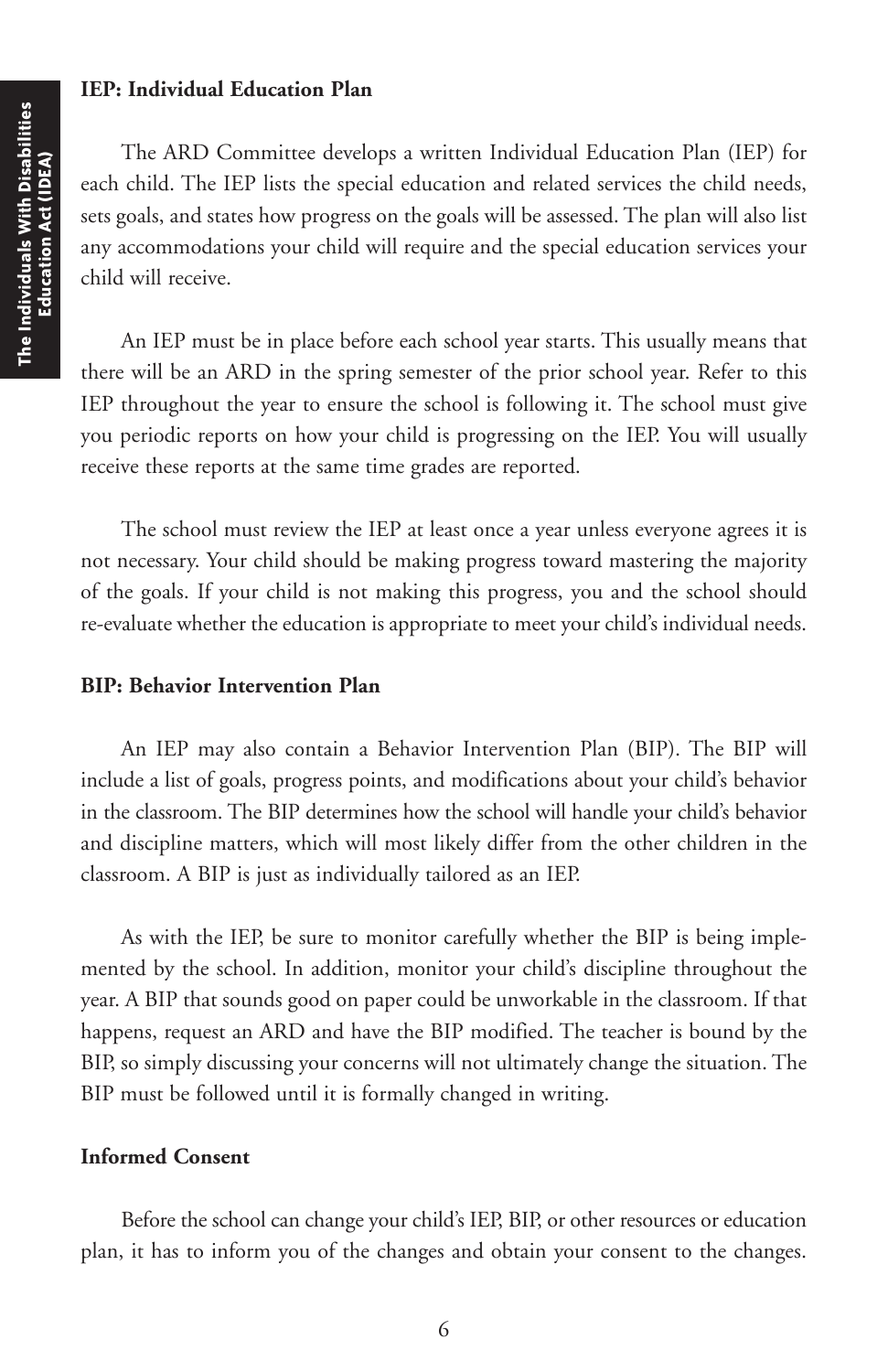#### **IEP: Individual Education Plan**

The ARD Committee develops a written Individual Education Plan (IEP) for each child. The IEP lists the special education and related services the child needs, sets goals, and states how progress on the goals will be assessed. The plan will also list any accommodations your child will require and the special education services your child will receive.

An IEP must be in place before each school year starts. This usually means that there will be an ARD in the spring semester of the prior school year. Refer to this IEP throughout the year to ensure the school is following it. The school must give you periodic reports on how your child is progressing on the IEP. You will usually receive these reports at the same time grades are reported.

The school must review the IEP at least once a year unless everyone agrees it is not necessary. Your child should be making progress toward mastering the majority of the goals. If your child is not making this progress, you and the school should re-evaluate whether the education is appropriate to meet your child's individual needs.

#### **BIP: Behavior Intervention Plan**

An IEP may also contain a Behavior Intervention Plan (BIP). The BIP will include a list of goals, progress points, and modifications about your child's behavior in the classroom. The BIP determines how the school will handle your child's behavior and discipline matters, which will most likely differ from the other children in the classroom. A BIP is just as individually tailored as an IEP.

As with the IEP, be sure to monitor carefully whether the BIP is being implemented by the school. In addition, monitor your child's discipline throughout the year. A BIP that sounds good on paper could be unworkable in the classroom. If that happens, request an ARD and have the BIP modified. The teacher is bound by the BIP, so simply discussing your concerns will not ultimately change the situation. The BIP must be followed until it is formally changed in writing.

#### **Informed Consent**

Before the school can change your child's IEP, BIP, or other resources or education plan, it has to inform you of the changes and obtain your consent to the changes.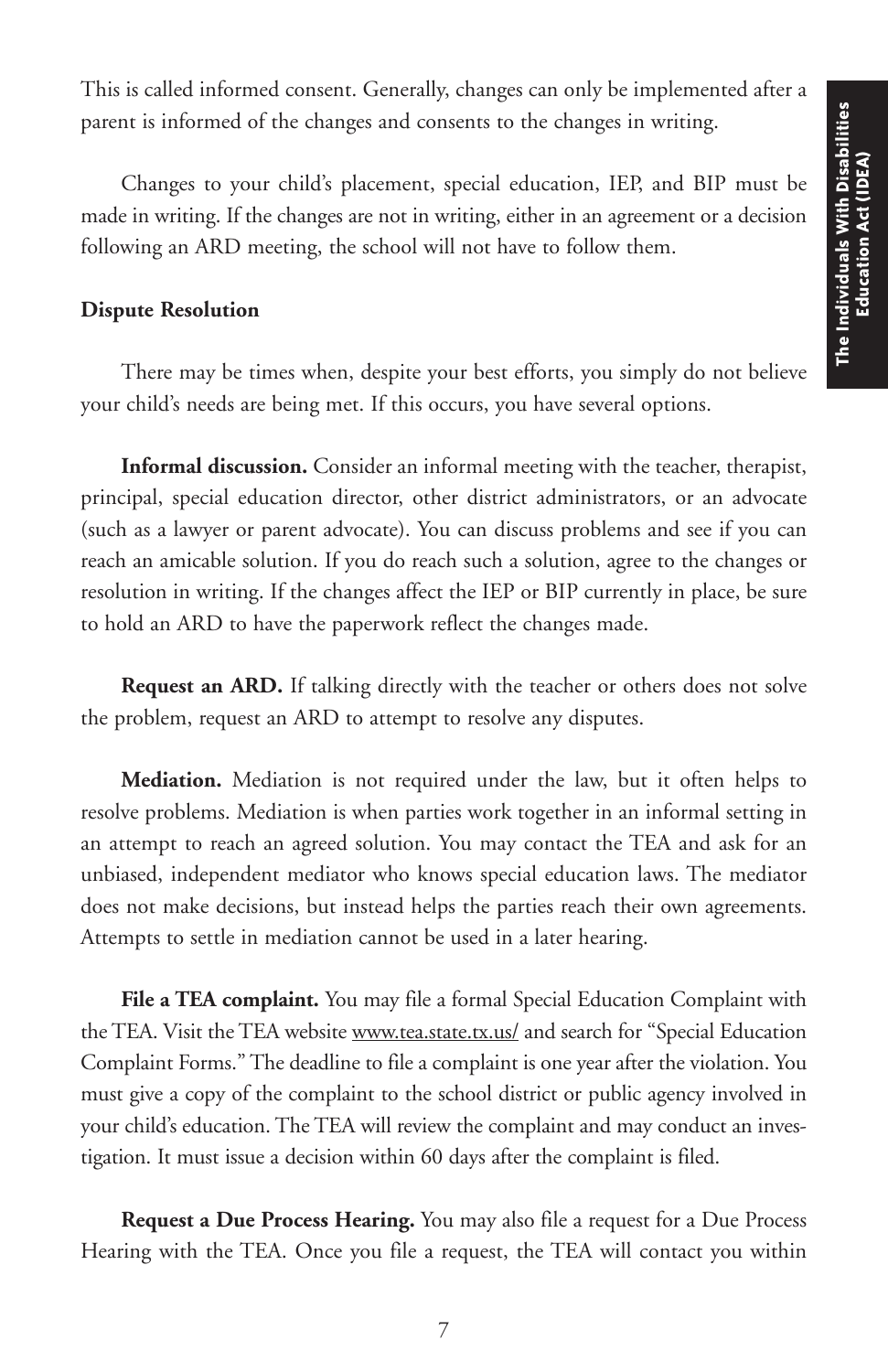This is called informed consent. Generally, changes can only be implemented after a parent is informed of the changes and consents to the changes in writing.

Changes to your child's placement, special education, IEP, and BIP must be made in writing. If the changes are not in writing, either in an agreement or a decision following an ARD meeting, the school will not have to follow them.

#### **Dispute Resolution**

There may be times when, despite your best efforts, you simply do not believe your child's needs are being met. If this occurs, you have several options.

**Informal discussion.** Consider an informal meeting with the teacher, therapist, principal, special education director, other district administrators, or an advocate (such as a lawyer or parent advocate). You can discuss problems and see if you can reach an amicable solution. If you do reach such a solution, agree to the changes or resolution in writing. If the changes affect the IEP or BIP currently in place, be sure to hold an ARD to have the paperwork reflect the changes made.

**Request an ARD.** If talking directly with the teacher or others does not solve the problem, request an ARD to attempt to resolve any disputes.

**Mediation.** Mediation is not required under the law, but it often helps to resolve problems. Mediation is when parties work together in an informal setting in an attempt to reach an agreed solution. You may contact the TEA and ask for an unbiased, independent mediator who knows special education laws. The mediator does not make decisions, but instead helps the parties reach their own agreements. Attempts to settle in mediation cannot be used in a later hearing.

**File a TEA complaint.** You may file a formal Special Education Complaint with the TEA. Visit the TEA website www.tea.state.tx.us/ and search for "Special Education Complaint Forms." The deadline to file a complaint is one year after the violation. You must give a copy of the complaint to the school district or public agency involved in your child's education. The TEA will review the complaint and may conduct an investigation. It must issue a decision within 60 days after the complaint is filed.

**Request a Due Process Hearing.** You may also file a request for a Due Process Hearing with the TEA. Once you file a request, the TEA will contact you within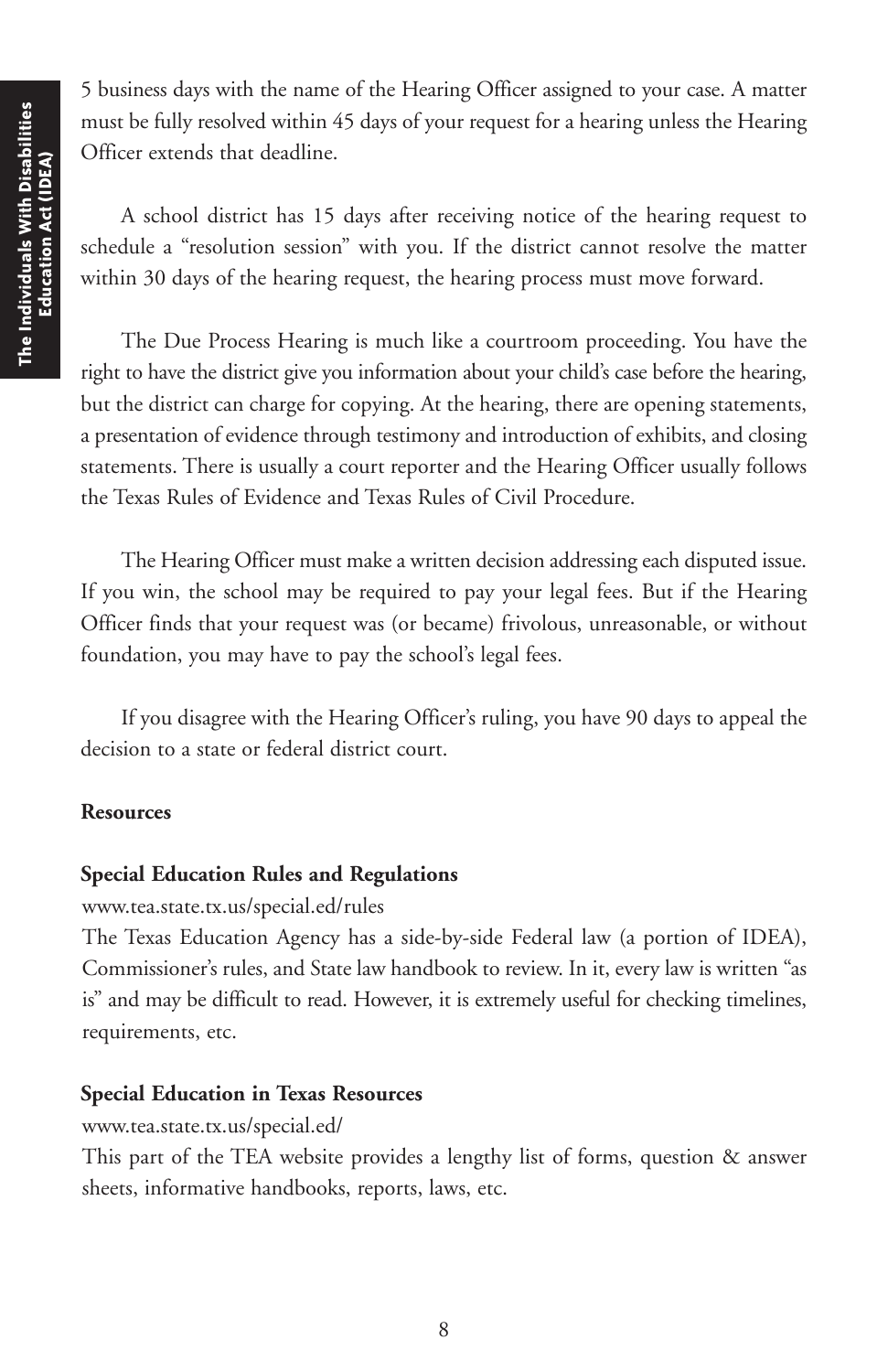5 business days with the name of the Hearing Officer assigned to your case. A matter must be fully resolved within 45 days of your request for a hearing unless the Hearing Officer extends that deadline.

A school district has 15 days after receiving notice of the hearing request to schedule a "resolution session" with you. If the district cannot resolve the matter within 30 days of the hearing request, the hearing process must move forward.

The Due Process Hearing is much like a courtroom proceeding. You have the right to have the district give you information about your child's case before the hearing, but the district can charge for copying. At the hearing, there are opening statements, a presentation of evidence through testimony and introduction of exhibits, and closing statements. There is usually a court reporter and the Hearing Officer usually follows the Texas Rules of Evidence and Texas Rules of Civil Procedure.

The Hearing Officer must make a written decision addressing each disputed issue. If you win, the school may be required to pay your legal fees. But if the Hearing Officer finds that your request was (or became) frivolous, unreasonable, or without foundation, you may have to pay the school's legal fees.

If you disagree with the Hearing Officer's ruling, you have 90 days to appeal the decision to a state or federal district court.

### **Resources**

#### **Special Education Rules and Regulations**

www.tea.state.tx.us/special.ed/rules

The Texas Education Agency has a side-by-side Federal law (a portion of IDEA), Commissioner's rules, and State law handbook to review. In it, every law is written "as is" and may be difficult to read. However, it is extremely useful for checking timelines, requirements, etc.

#### **Special Education in Texas Resources**

www.tea.state.tx.us/special.ed/

This part of the TEA website provides a lengthy list of forms, question & answer sheets, informative handbooks, reports, laws, etc.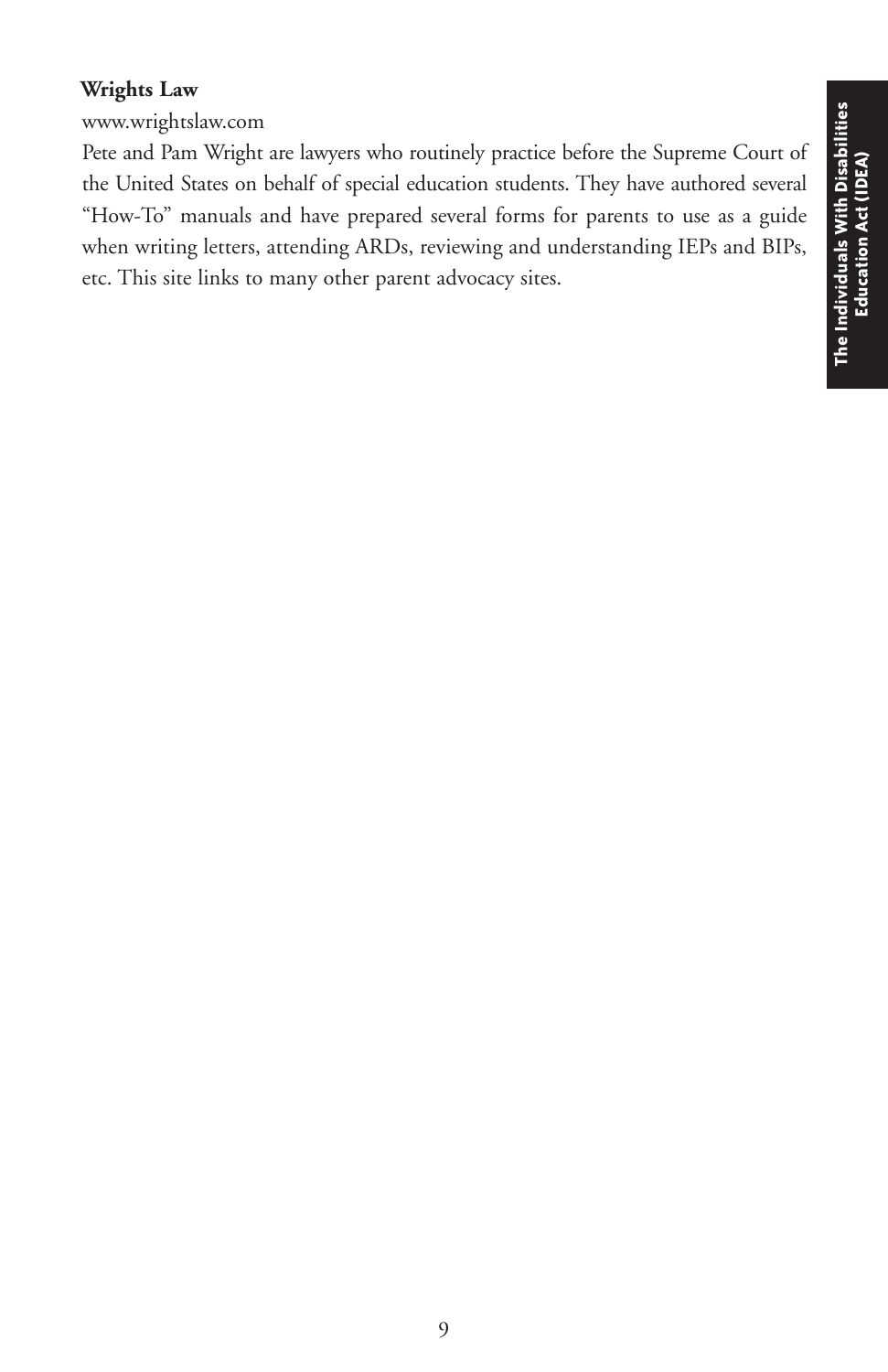# **Wrights Law**

www.wrightslaw.com

Pete and Pam Wright are lawyers who routinely practice before the Supreme Court of the United States on behalf of special education students. They have authored several "How-To" manuals and have prepared several forms for parents to use as a guide when writing letters, attending ARDs, reviewing and understanding IEPs and BIPs, etc. This site links to many other parent advocacy sites.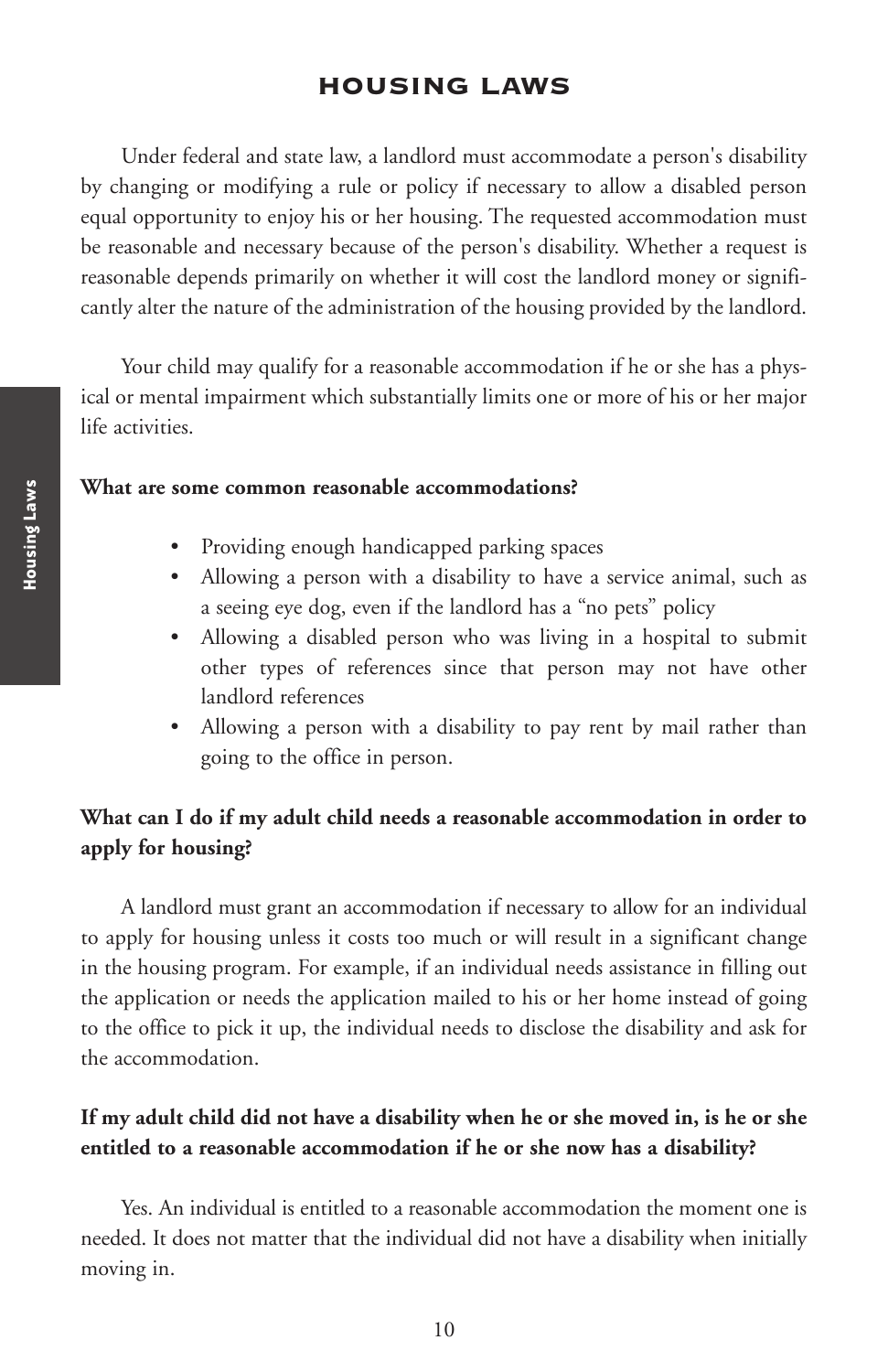# **HOUSING LAWS**

Under federal and state law, a landlord must accommodate a person's disability by changing or modifying a rule or policy if necessary to allow a disabled person equal opportunity to enjoy his or her housing. The requested accommodation must be reasonable and necessary because of the person's disability. Whether a request is reasonable depends primarily on whether it will cost the landlord money or significantly alter the nature of the administration of the housing provided by the landlord.

Your child may qualify for a reasonable accommodation if he or she has a physical or mental impairment which substantially limits one or more of his or her major life activities.

#### **What are some common reasonable accommodations?**

- Providing enough handicapped parking spaces
- Allowing a person with a disability to have a service animal, such as a seeing eye dog, even if the landlord has a "no pets" policy
- Allowing a disabled person who was living in a hospital to submit other types of references since that person may not have other landlord references
- Allowing a person with a disability to pay rent by mail rather than going to the office in person.

# **What can I do if my adult child needs a reasonable accommodation in order to apply for housing?**

A landlord must grant an accommodation if necessary to allow for an individual to apply for housing unless it costs too much or will result in a significant change in the housing program. For example, if an individual needs assistance in filling out the application or needs the application mailed to his or her home instead of going to the office to pick it up, the individual needs to disclose the disability and ask for the accommodation.

### **If my adult child did not have a disability when he or she moved in, is he or she entitled to a reasonable accommodation if he or she now has a disability?**

Yes. An individual is entitled to a reasonable accommodation the moment one is needed. It does not matter that the individual did not have a disability when initially moving in.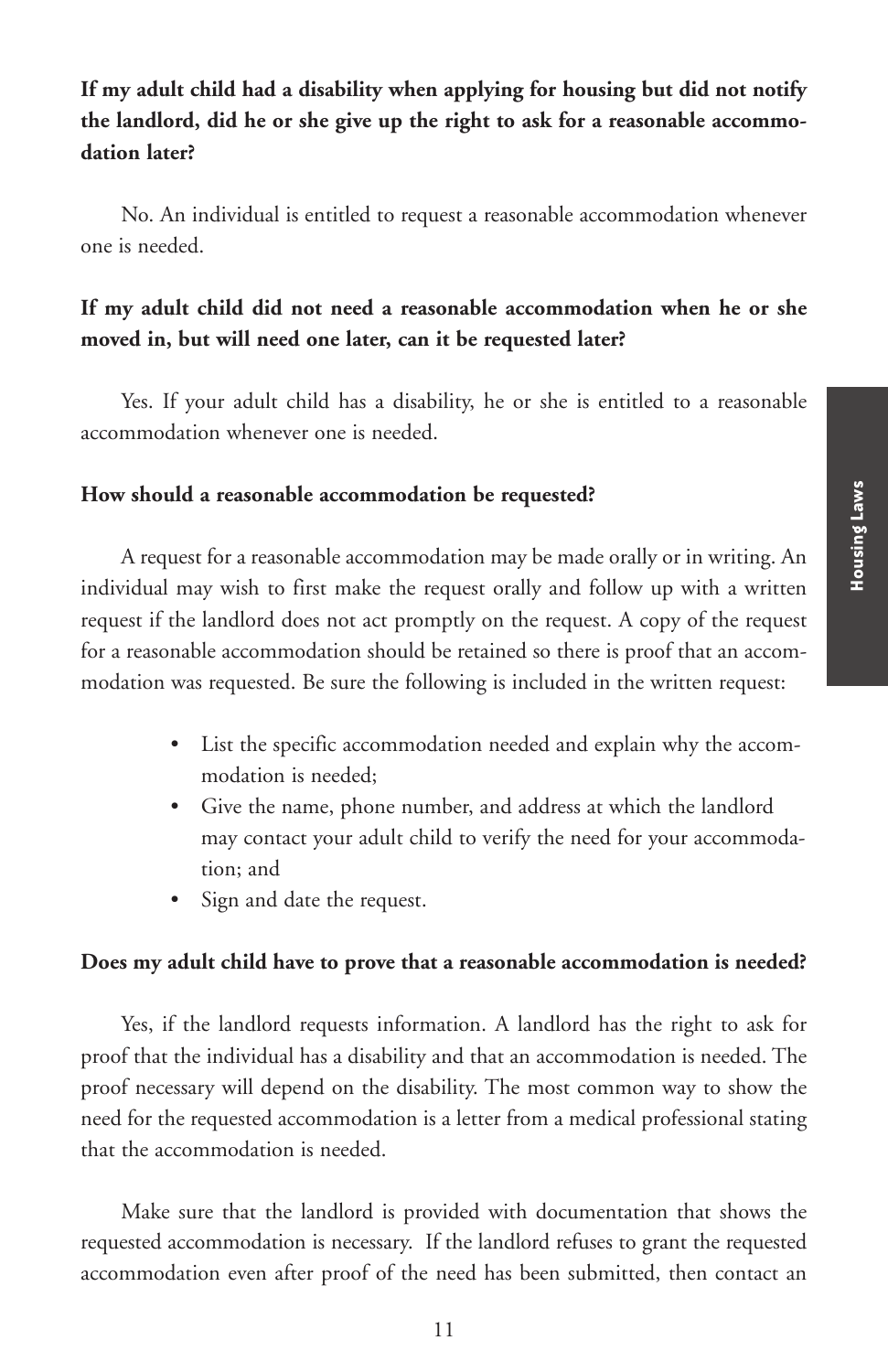# **If my adult child had a disability when applying for housing but did not notify the landlord, did he or she give up the right to ask for a reasonable accommodation later?**

No. An individual is entitled to request a reasonable accommodation whenever one is needed.

# **If my adult child did not need a reasonable accommodation when he or she moved in, but will need one later, can it be requested later?**

Yes. If your adult child has a disability, he or she is entitled to a reasonable accommodation whenever one is needed.

### **How should a reasonable accommodation be requested?**

A request for a reasonable accommodation may be made orally or in writing. An individual may wish to first make the request orally and follow up with a written request if the landlord does not act promptly on the request. A copy of the request for a reasonable accommodation should be retained so there is proof that an accommodation was requested. Be sure the following is included in the written request:

- List the specific accommodation needed and explain why the accommodation is needed;
- Give the name, phone number, and address at which the landlord may contact your adult child to verify the need for your accommodation; and
- Sign and date the request.

### **Does my adult child have to prove that a reasonable accommodation is needed?**

Yes, if the landlord requests information. A landlord has the right to ask for proof that the individual has a disability and that an accommodation is needed. The proof necessary will depend on the disability. The most common way to show the need for the requested accommodation is a letter from a medical professional stating that the accommodation is needed.

Make sure that the landlord is provided with documentation that shows the requested accommodation is necessary. If the landlord refuses to grant the requested accommodation even after proof of the need has been submitted, then contact an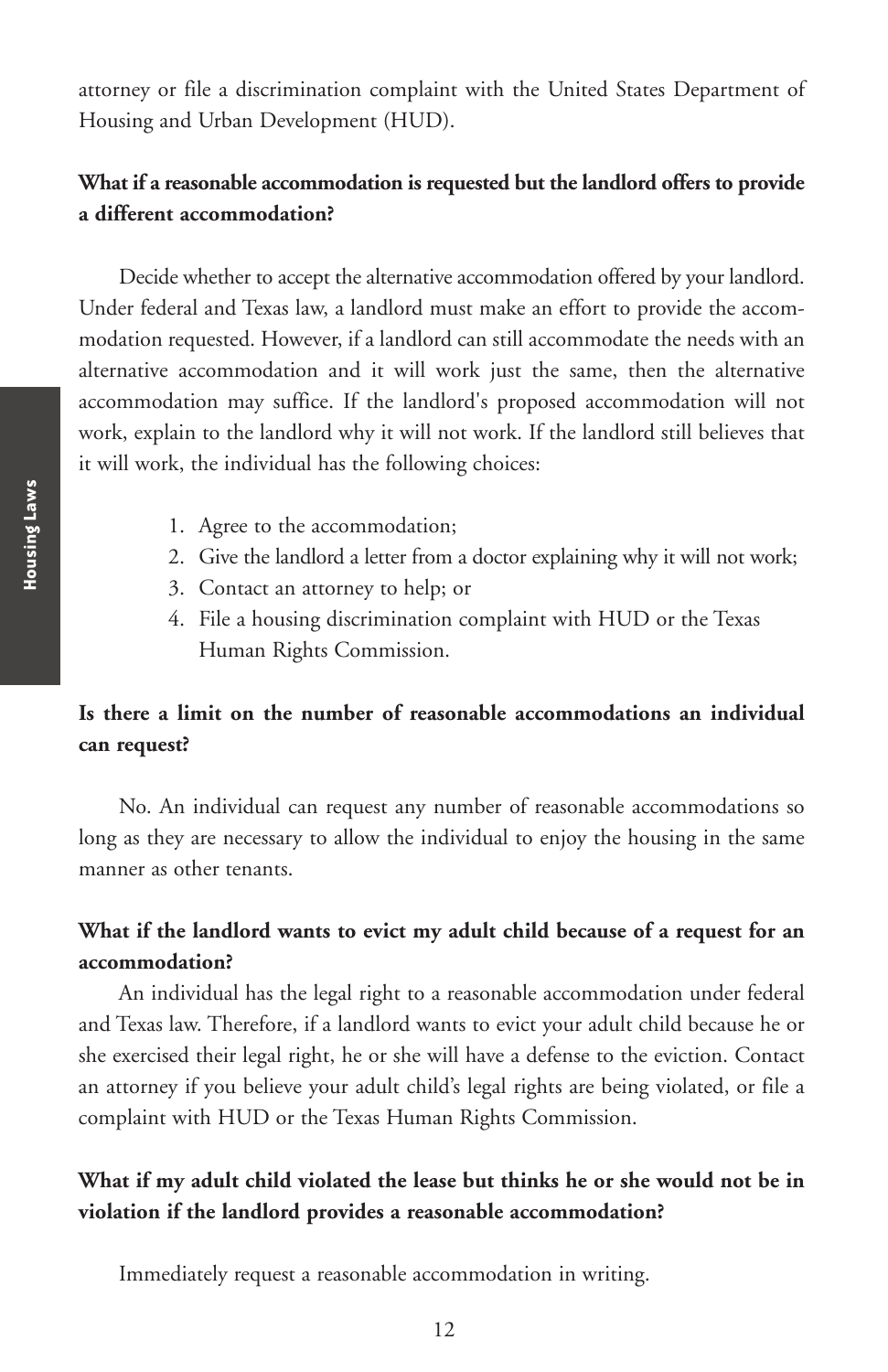attorney or file a discrimination complaint with the United States Department of Housing and Urban Development (HUD).

# **What if a reasonable accommodation is requested but the landlord offers to provide a different accommodation?**

Decide whether to accept the alternative accommodation offered by your landlord. Under federal and Texas law, a landlord must make an effort to provide the accommodation requested. However, if a landlord can still accommodate the needs with an alternative accommodation and it will work just the same, then the alternative accommodation may suffice. If the landlord's proposed accommodation will not work, explain to the landlord why it will not work. If the landlord still believes that it will work, the individual has the following choices:

- 1. Agree to the accommodation;
- 2. Give the landlord a letter from a doctor explaining why it will not work;
- 3. Contact an attorney to help; or
- 4. File a housing discrimination complaint with HUD or the Texas Human Rights Commission.

# **Is there a limit on the number of reasonable accommodations an individual can request?**

No. An individual can request any number of reasonable accommodations so long as they are necessary to allow the individual to enjoy the housing in the same manner as other tenants.

# **What if the landlord wants to evict my adult child because of a request for an accommodation?**

An individual has the legal right to a reasonable accommodation under federal and Texas law. Therefore, if a landlord wants to evict your adult child because he or she exercised their legal right, he or she will have a defense to the eviction. Contact an attorney if you believe your adult child's legal rights are being violated, or file a complaint with HUD or the Texas Human Rights Commission.

# **What if my adult child violated the lease but thinks he or she would not be in violation if the landlord provides a reasonable accommodation?**

Immediately request a reasonable accommodation in writing.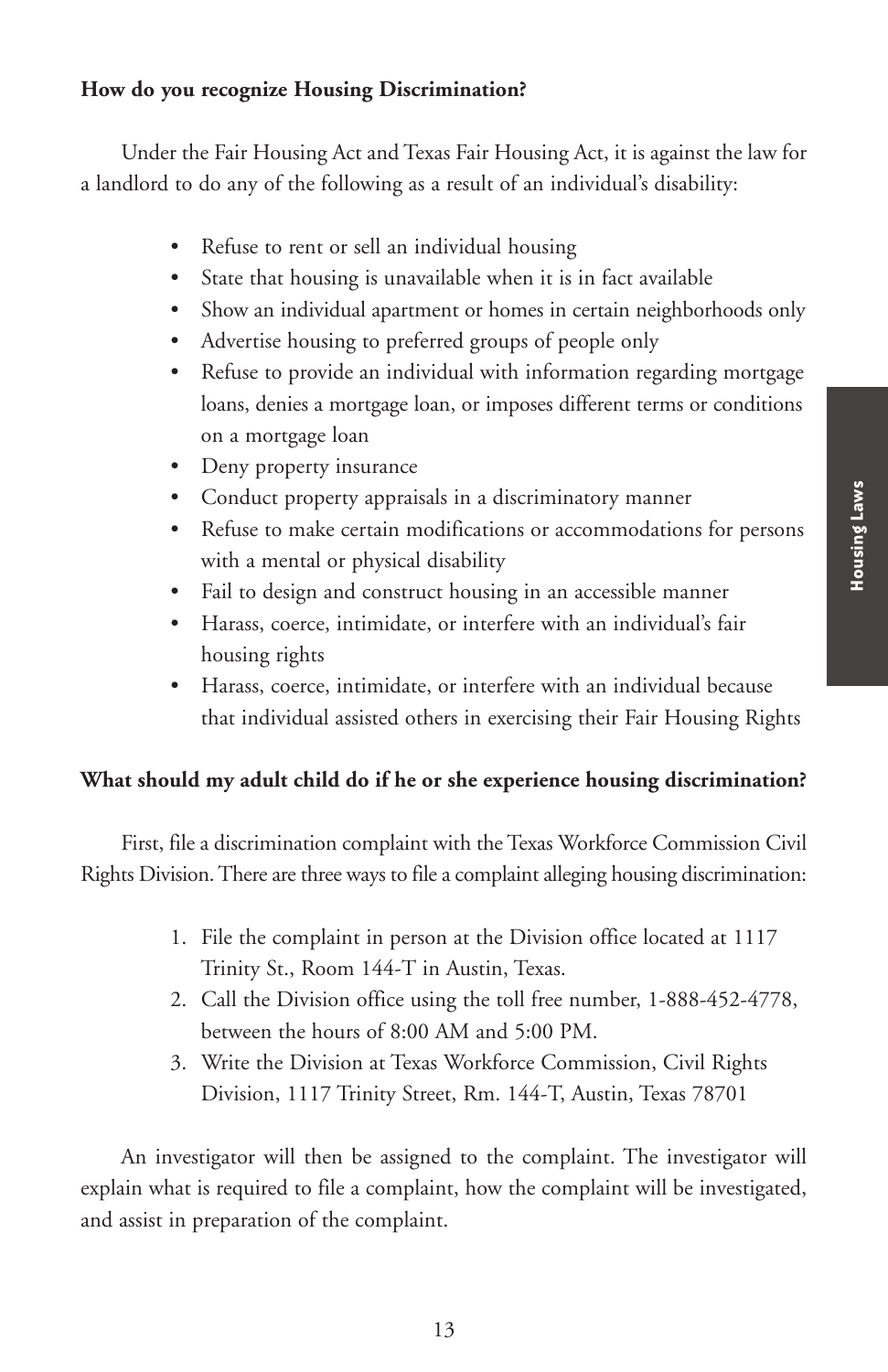### **How do you recognize Housing Discrimination?**

Under the Fair Housing Act and Texas Fair Housing Act, it is against the law for a landlord to do any of the following as a result of an individual's disability:

- Refuse to rent or sell an individual housing
- State that housing is unavailable when it is in fact available
- Show an individual apartment or homes in certain neighborhoods only
- Advertise housing to preferred groups of people only
- Refuse to provide an individual with information regarding mortgage loans, denies a mortgage loan, or imposes different terms or conditions on a mortgage loan
- Deny property insurance
- Conduct property appraisals in a discriminatory manner
- Refuse to make certain modifications or accommodations for persons with a mental or physical disability
- Fail to design and construct housing in an accessible manner
- Harass, coerce, intimidate, or interfere with an individual's fair housing rights
- Harass, coerce, intimidate, or interfere with an individual because that individual assisted others in exercising their Fair Housing Rights

### **What should my adult child do if he or she experience housing discrimination?**

First, file a discrimination complaint with the Texas Workforce Commission Civil Rights Division. There are three ways to file a complaint alleging housing discrimination:

- 1. File the complaint in person at the Division office located at 1117 Trinity St., Room 144-T in Austin, Texas.
- 2. Call the Division office using the toll free number, 1-888-452-4778, between the hours of 8:00 AM and 5:00 PM.
- 3. Write the Division at Texas Workforce Commission, Civil Rights Division, 1117 Trinity Street, Rm. 144-T, Austin, Texas 78701

An investigator will then be assigned to the complaint. The investigator will explain what is required to file a complaint, how the complaint will be investigated, and assist in preparation of the complaint.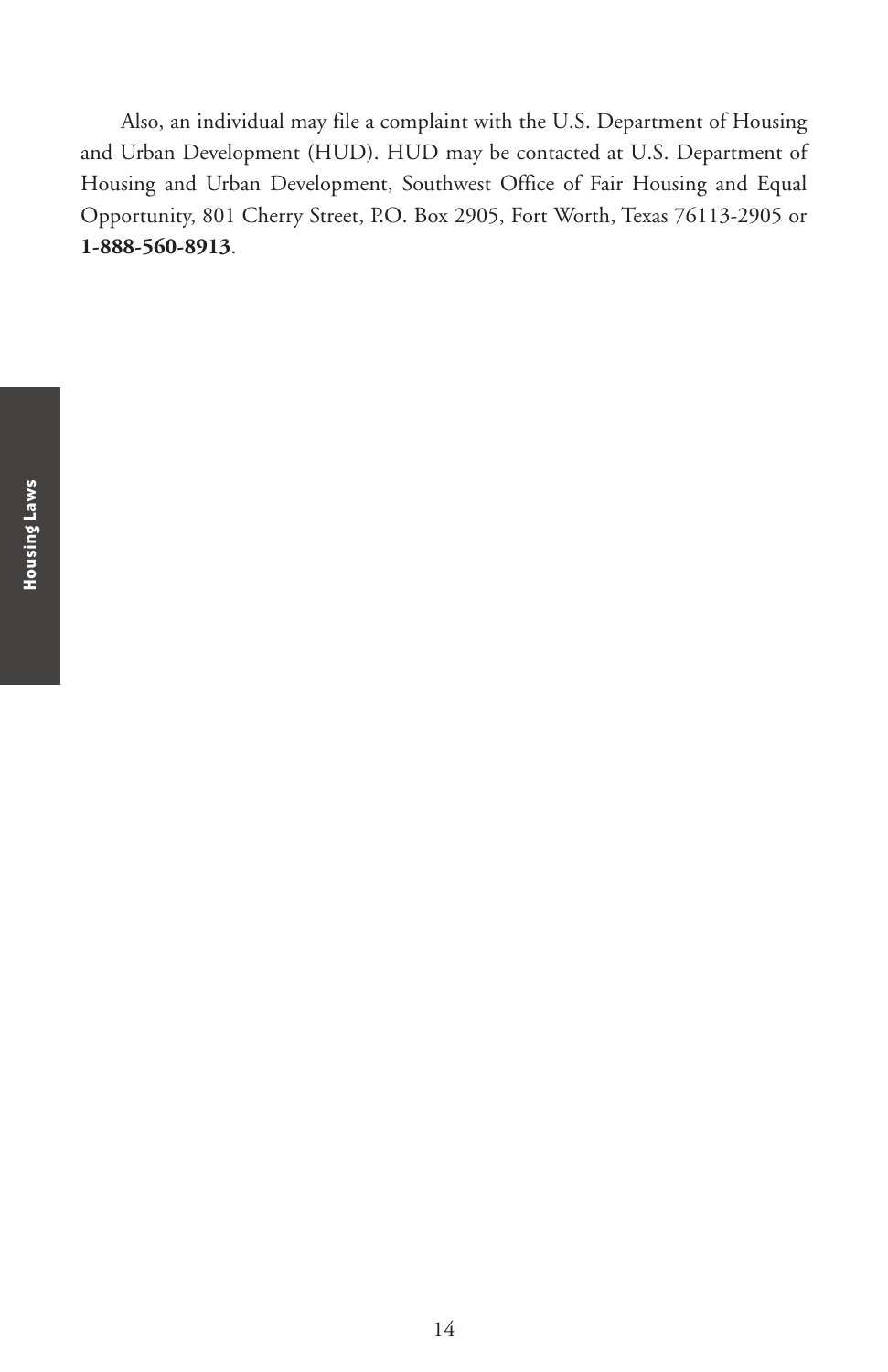Also, an individual may file a complaint with the U.S. Department of Housing and Urban Development (HUD). HUD may be contacted at U.S. Department of Housing and Urban Development, Southwest Office of Fair Housing and Equal Opportunity, 801 Cherry Street, P.O. Box 2905, Fort Worth, Texas 76113-2905 or **1-888-560-8913**.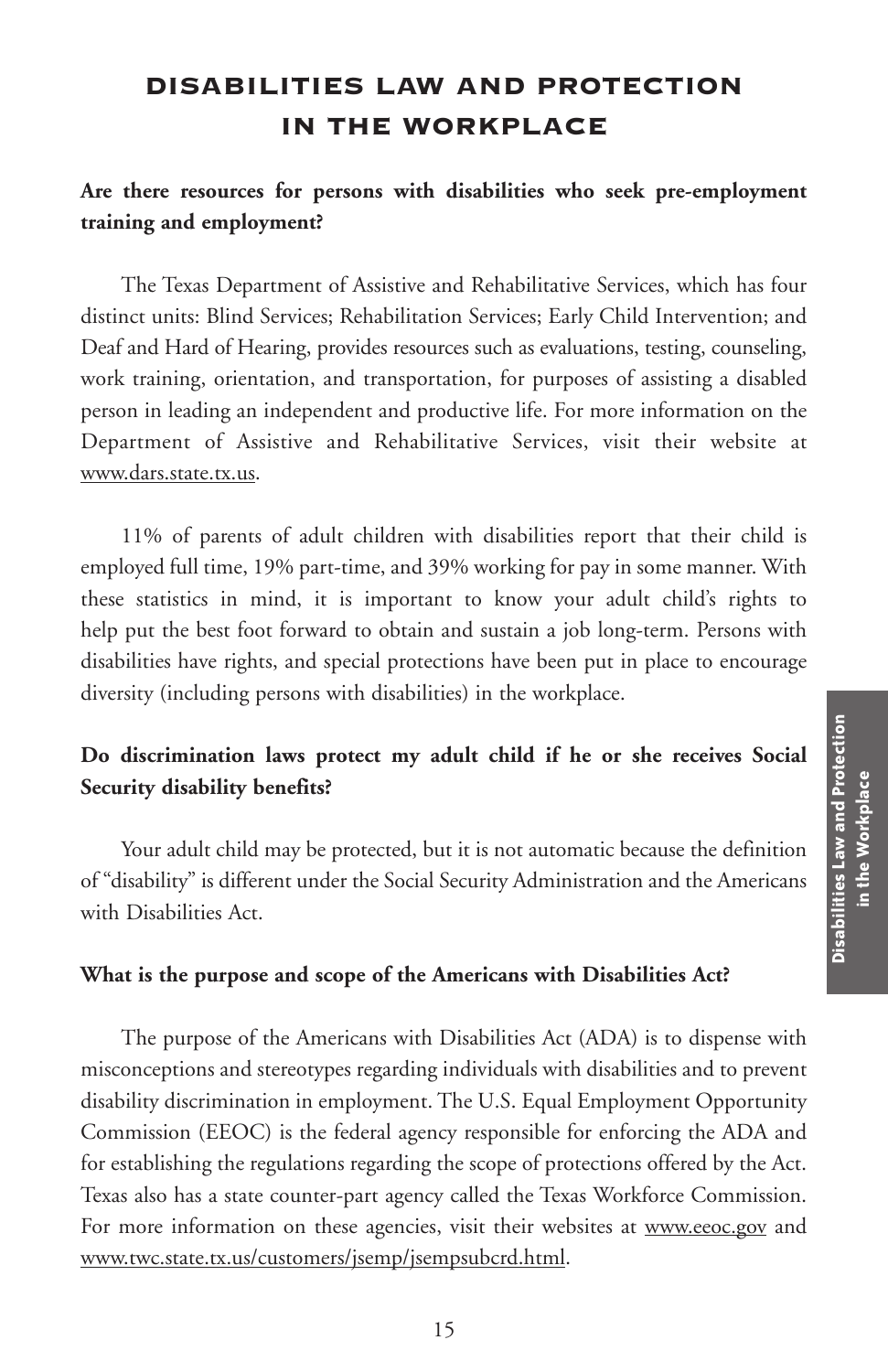# **DISABILITIES LAW AND PROTECTION IN THE WORKPLACE**

# **Are there resources for persons with disabilities who seek pre-employment training and employment?**

The Texas Department of Assistive and Rehabilitative Services, which has four distinct units: Blind Services; Rehabilitation Services; Early Child Intervention; and Deaf and Hard of Hearing, provides resources such as evaluations, testing, counseling, work training, orientation, and transportation, for purposes of assisting a disabled person in leading an independent and productive life. For more information on the Department of Assistive and Rehabilitative Services, visit their website at www.dars.state.tx.us.

11% of parents of adult children with disabilities report that their child is employed full time, 19% part-time, and 39% working for pay in some manner. With these statistics in mind, it is important to know your adult child's rights to help put the best foot forward to obtain and sustain a job long-term. Persons with disabilities have rights, and special protections have been put in place to encourage diversity (including persons with disabilities) in the workplace.

# **Do discrimination laws protect my adult child if he or she receives Social Security disability benefits?**

Your adult child may be protected, but it is not automatic because the definition of "disability" is different under the Social Security Administration and the Americans with Disabilities Act.

### **What is the purpose and scope of the Americans with Disabilities Act?**

The purpose of the Americans with Disabilities Act (ADA) is to dispense with misconceptions and stereotypes regarding individuals with disabilities and to prevent disability discrimination in employment. The U.S. Equal Employment Opportunity Commission (EEOC) is the federal agency responsible for enforcing the ADA and for establishing the regulations regarding the scope of protections offered by the Act. Texas also has a state counter-part agency called the Texas Workforce Commission. For more information on these agencies, visit their websites at www.eeoc.gov and www.twc.state.tx.us/customers/jsemp/jsempsubcrd.html.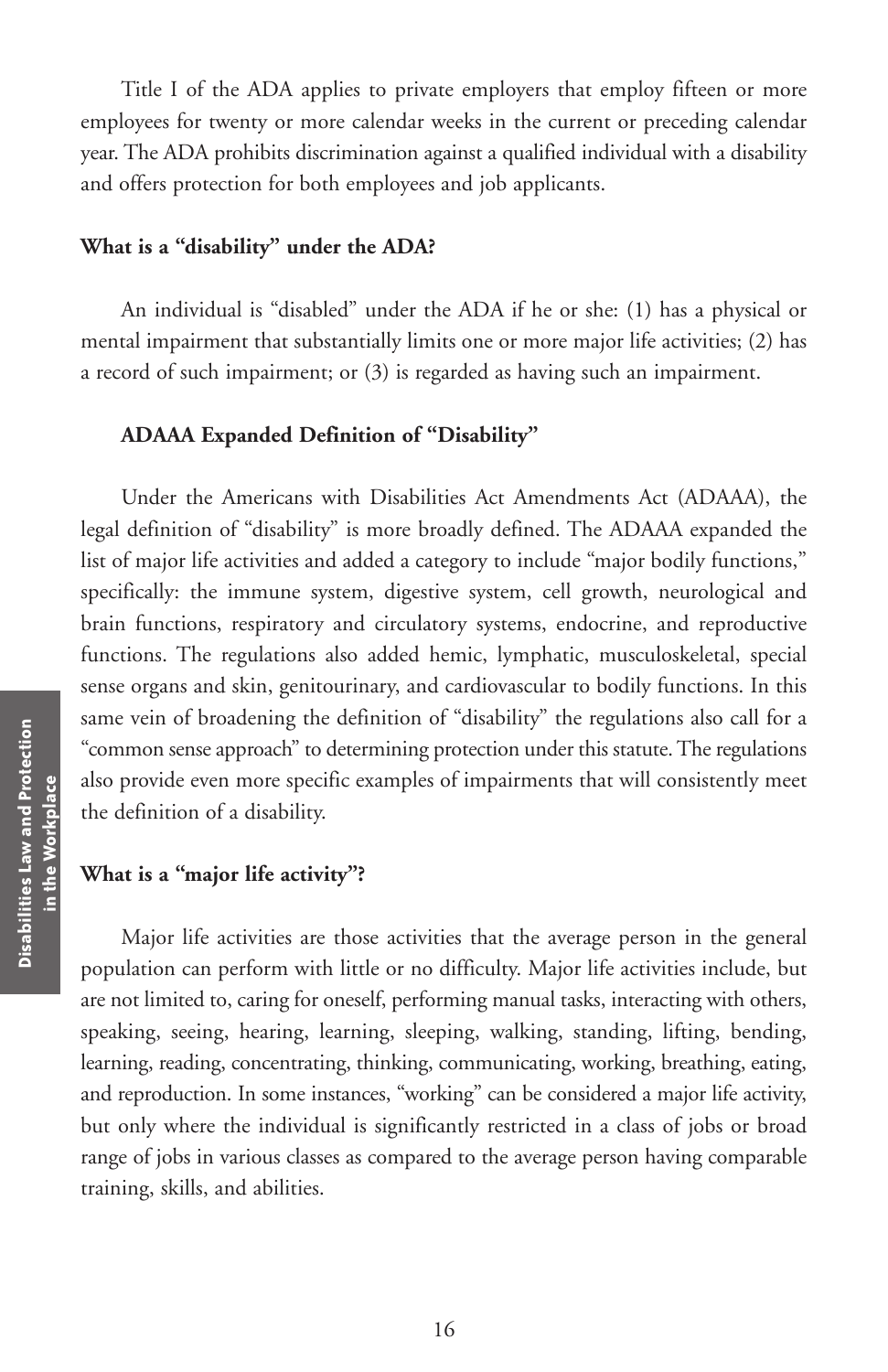Title I of the ADA applies to private employers that employ fifteen or more employees for twenty or more calendar weeks in the current or preceding calendar year. The ADA prohibits discrimination against a qualified individual with a disability and offers protection for both employees and job applicants.

### **What is a "disability" under the ADA?**

An individual is "disabled" under the ADA if he or she: (1) has a physical or mental impairment that substantially limits one or more major life activities; (2) has a record of such impairment; or (3) is regarded as having such an impairment.

#### **ADAAA Expanded Definition of "Disability"**

Under the Americans with Disabilities Act Amendments Act (ADAAA), the legal definition of "disability" is more broadly defined. The ADAAA expanded the list of major life activities and added a category to include "major bodily functions," specifically: the immune system, digestive system, cell growth, neurological and brain functions, respiratory and circulatory systems, endocrine, and reproductive functions. The regulations also added hemic, lymphatic, musculoskeletal, special sense organs and skin, genitourinary, and cardiovascular to bodily functions. In this same vein of broadening the definition of "disability" the regulations also call for a "common sense approach" to determining protection under this statute. The regulations also provide even more specific examples of impairments that will consistently meet the definition of a disability.

#### **What is a "major life activity"?**

Major life activities are those activities that the average person in the general population can perform with little or no difficulty. Major life activities include, but are not limited to, caring for oneself, performing manual tasks, interacting with others, speaking, seeing, hearing, learning, sleeping, walking, standing, lifting, bending, learning, reading, concentrating, thinking, communicating, working, breathing, eating, and reproduction. In some instances, "working" can be considered a major life activity, but only where the individual is significantly restricted in a class of jobs or broad range of jobs in various classes as compared to the average person having comparable training, skills, and abilities.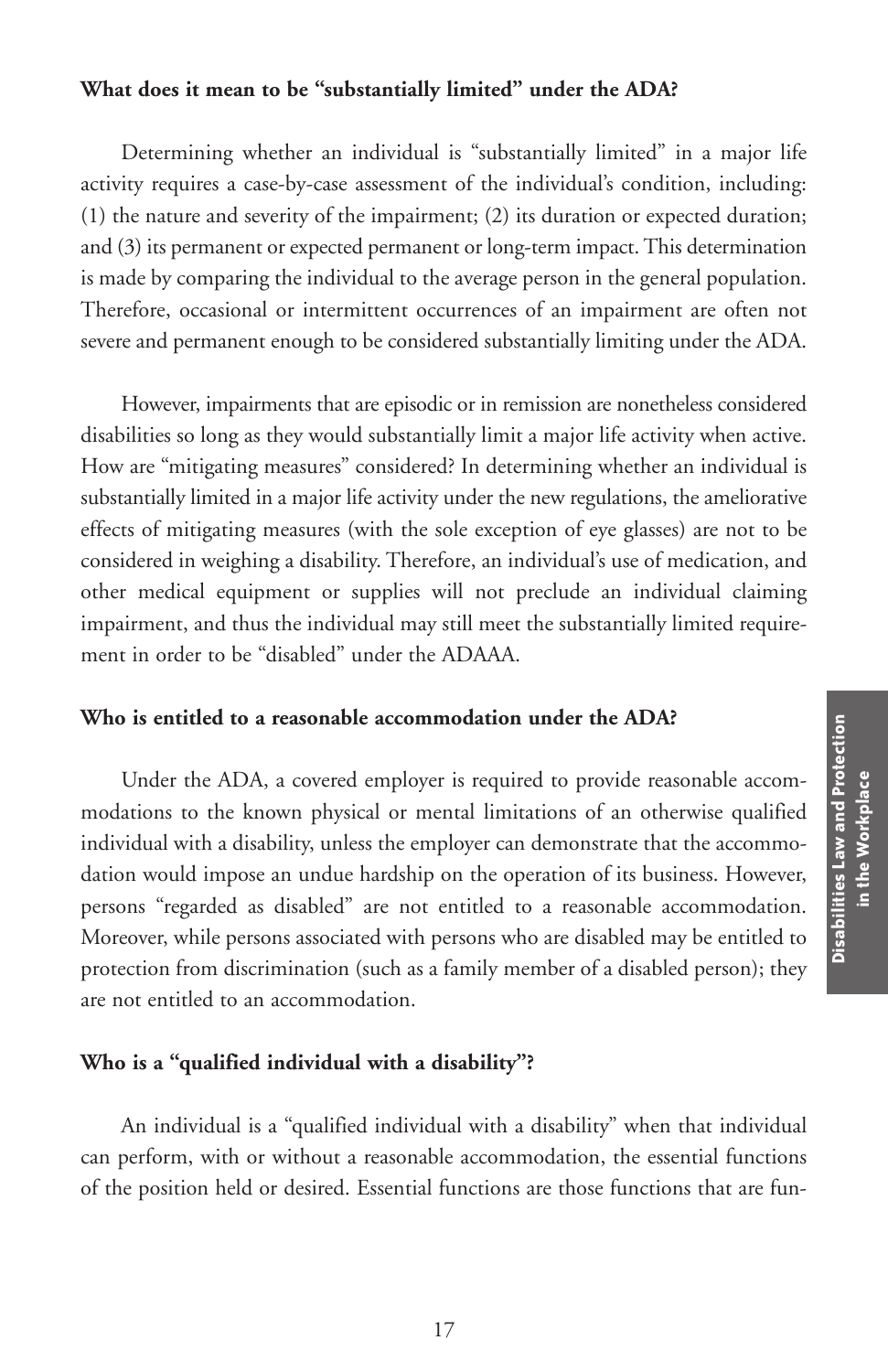#### **What does it mean to be "substantially limited" under the ADA?**

Determining whether an individual is "substantially limited" in a major life activity requires a case-by-case assessment of the individual's condition, including: (1) the nature and severity of the impairment; (2) its duration or expected duration; and (3) its permanent or expected permanent or long-term impact.This determination is made by comparing the individual to the average person in the general population. Therefore, occasional or intermittent occurrences of an impairment are often not severe and permanent enough to be considered substantially limiting under the ADA.

However, impairments that are episodic or in remission are nonetheless considered disabilities so long as they would substantially limit a major life activity when active. How are "mitigating measures" considered? In determining whether an individual is substantially limited in a major life activity under the new regulations, the ameliorative effects of mitigating measures (with the sole exception of eye glasses) are not to be considered in weighing a disability. Therefore, an individual's use of medication, and other medical equipment or supplies will not preclude an individual claiming impairment, and thus the individual may still meet the substantially limited requirement in order to be "disabled" under the ADAAA.

#### **Who is entitled to a reasonable accommodation under the ADA?**

Under the ADA, a covered employer is required to provide reasonable accommodations to the known physical or mental limitations of an otherwise qualified individual with a disability, unless the employer can demonstrate that the accommodation would impose an undue hardship on the operation of its business. However, persons "regarded as disabled" are not entitled to a reasonable accommodation. Moreover, while persons associated with persons who are disabled may be entitled to protection from discrimination (such as a family member of a disabled person); they are not entitled to an accommodation.

#### **Who is a "qualified individual with a disability"?**

An individual is a "qualified individual with a disability" when that individual can perform, with or without a reasonable accommodation, the essential functions of the position held or desired. Essential functions are those functions that are fun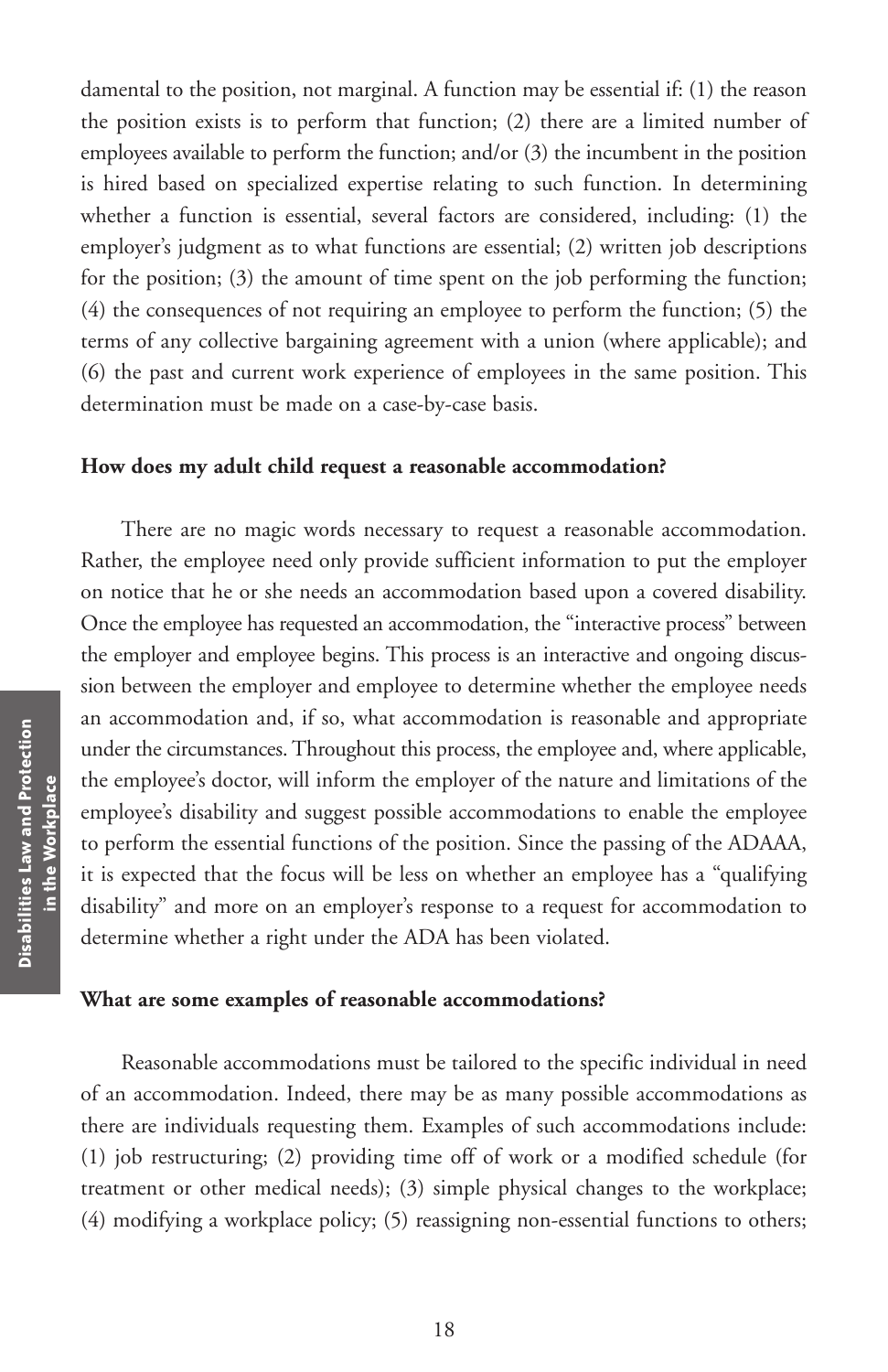damental to the position, not marginal. A function may be essential if: (1) the reason the position exists is to perform that function; (2) there are a limited number of employees available to perform the function; and/or (3) the incumbent in the position is hired based on specialized expertise relating to such function. In determining whether a function is essential, several factors are considered, including: (1) the employer's judgment as to what functions are essential; (2) written job descriptions for the position; (3) the amount of time spent on the job performing the function; (4) the consequences of not requiring an employee to perform the function; (5) the terms of any collective bargaining agreement with a union (where applicable); and (6) the past and current work experience of employees in the same position. This determination must be made on a case-by-case basis.

#### **How does my adult child request a reasonable accommodation?**

There are no magic words necessary to request a reasonable accommodation. Rather, the employee need only provide sufficient information to put the employer on notice that he or she needs an accommodation based upon a covered disability. Once the employee has requested an accommodation, the "interactive process" between the employer and employee begins. This process is an interactive and ongoing discussion between the employer and employee to determine whether the employee needs an accommodation and, if so, what accommodation is reasonable and appropriate under the circumstances. Throughout this process, the employee and, where applicable, the employee's doctor, will inform the employer of the nature and limitations of the employee's disability and suggest possible accommodations to enable the employee to perform the essential functions of the position. Since the passing of the ADAAA, it is expected that the focus will be less on whether an employee has a "qualifying disability" and more on an employer's response to a request for accommodation to determine whether a right under the ADA has been violated.

#### **What are some examples of reasonable accommodations?**

Reasonable accommodations must be tailored to the specific individual in need of an accommodation. Indeed, there may be as many possible accommodations as there are individuals requesting them. Examples of such accommodations include: (1) job restructuring; (2) providing time off of work or a modified schedule (for treatment or other medical needs); (3) simple physical changes to the workplace; (4) modifying a workplace policy; (5) reassigning non-essential functions to others;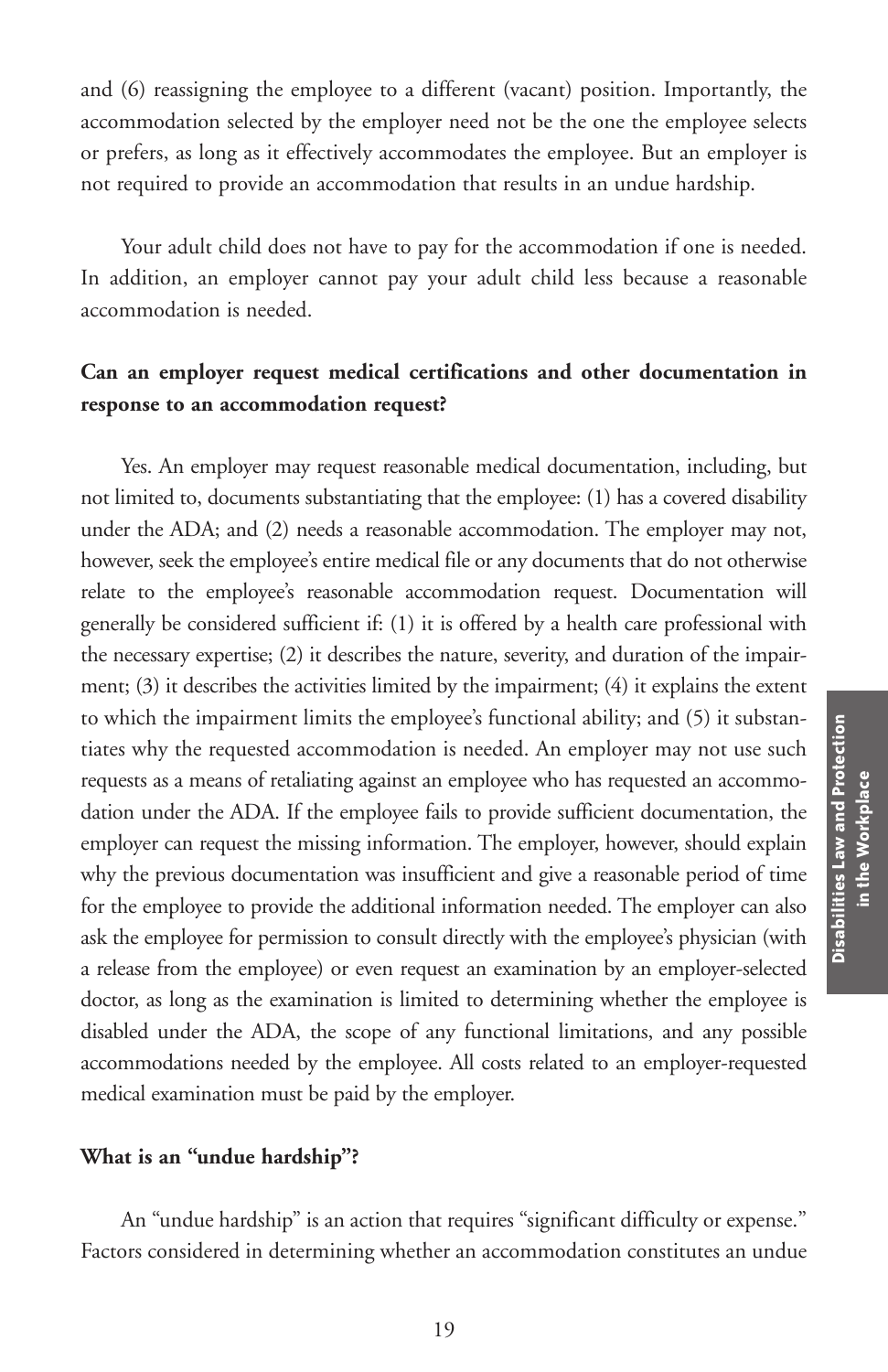and (6) reassigning the employee to a different (vacant) position. Importantly, the accommodation selected by the employer need not be the one the employee selects or prefers, as long as it effectively accommodates the employee. But an employer is not required to provide an accommodation that results in an undue hardship.

Your adult child does not have to pay for the accommodation if one is needed. In addition, an employer cannot pay your adult child less because a reasonable accommodation is needed.

# **Can an employer request medical certifications and other documentation in response to an accommodation request?**

Yes. An employer may request reasonable medical documentation, including, but not limited to, documents substantiating that the employee: (1) has a covered disability under the ADA; and (2) needs a reasonable accommodation. The employer may not, however, seek the employee's entire medical file or any documents that do not otherwise relate to the employee's reasonable accommodation request. Documentation will generally be considered sufficient if: (1) it is offered by a health care professional with the necessary expertise; (2) it describes the nature, severity, and duration of the impairment; (3) it describes the activities limited by the impairment; (4) it explains the extent to which the impairment limits the employee's functional ability; and (5) it substantiates why the requested accommodation is needed. An employer may not use such requests as a means of retaliating against an employee who has requested an accommodation under the ADA. If the employee fails to provide sufficient documentation, the employer can request the missing information. The employer, however, should explain why the previous documentation was insufficient and give a reasonable period of time for the employee to provide the additional information needed. The employer can also ask the employee for permission to consult directly with the employee's physician (with a release from the employee) or even request an examination by an employer-selected doctor, as long as the examination is limited to determining whether the employee is disabled under the ADA, the scope of any functional limitations, and any possible accommodations needed by the employee. All costs related to an employer-requested medical examination must be paid by the employer.

#### **What is an "undue hardship"?**

An "undue hardship" is an action that requires "significant difficulty or expense." Factors considered in determining whether an accommodation constitutes an undue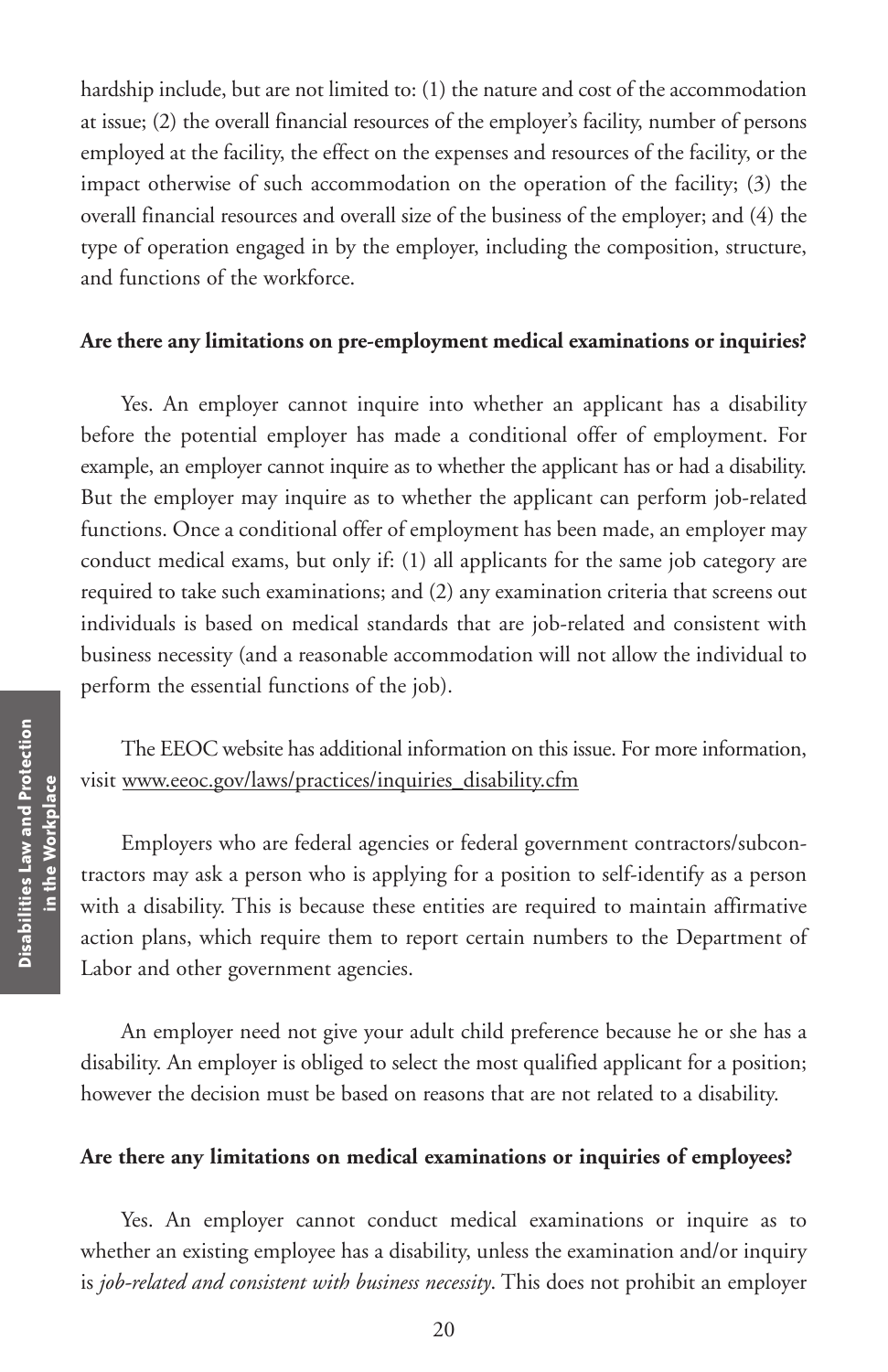hardship include, but are not limited to: (1) the nature and cost of the accommodation at issue; (2) the overall financial resources of the employer's facility, number of persons employed at the facility, the effect on the expenses and resources of the facility, or the impact otherwise of such accommodation on the operation of the facility; (3) the overall financial resources and overall size of the business of the employer; and (4) the type of operation engaged in by the employer, including the composition, structure, and functions of the workforce.

#### **Are there any limitations on pre-employment medical examinations or inquiries?**

Yes. An employer cannot inquire into whether an applicant has a disability before the potential employer has made a conditional offer of employment. For example, an employer cannot inquire as to whether the applicant has or had a disability. But the employer may inquire as to whether the applicant can perform job-related functions. Once a conditional offer of employment has been made, an employer may conduct medical exams, but only if: (1) all applicants for the same job category are required to take such examinations; and (2) any examination criteria that screens out individuals is based on medical standards that are job-related and consistent with business necessity (and a reasonable accommodation will not allow the individual to perform the essential functions of the job).

# The EEOC website has additional information on this issue. For more information, visit www.eeoc.gov/laws/practices/inquiries\_disability.cfm

Employers who are federal agencies or federal government contractors/subcontractors may ask a person who is applying for a position to self-identify as a person with a disability. This is because these entities are required to maintain affirmative action plans, which require them to report certain numbers to the Department of Labor and other government agencies.

An employer need not give your adult child preference because he or she has a disability. An employer is obliged to select the most qualified applicant for a position; however the decision must be based on reasons that are not related to a disability.

#### **Are there any limitations on medical examinations or inquiries of employees?**

Yes. An employer cannot conduct medical examinations or inquire as to whether an existing employee has a disability, unless the examination and/or inquiry is *job-related and consistent with business necessity*. This does not prohibit an employer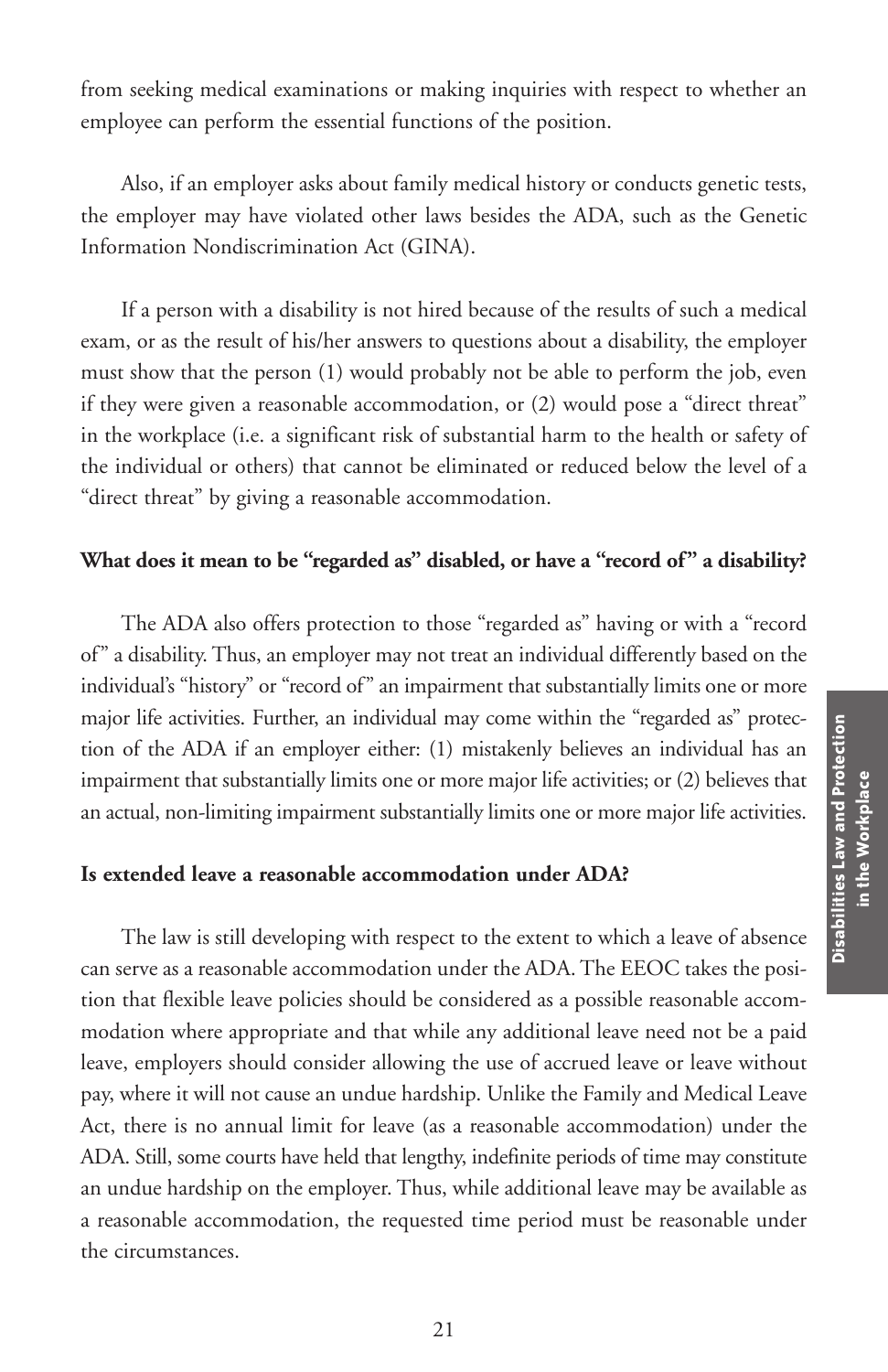from seeking medical examinations or making inquiries with respect to whether an employee can perform the essential functions of the position.

Also, if an employer asks about family medical history or conducts genetic tests, the employer may have violated other laws besides the ADA, such as the Genetic Information Nondiscrimination Act (GINA).

If a person with a disability is not hired because of the results of such a medical exam, or as the result of his/her answers to questions about a disability, the employer must show that the person (1) would probably not be able to perform the job, even if they were given a reasonable accommodation, or (2) would pose a "direct threat" in the workplace (i.e. a significant risk of substantial harm to the health or safety of the individual or others) that cannot be eliminated or reduced below the level of a "direct threat" by giving a reasonable accommodation.

### **What does it mean to be "regarded as" disabled, or have a "record of" a disability?**

The ADA also offers protection to those "regarded as" having or with a "record of" a disability. Thus, an employer may not treat an individual differently based on the individual's "history" or "record of" an impairment that substantially limits one or more major life activities. Further, an individual may come within the "regarded as" protection of the ADA if an employer either: (1) mistakenly believes an individual has an impairment that substantially limits one or more major life activities; or (2) believes that an actual, non-limiting impairment substantially limits one or more major life activities.

#### **Is extended leave a reasonable accommodation under ADA?**

The law is still developing with respect to the extent to which a leave of absence can serve as a reasonable accommodation under the ADA. The EEOC takes the position that flexible leave policies should be considered as a possible reasonable accommodation where appropriate and that while any additional leave need not be a paid leave, employers should consider allowing the use of accrued leave or leave without pay, where it will not cause an undue hardship. Unlike the Family and Medical Leave Act, there is no annual limit for leave (as a reasonable accommodation) under the ADA. Still, some courts have held that lengthy, indefinite periods of time may constitute an undue hardship on the employer. Thus, while additional leave may be available as a reasonable accommodation, the requested time period must be reasonable under the circumstances.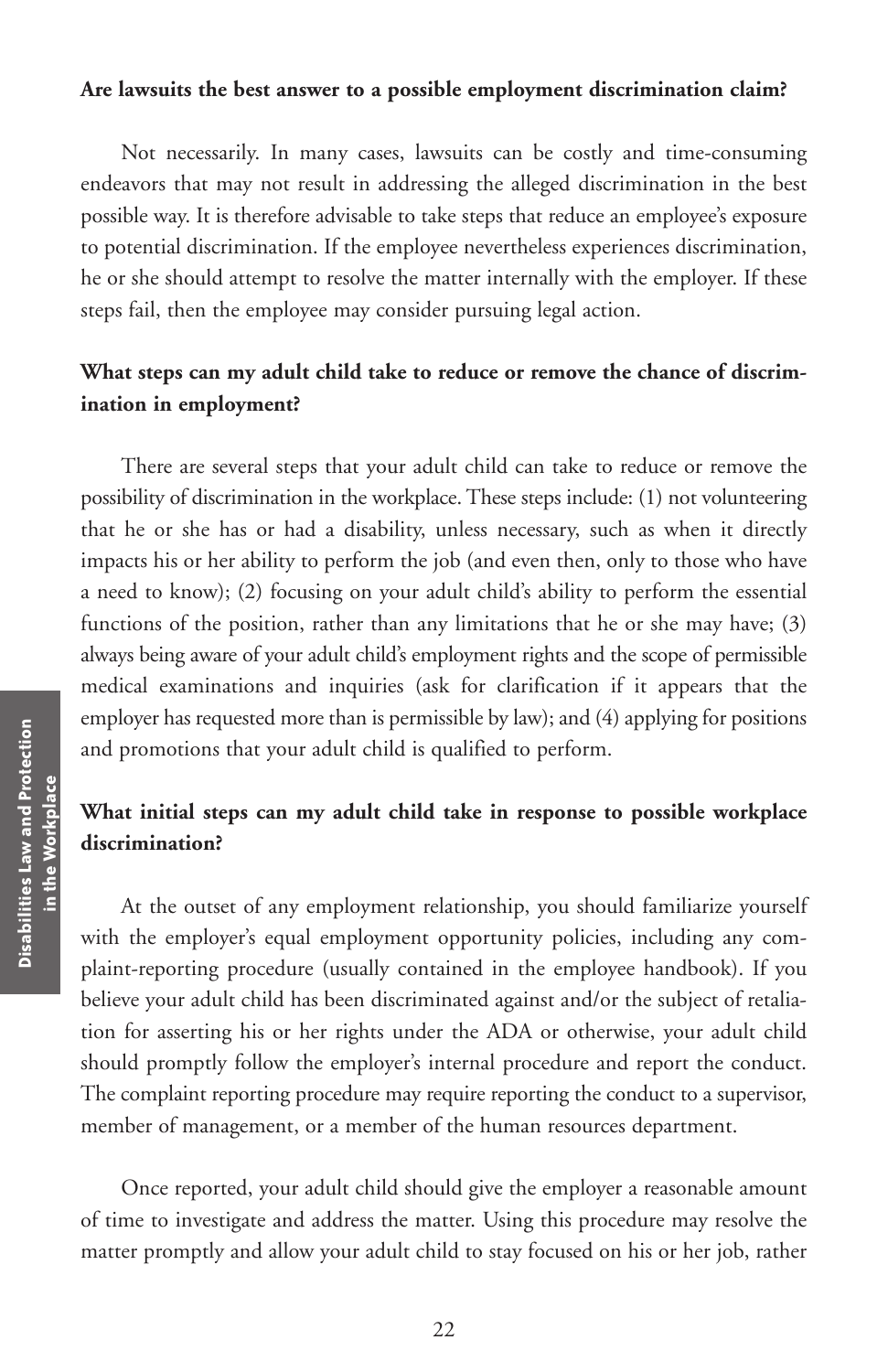#### **Are lawsuits the best answer to a possible employment discrimination claim?**

Not necessarily. In many cases, lawsuits can be costly and time-consuming endeavors that may not result in addressing the alleged discrimination in the best possible way. It is therefore advisable to take steps that reduce an employee's exposure to potential discrimination. If the employee nevertheless experiences discrimination, he or she should attempt to resolve the matter internally with the employer. If these steps fail, then the employee may consider pursuing legal action.

## **What steps can my adult child take to reduce or remove the chance of discrimination in employment?**

There are several steps that your adult child can take to reduce or remove the possibility of discrimination in the workplace. These steps include: (1) not volunteering that he or she has or had a disability, unless necessary, such as when it directly impacts his or her ability to perform the job (and even then, only to those who have a need to know); (2) focusing on your adult child's ability to perform the essential functions of the position, rather than any limitations that he or she may have; (3) always being aware of your adult child's employment rights and the scope of permissible medical examinations and inquiries (ask for clarification if it appears that the employer has requested more than is permissible by law); and (4) applying for positions and promotions that your adult child is qualified to perform.

# **What initial steps can my adult child take in response to possible workplace discrimination?**

At the outset of any employment relationship, you should familiarize yourself with the employer's equal employment opportunity policies, including any complaint-reporting procedure (usually contained in the employee handbook). If you believe your adult child has been discriminated against and/or the subject of retaliation for asserting his or her rights under the ADA or otherwise, your adult child should promptly follow the employer's internal procedure and report the conduct. The complaint reporting procedure may require reporting the conduct to a supervisor, member of management, or a member of the human resources department.

Once reported, your adult child should give the employer a reasonable amount of time to investigate and address the matter. Using this procedure may resolve the matter promptly and allow your adult child to stay focused on his or her job, rather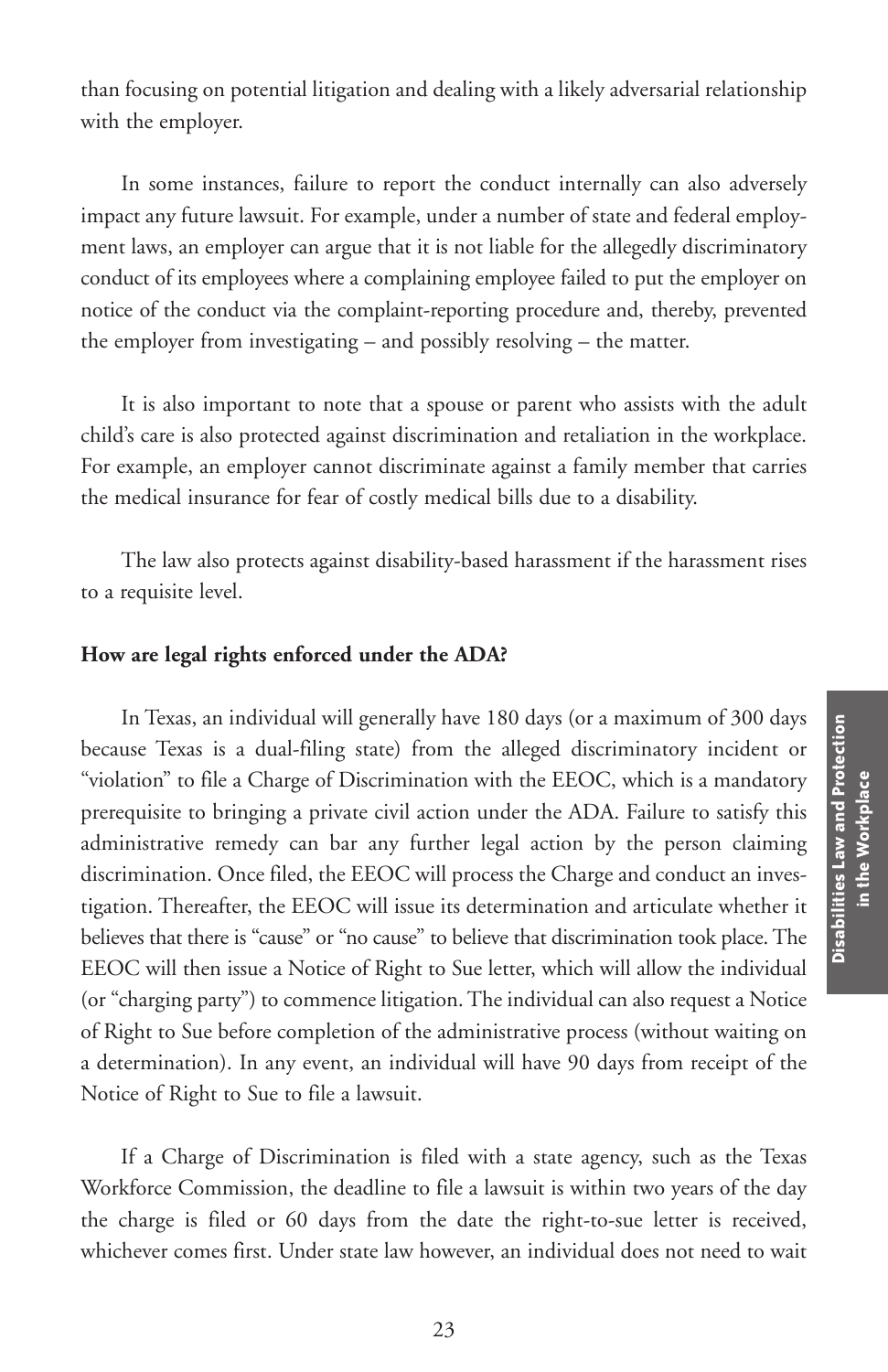than focusing on potential litigation and dealing with a likely adversarial relationship with the employer.

In some instances, failure to report the conduct internally can also adversely impact any future lawsuit. For example, under a number of state and federal employment laws, an employer can argue that it is not liable for the allegedly discriminatory conduct of its employees where a complaining employee failed to put the employer on notice of the conduct via the complaint-reporting procedure and, thereby, prevented the employer from investigating – and possibly resolving – the matter.

It is also important to note that a spouse or parent who assists with the adult child's care is also protected against discrimination and retaliation in the workplace. For example, an employer cannot discriminate against a family member that carries the medical insurance for fear of costly medical bills due to a disability.

The law also protects against disability-based harassment if the harassment rises to a requisite level.

#### **How are legal rights enforced under the ADA?**

In Texas, an individual will generally have 180 days (or a maximum of 300 days because Texas is a dual-filing state) from the alleged discriminatory incident or "violation" to file a Charge of Discrimination with the EEOC, which is a mandatory prerequisite to bringing a private civil action under the ADA. Failure to satisfy this administrative remedy can bar any further legal action by the person claiming discrimination. Once filed, the EEOC will process the Charge and conduct an investigation. Thereafter, the EEOC will issue its determination and articulate whether it believes that there is "cause" or "no cause" to believe that discrimination took place. The EEOC will then issue a Notice of Right to Sue letter, which will allow the individual (or "charging party") to commence litigation. The individual can also request a Notice of Right to Sue before completion of the administrative process (without waiting on a determination). In any event, an individual will have 90 days from receipt of the Notice of Right to Sue to file a lawsuit.

If a Charge of Discrimination is filed with a state agency, such as the Texas Workforce Commission, the deadline to file a lawsuit is within two years of the day the charge is filed or 60 days from the date the right-to-sue letter is received, whichever comes first. Under state law however, an individual does not need to wait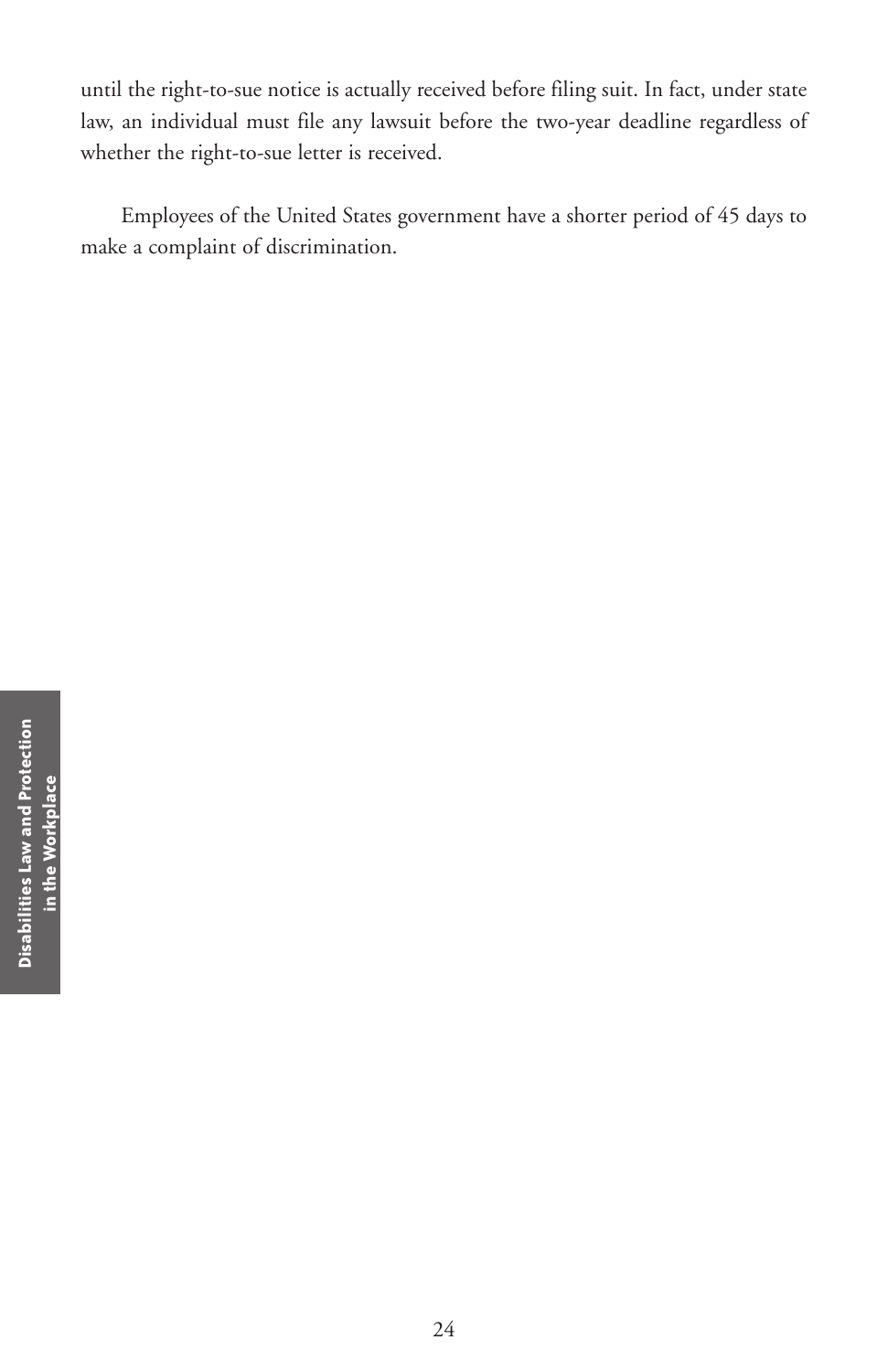until the right-to-sue notice is actually received before filing suit. In fact, under state law, an individual must file any lawsuit before the two-year deadline regardless of whether the right-to-sue letter is received.

Employees of the United States government have a shorter period of 45 days to make a complaint of discrimination.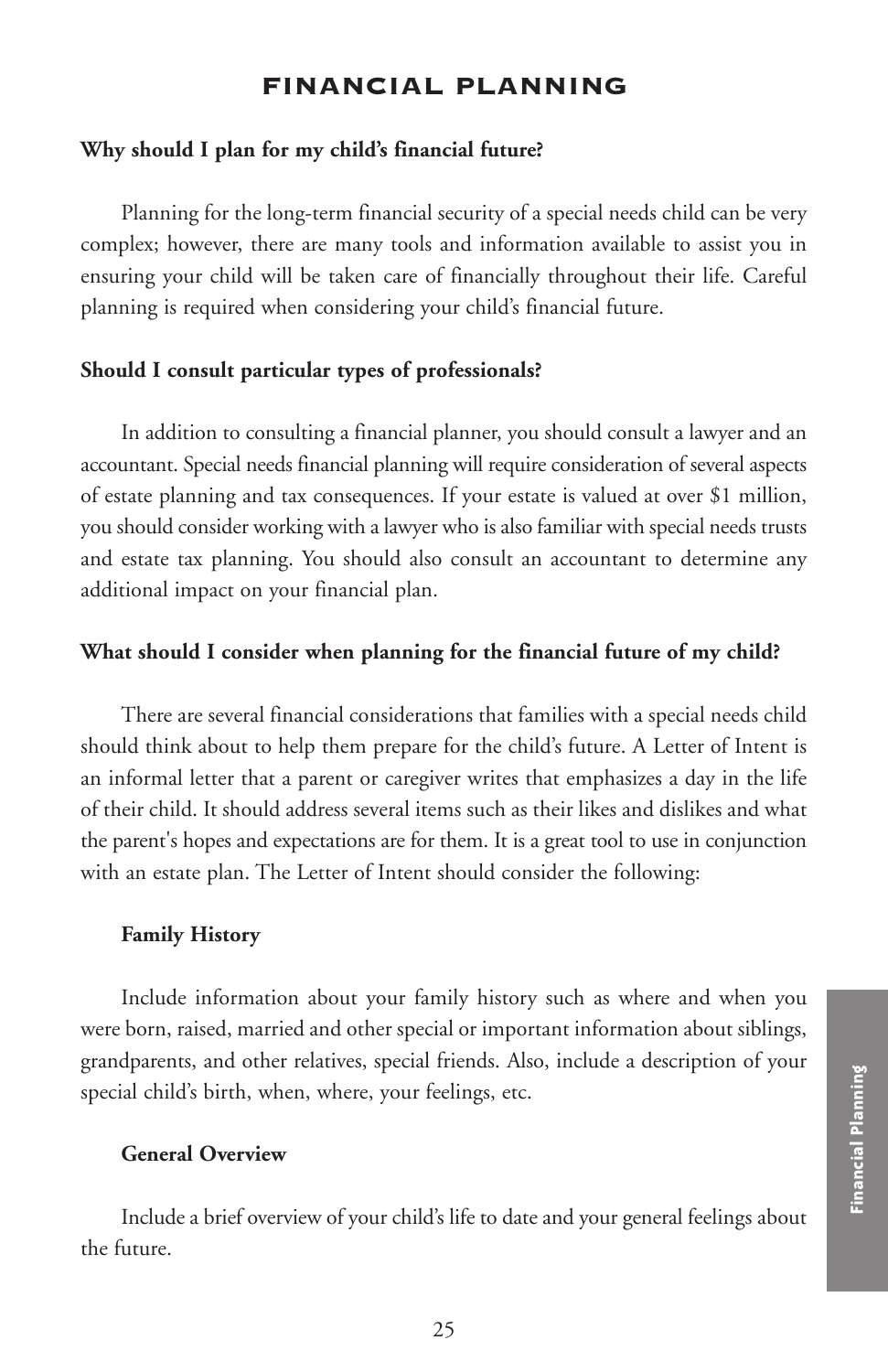## **FINANCIAL PLANNING**

#### **Why should I plan for my child's financial future?**

Planning for the long-term financial security of a special needs child can be very complex; however, there are many tools and information available to assist you in ensuring your child will be taken care of financially throughout their life. Careful planning is required when considering your child's financial future.

#### **Should I consult particular types of professionals?**

In addition to consulting a financial planner, you should consult a lawyer and an accountant. Special needs financial planning will require consideration of several aspects of estate planning and tax consequences. If your estate is valued at over \$1 million, you should consider working with a lawyer who is also familiar with special needs trusts and estate tax planning. You should also consult an accountant to determine any additional impact on your financial plan.

#### **What should I consider when planning for the financial future of my child?**

There are several financial considerations that families with a special needs child should think about to help them prepare for the child's future. A Letter of Intent is an informal letter that a parent or caregiver writes that emphasizes a day in the life of their child. It should address several items such as their likes and dislikes and what the parent's hopes and expectations are for them. It is a great tool to use in conjunction with an estate plan. The Letter of Intent should consider the following:

#### **Family History**

Include information about your family history such as where and when you were born, raised, married and other special or important information about siblings, grandparents, and other relatives, special friends. Also, include a description of your special child's birth, when, where, your feelings, etc.

### **General Overview**

Include a brief overview of your child's life to date and your general feelings about the future.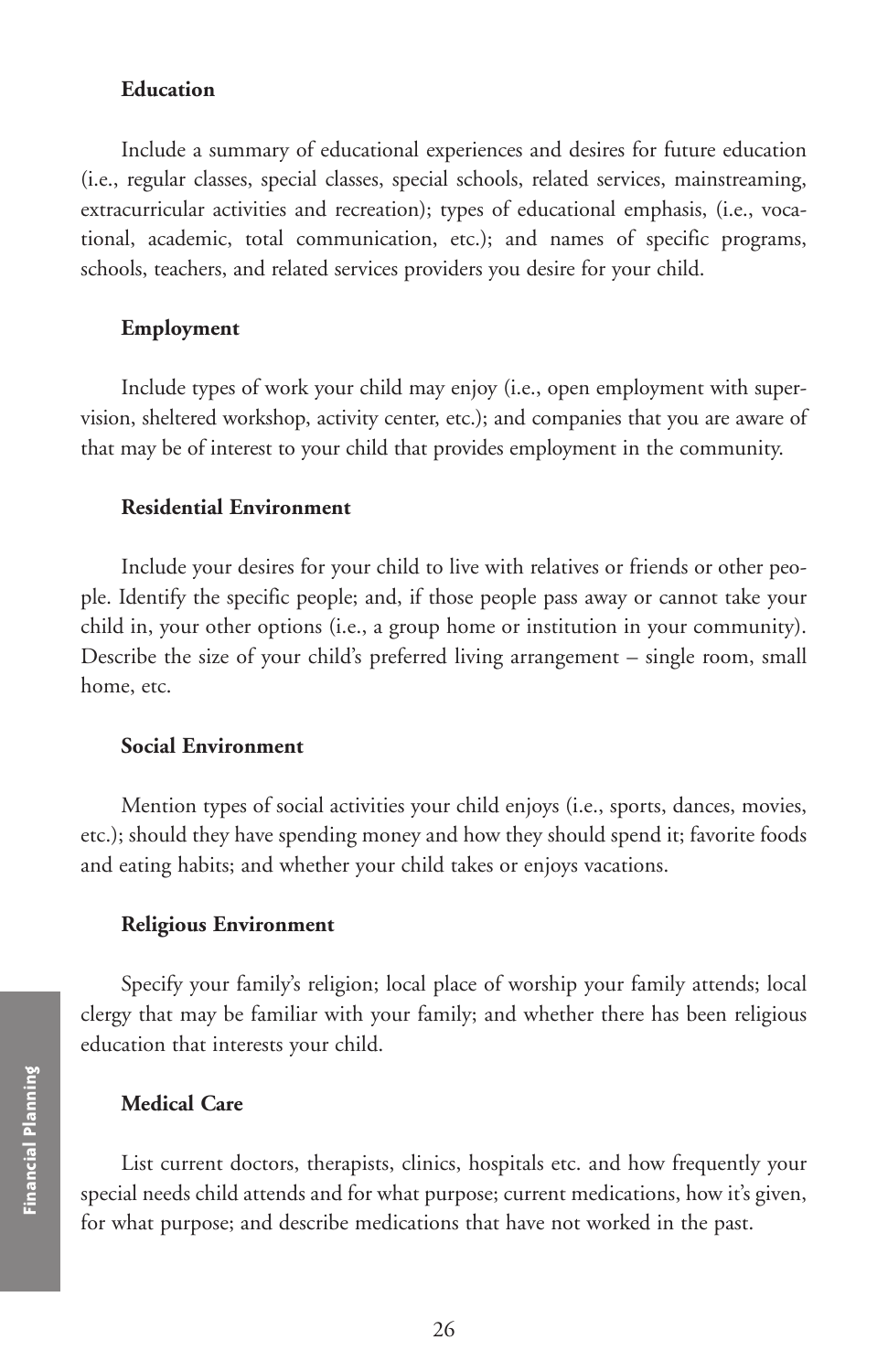#### **Education**

Include a summary of educational experiences and desires for future education (i.e., regular classes, special classes, special schools, related services, mainstreaming, extracurricular activities and recreation); types of educational emphasis, (i.e., vocational, academic, total communication, etc.); and names of specific programs, schools, teachers, and related services providers you desire for your child.

#### **Employment**

Include types of work your child may enjoy (i.e., open employment with supervision, sheltered workshop, activity center, etc.); and companies that you are aware of that may be of interest to your child that provides employment in the community.

#### **Residential Environment**

Include your desires for your child to live with relatives or friends or other people. Identify the specific people; and, if those people pass away or cannot take your child in, your other options (i.e., a group home or institution in your community). Describe the size of your child's preferred living arrangement – single room, small home, etc.

#### **Social Environment**

Mention types of social activities your child enjoys (i.e., sports, dances, movies, etc.); should they have spending money and how they should spend it; favorite foods and eating habits; and whether your child takes or enjoys vacations.

#### **Religious Environment**

Specify your family's religion; local place of worship your family attends; local clergy that may be familiar with your family; and whether there has been religious education that interests your child.

#### **Medical Care**

List current doctors, therapists, clinics, hospitals etc. and how frequently your special needs child attends and for what purpose; current medications, how it's given, **Medical Care**<br>**Example 1**<br>**Example 1**<br>**Example 1**<br>**Example 1**<br>**Example 1**<br>**Example 1**<br>**Example 1**<br>**Example 1**<br>**Planning**<br>**Planning**<br>**Planning**<br>**Planning**<br>**Planning**<br>**Planning**<br>**Planning**<br>**Planning**<br>**Planning**<br>**Planning**<br>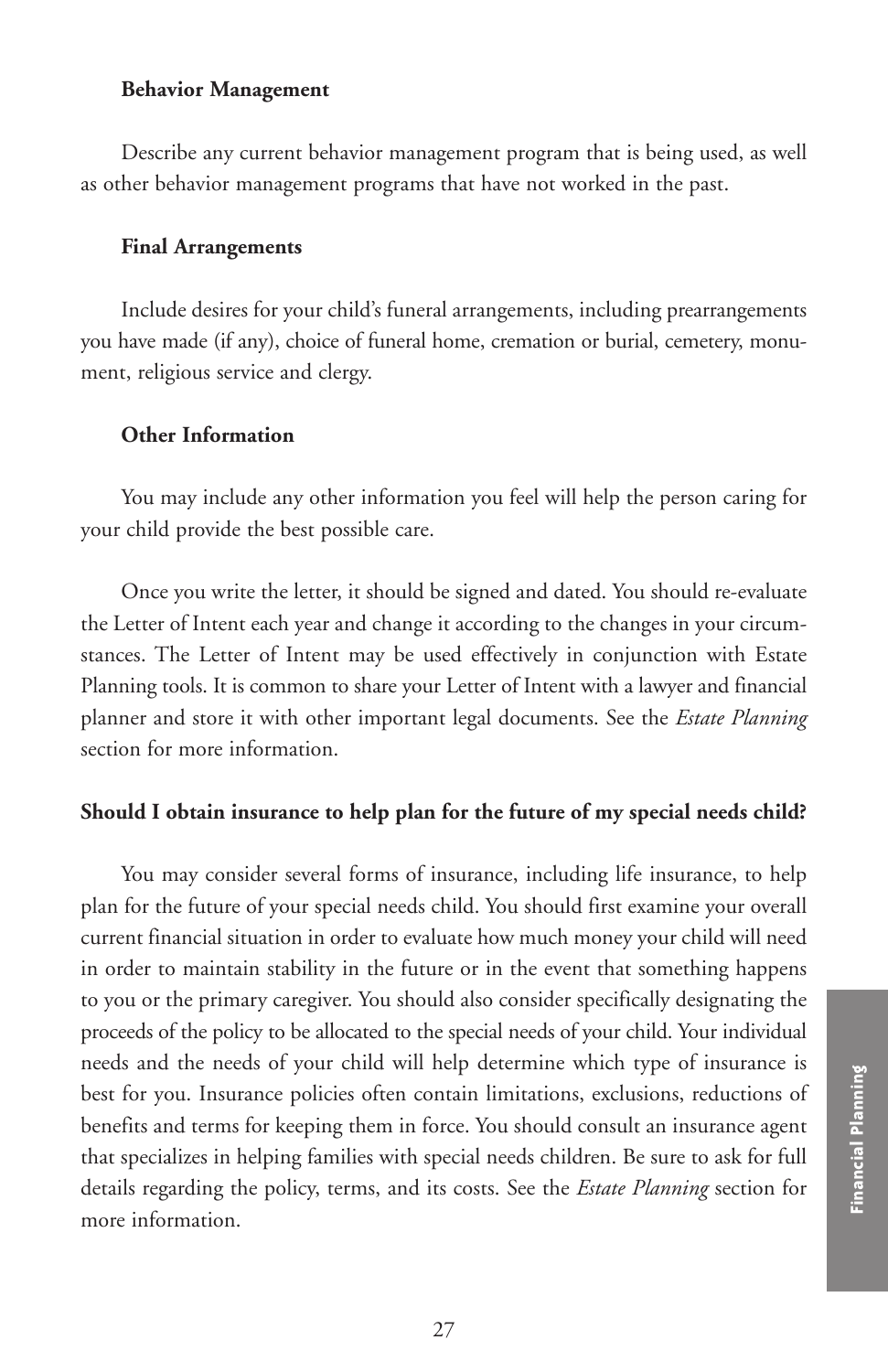#### **Behavior Management**

Describe any current behavior management program that is being used, as well as other behavior management programs that have not worked in the past.

#### **Final Arrangements**

Include desires for your child's funeral arrangements, including prearrangements you have made (if any), choice of funeral home, cremation or burial, cemetery, monument, religious service and clergy.

#### **Other Information**

You may include any other information you feel will help the person caring for your child provide the best possible care.

Once you write the letter, it should be signed and dated. You should re-evaluate the Letter of Intent each year and change it according to the changes in your circumstances. The Letter of Intent may be used effectively in conjunction with Estate Planning tools. It is common to share your Letter of Intent with a lawyer and financial planner and store it with other important legal documents. See the *Estate Planning* section for more information.

### **Should I obtain insurance to help plan for the future of my special needs child?**

You may consider several forms of insurance, including life insurance, to help plan for the future of your special needs child. You should first examine your overall current financial situation in order to evaluate how much money your child will need in order to maintain stability in the future or in the event that something happens to you or the primary caregiver. You should also consider specifically designating the proceeds of the policy to be allocated to the special needs of your child. Your individual needs and the needs of your child will help determine which type of insurance is best for you. Insurance policies often contain limitations, exclusions, reductions of benefits and terms for keeping them in force. You should consult an insurance agent that specializes in helping families with special needs children. Be sure to ask for full details regarding the policy, terms, and its costs. See the *Estate Planning* section for more information.<br>
However, the product of the main imitations, exclusions, reductions of<br>
benefits and terms for keeping them in force. You should consult an insurance agent<br>
that specializes in helping families with spec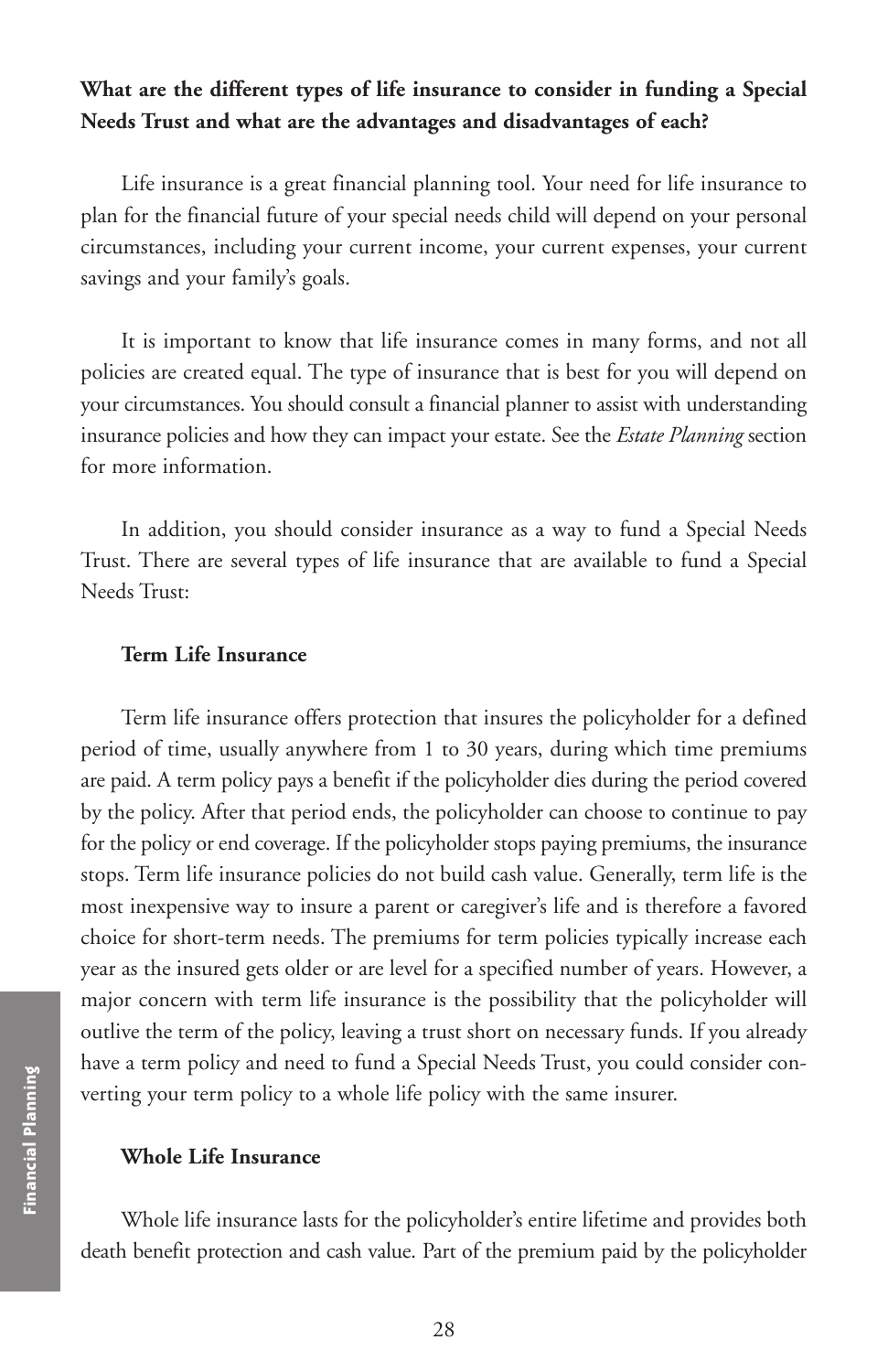# **What are the different types of life insurance to consider in funding a Special Needs Trust and what are the advantages and disadvantages of each?**

Life insurance is a great financial planning tool. Your need for life insurance to plan for the financial future of your special needs child will depend on your personal circumstances, including your current income, your current expenses, your current savings and your family's goals.

It is important to know that life insurance comes in many forms, and not all policies are created equal. The type of insurance that is best for you will depend on your circumstances. You should consult a financial planner to assist with understanding insurance policies and how they can impact your estate. See the *Estate Planning* section for more information.

In addition, you should consider insurance as a way to fund a Special Needs Trust. There are several types of life insurance that are available to fund a Special Needs Trust:

#### **Term Life Insurance**

Term life insurance offers protection that insures the policyholder for a defined period of time, usually anywhere from 1 to 30 years, during which time premiums are paid. A term policy pays a benefit if the policyholder dies during the period covered by the policy. After that period ends, the policyholder can choose to continue to pay for the policy or end coverage. If the policyholder stops paying premiums, the insurance stops. Term life insurance policies do not build cash value. Generally, term life is the most inexpensive way to insure a parent or caregiver's life and is therefore a favored choice for short-term needs. The premiums for term policies typically increase each year as the insured gets older or are level for a specified number of years. However, a major concern with term life insurance is the possibility that the policyholder will outlive the term of the policy, leaving a trust short on necessary funds. If you already have a term policy and need to fund a Special Needs Trust, you could consider converting your term policy to a whole life policy with the same insurer.

#### **Whole Life Insurance**

Whole life insurance lasts for the policyholder's entire lifetime and provides both death benefit protection and cash value. Part of the premium paid by the policyholder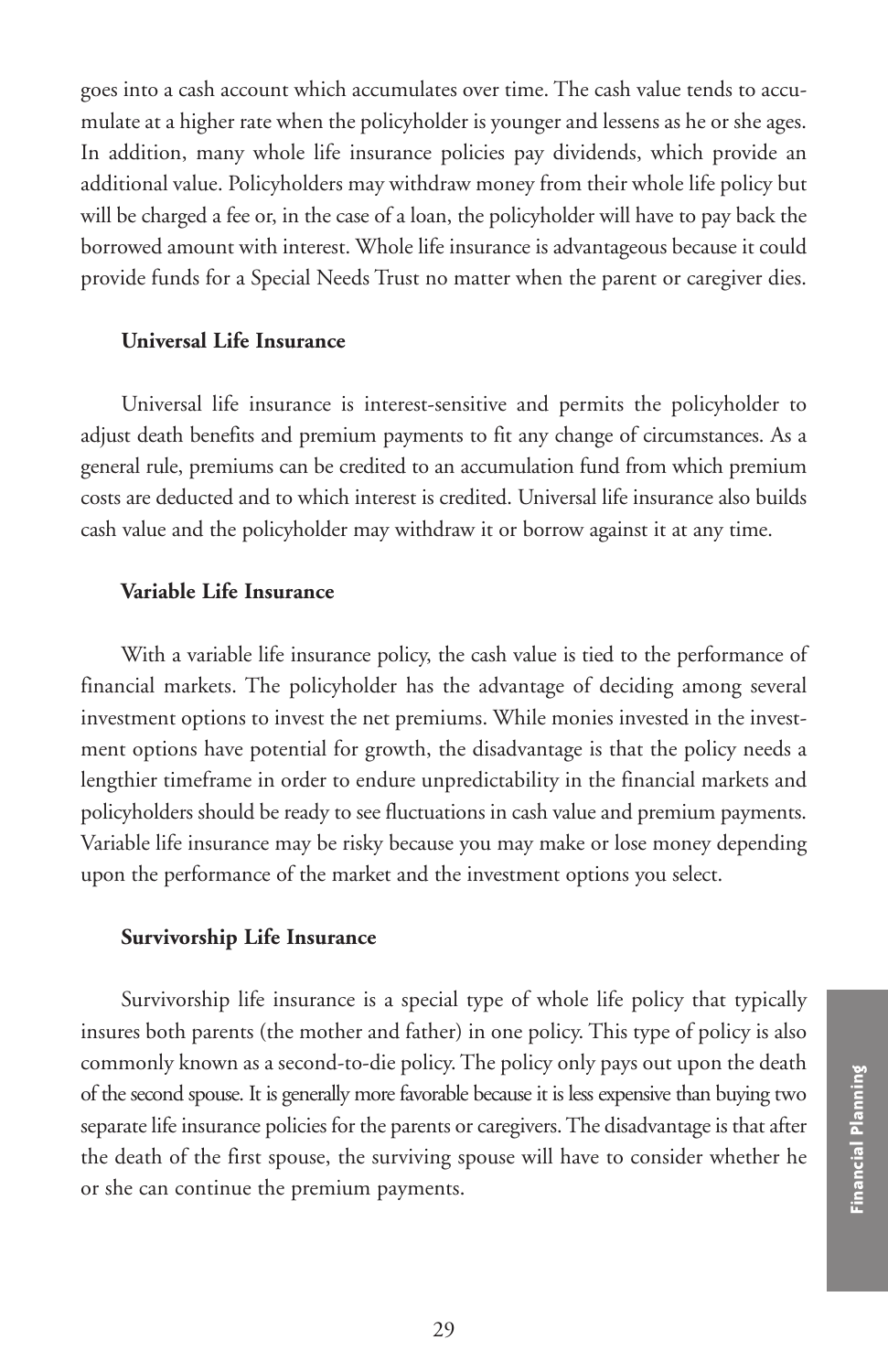goes into a cash account which accumulates over time. The cash value tends to accumulate at a higher rate when the policyholder is younger and lessens as he or she ages. In addition, many whole life insurance policies pay dividends, which provide an additional value. Policyholders may withdraw money from their whole life policy but will be charged a fee or, in the case of a loan, the policyholder will have to pay back the borrowed amount with interest. Whole life insurance is advantageous because it could provide funds for a Special Needs Trust no matter when the parent or caregiver dies.

#### **Universal Life Insurance**

Universal life insurance is interest-sensitive and permits the policyholder to adjust death benefits and premium payments to fit any change of circumstances. As a general rule, premiums can be credited to an accumulation fund from which premium costs are deducted and to which interest is credited. Universal life insurance also builds cash value and the policyholder may withdraw it or borrow against it at any time.

#### **Variable Life Insurance**

With a variable life insurance policy, the cash value is tied to the performance of financial markets. The policyholder has the advantage of deciding among several investment options to invest the net premiums. While monies invested in the investment options have potential for growth, the disadvantage is that the policy needs a lengthier timeframe in order to endure unpredictability in the financial markets and policyholders should be ready to see fluctuations in cash value and premium payments. Variable life insurance may be risky because you may make or lose money depending upon the performance of the market and the investment options you select.

#### **Survivorship Life Insurance**

Survivorship life insurance is a special type of whole life policy that typically insures both parents (the mother and father) in one policy. This type of policy is also commonly known as a second-to-die policy. The policy only pays out upon the death of the second spouse. It is generally more favorable because it is less expensive than buying two separate life insurance policies for the parents or caregivers. The disadvantage is that after the death of the first spouse, the surviving spouse will have to consider whether he or the second spouse. It is generally more favorable because it is less expensive than buying two<br>separate life insurance policies for the parents or caregivers. The disadvantage is that after<br>the death of the first spouse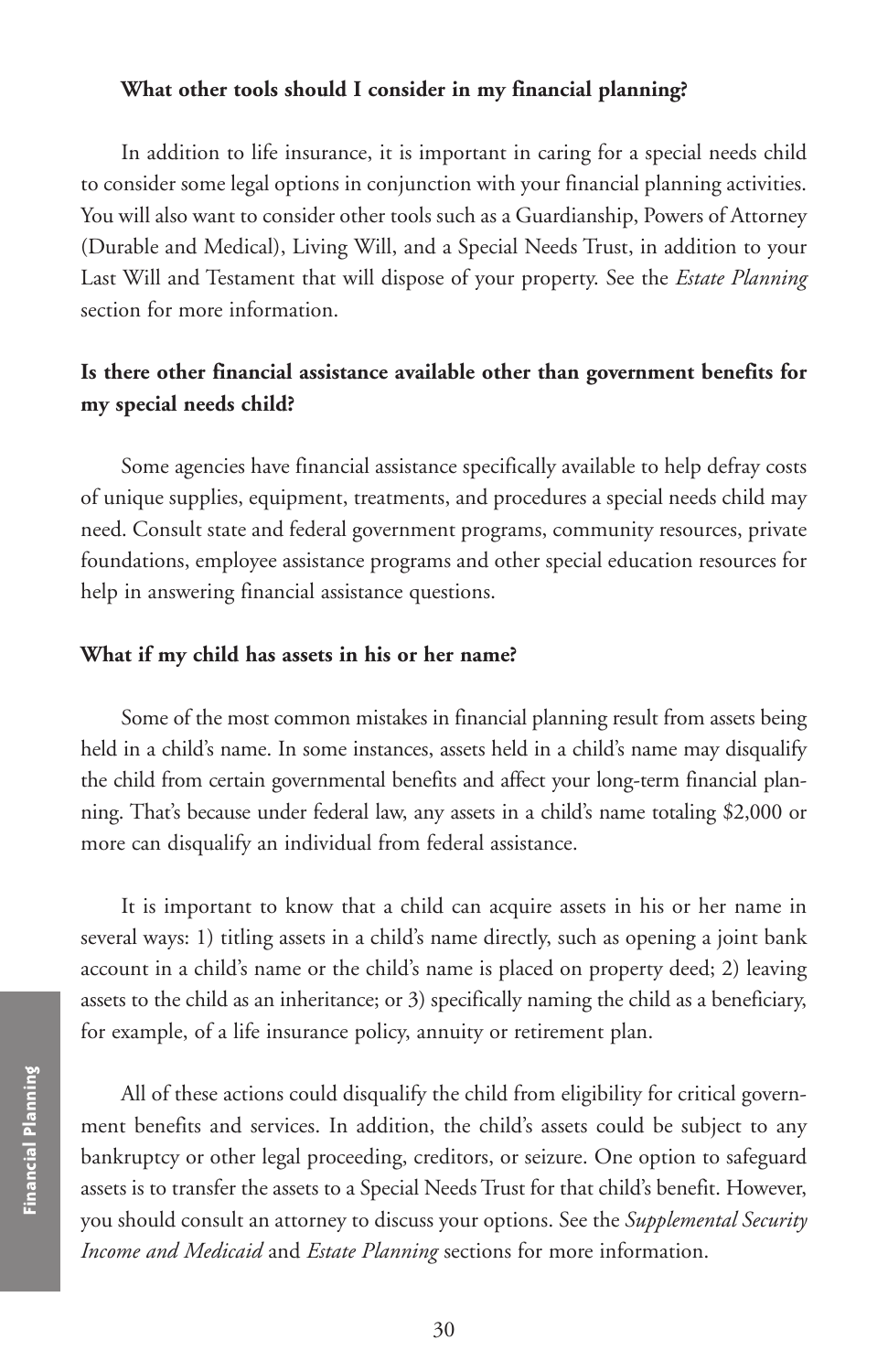#### **What other tools should I consider in my financial planning?**

In addition to life insurance, it is important in caring for a special needs child to consider some legal options in conjunction with your financial planning activities. You will also want to consider other tools such as a Guardianship, Powers of Attorney (Durable and Medical), Living Will, and a Special Needs Trust, in addition to your Last Will and Testament that will dispose of your property. See the *Estate Planning* section for more information.

# **Is there other financial assistance available other than government benefits for my special needs child?**

Some agencies have financial assistance specifically available to help defray costs of unique supplies, equipment, treatments, and procedures a special needs child may need. Consult state and federal government programs, community resources, private foundations, employee assistance programs and other special education resources for help in answering financial assistance questions.

#### **What if my child has assets in his or her name?**

Some of the most common mistakes in financial planning result from assets being held in a child's name. In some instances, assets held in a child's name may disqualify the child from certain governmental benefits and affect your long-term financial planning. That's because under federal law, any assets in a child's name totaling \$2,000 or more can disqualify an individual from federal assistance.

It is important to know that a child can acquire assets in his or her name in several ways: 1) titling assets in a child's name directly, such as opening a joint bank account in a child's name or the child's name is placed on property deed; 2) leaving assets to the child as an inheritance; or 3) specifically naming the child as a beneficiary, for example, of a life insurance policy, annuity or retirement plan.

All of these actions could disqualify the child from eligibility for critical government benefits and services. In addition, the child's assets could be subject to any bankruptcy or other legal proceeding, creditors, or seizure. One option to safeguard assets is to transfer the assets to a Special Needs Trust for that child's benefit. However, you should consult an attorney to discuss your options. See the *Supplemental Security Income and Medicaid* and *Estate Planning* sections for more information.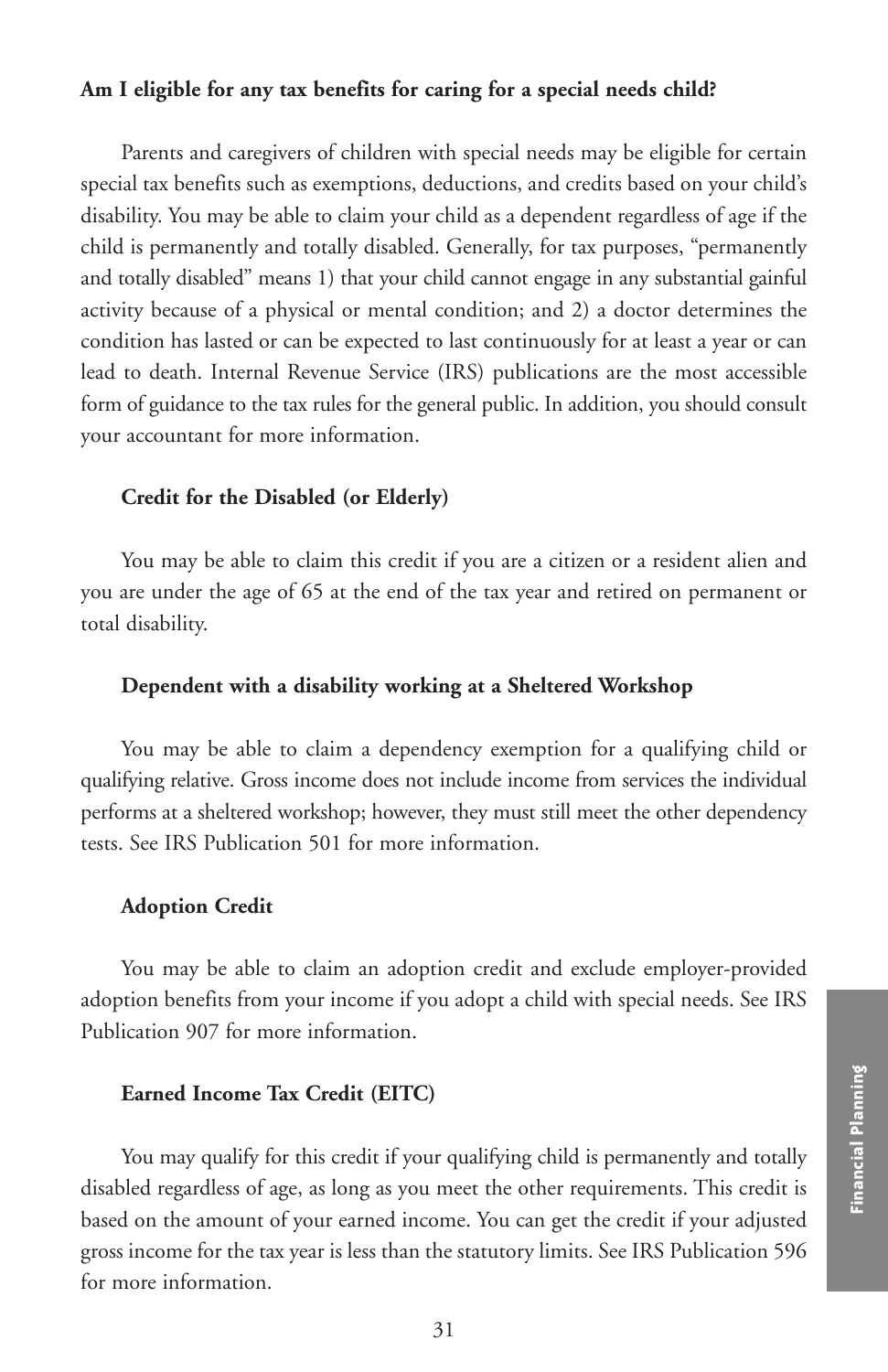### **Am I eligible for any tax benefits for caring for a special needs child?**

Parents and caregivers of children with special needs may be eligible for certain special tax benefits such as exemptions, deductions, and credits based on your child's disability. You may be able to claim your child as a dependent regardless of age if the child is permanently and totally disabled. Generally, for tax purposes, "permanently and totally disabled" means 1) that your child cannot engage in any substantial gainful activity because of a physical or mental condition; and 2) a doctor determines the condition has lasted or can be expected to last continuously for at least a year or can lead to death. Internal Revenue Service (IRS) publications are the most accessible form of guidance to the tax rules for the general public. In addition, you should consult your accountant for more information.

#### **Credit for the Disabled (or Elderly)**

You may be able to claim this credit if you are a citizen or a resident alien and you are under the age of 65 at the end of the tax year and retired on permanent or total disability.

#### **Dependent with a disability working at a Sheltered Workshop**

You may be able to claim a dependency exemption for a qualifying child or qualifying relative. Gross income does not include income from services the individual performs at a sheltered workshop; however, they must still meet the other dependency tests. See IRS Publication 501 for more information.

#### **Adoption Credit**

You may be able to claim an adoption credit and exclude employer-provided adoption benefits from your income if you adopt a child with special needs. See IRS Publication 907 for more information.

#### **Earned Income Tax Credit (EITC)**

You may qualify for this credit if your qualifying child is permanently and totally disabled regardless of age, as long as you meet the other requirements. This credit is based on the amount of your earned income. You can get the credit if your adjusted gross income for the tax year is less than the statutory limits. See IRS Publication 596 for more information.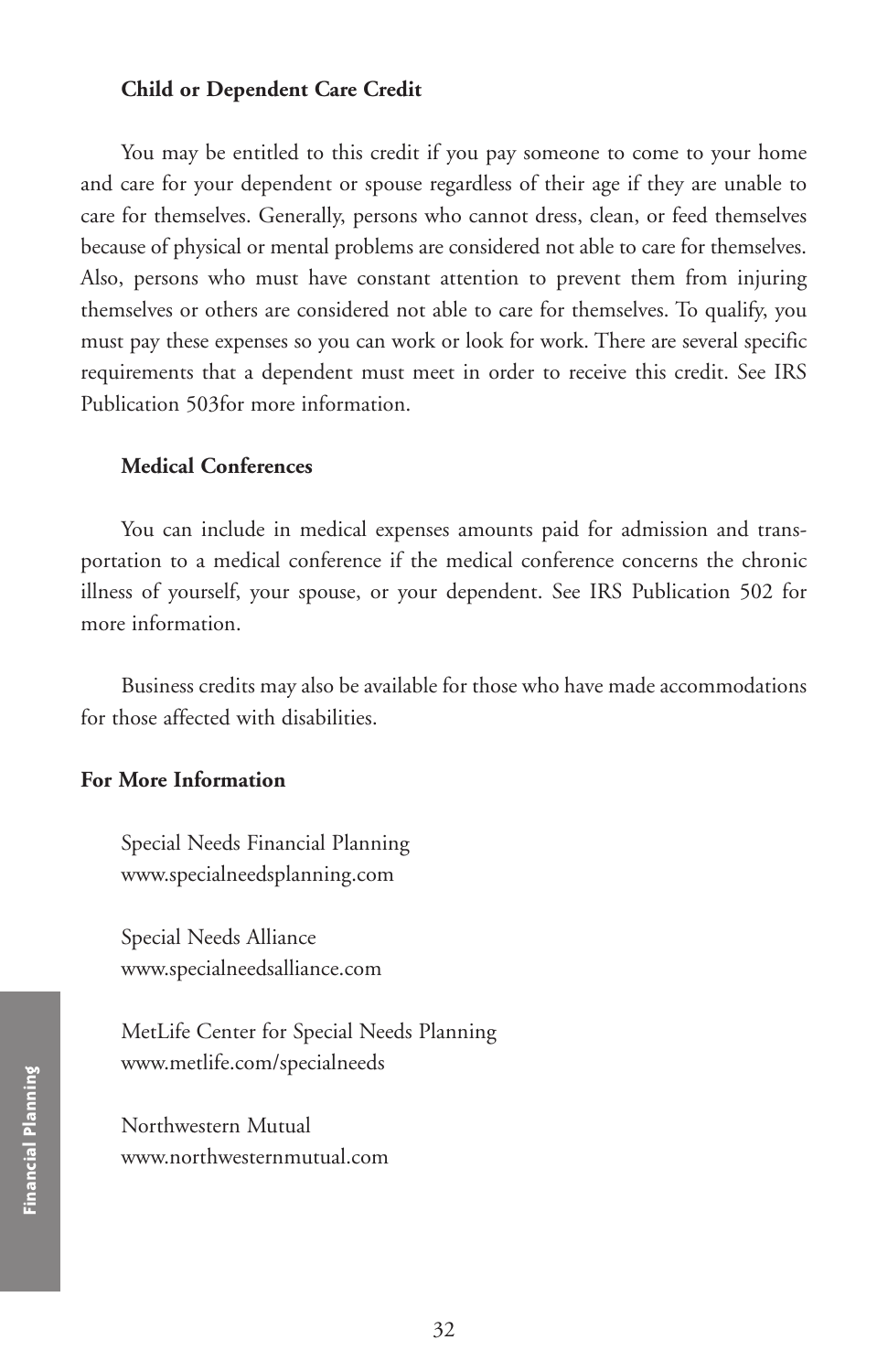#### **Child or Dependent Care Credit**

You may be entitled to this credit if you pay someone to come to your home and care for your dependent or spouse regardless of their age if they are unable to care for themselves. Generally, persons who cannot dress, clean, or feed themselves because of physical or mental problems are considered not able to care for themselves. Also, persons who must have constant attention to prevent them from injuring themselves or others are considered not able to care for themselves. To qualify, you must pay these expenses so you can work or look for work. There are several specific requirements that a dependent must meet in order to receive this credit. See IRS Publication 503for more information.

#### **Medical Conferences**

You can include in medical expenses amounts paid for admission and transportation to a medical conference if the medical conference concerns the chronic illness of yourself, your spouse, or your dependent. See IRS Publication 502 for more information.

Business credits may also be available for those who have made accommodations for those affected with disabilities.

## **For More Information**

Special Needs Financial Planning www.specialneedsplanning.com

Special Needs Alliance www.specialneedsalliance.com

MetLife Center for Special Needs Planning www.metlife.com/specialneeds

Northwestern Mutual www.northwesternmutual.com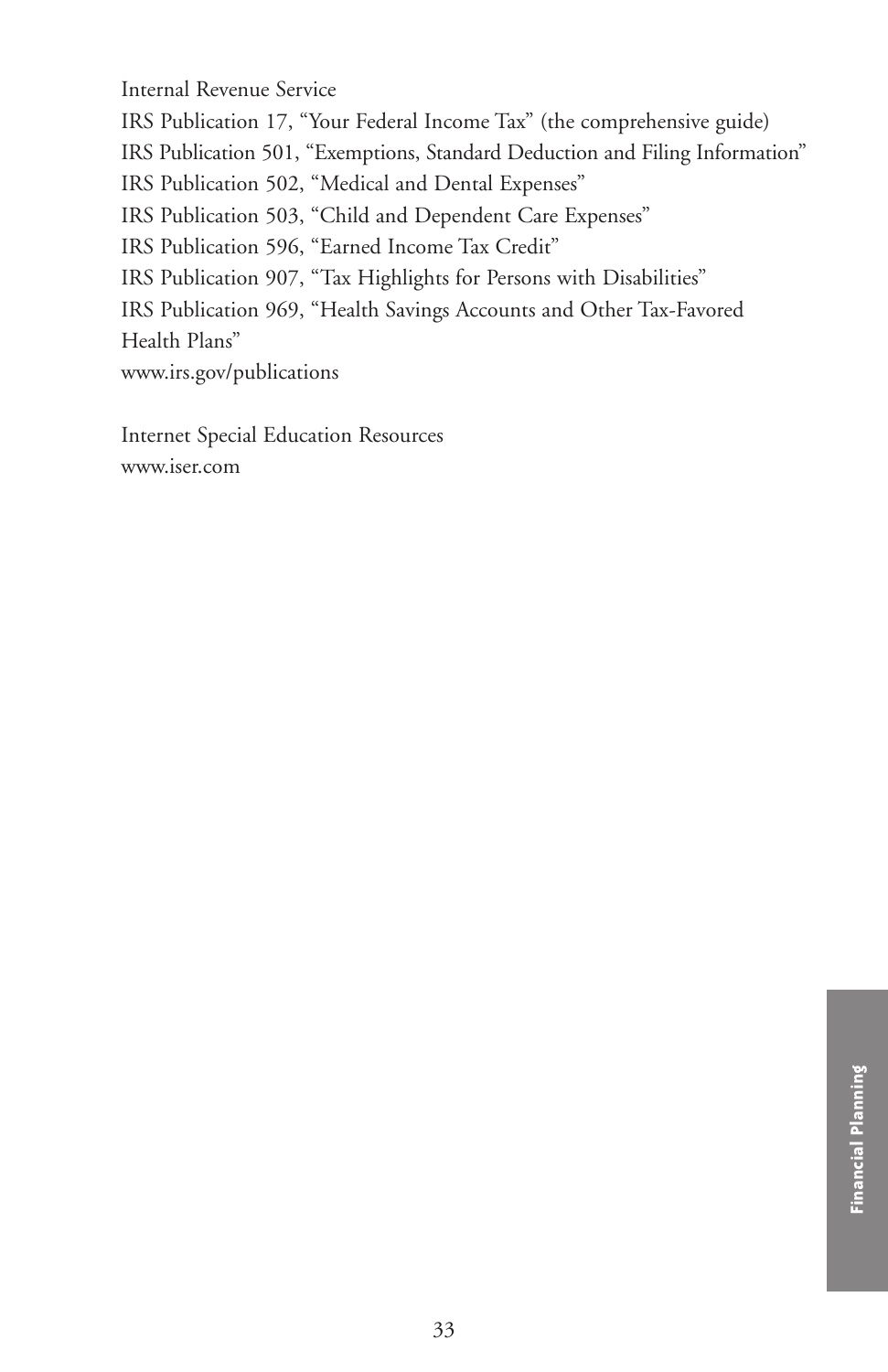Internal Revenue Service

IRS Publication 17, "Your Federal Income Tax" (the comprehensive guide) IRS Publication 501, "Exemptions, Standard Deduction and Filing Information" IRS Publication 502, "Medical and Dental Expenses" IRS Publication 503, "Child and Dependent Care Expenses" IRS Publication 596, "Earned Income Tax Credit" IRS Publication 907, "Tax Highlights for Persons with Disabilities" IRS Publication 969, "Health Savings Accounts and Other Tax-Favored Health Plans" www.irs.gov/publications

Internet Special Education Resources www.iser.com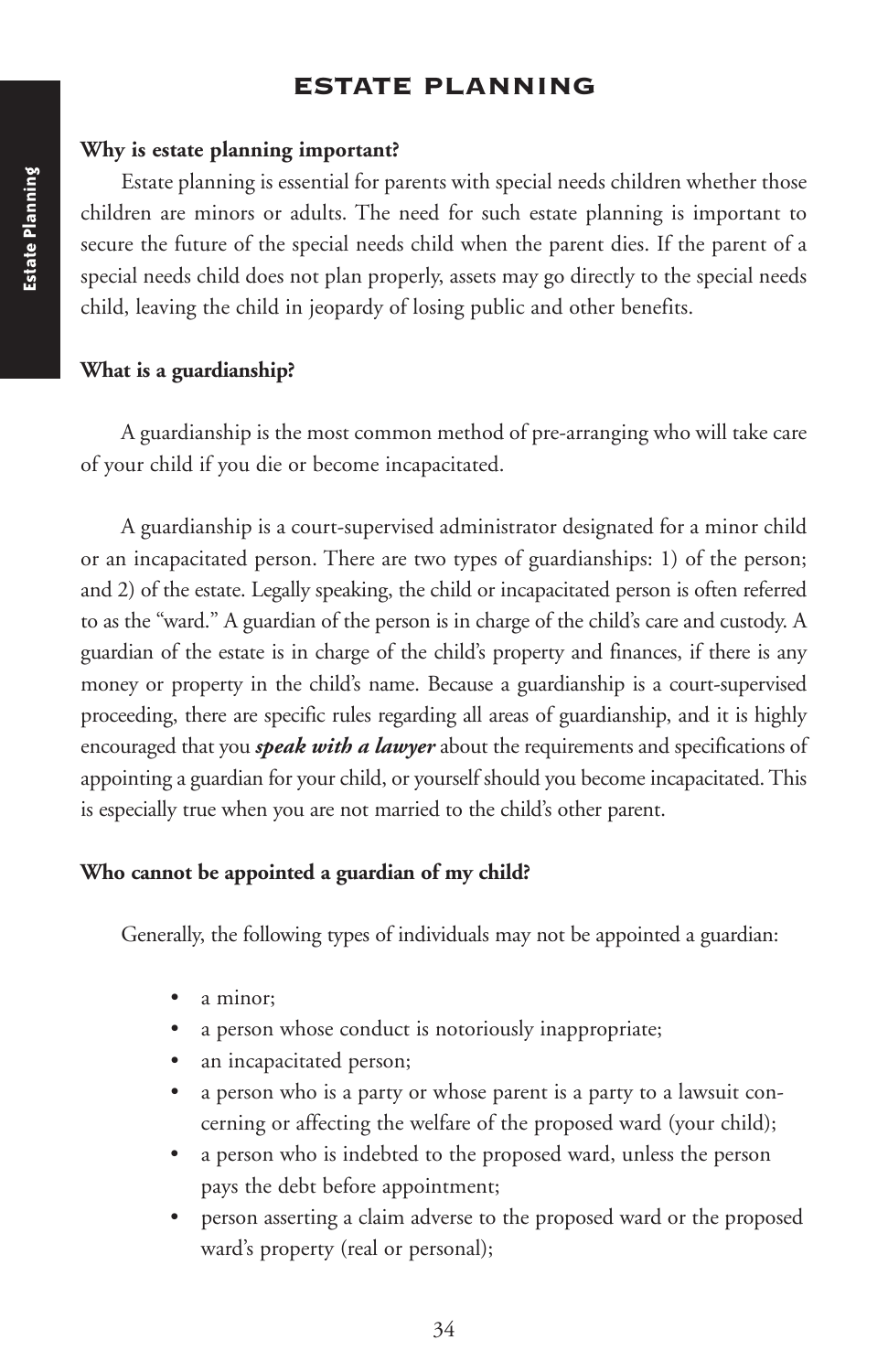# **ESTATE PLANNING**

#### **Why is estate planning important?**

Estate planning is essential for parents with special needs children whether those children are minors or adults. The need for such estate planning is important to secure the future of the special needs child when the parent dies. If the parent of a special needs child does not plan properly, assets may go directly to the special needs child, leaving the child in jeopardy of losing public and other benefits.

### **What is a guardianship?**

A guardianship is the most common method of pre-arranging who will take care of your child if you die or become incapacitated.

A guardianship is a court-supervised administrator designated for a minor child or an incapacitated person. There are two types of guardianships: 1) of the person; and 2) of the estate. Legally speaking, the child or incapacitated person is often referred to as the "ward." A guardian of the person is in charge of the child's care and custody. A guardian of the estate is in charge of the child's property and finances, if there is any money or property in the child's name. Because a guardianship is a court-supervised proceeding, there are specific rules regarding all areas of guardianship, and it is highly encouraged that you *speak with a lawyer* about the requirements and specifications of appointing a guardian for your child, or yourself should you become incapacitated.This is especially true when you are not married to the child's other parent.

### **Who cannot be appointed a guardian of my child?**

Generally, the following types of individuals may not be appointed a guardian:

- a minor;
- a person whose conduct is notoriously inappropriate;
- an incapacitated person;
- a person who is a party or whose parent is a party to a lawsuit concerning or affecting the welfare of the proposed ward (your child);
- a person who is indebted to the proposed ward, unless the person pays the debt before appointment;
- person asserting a claim adverse to the proposed ward or the proposed ward's property (real or personal);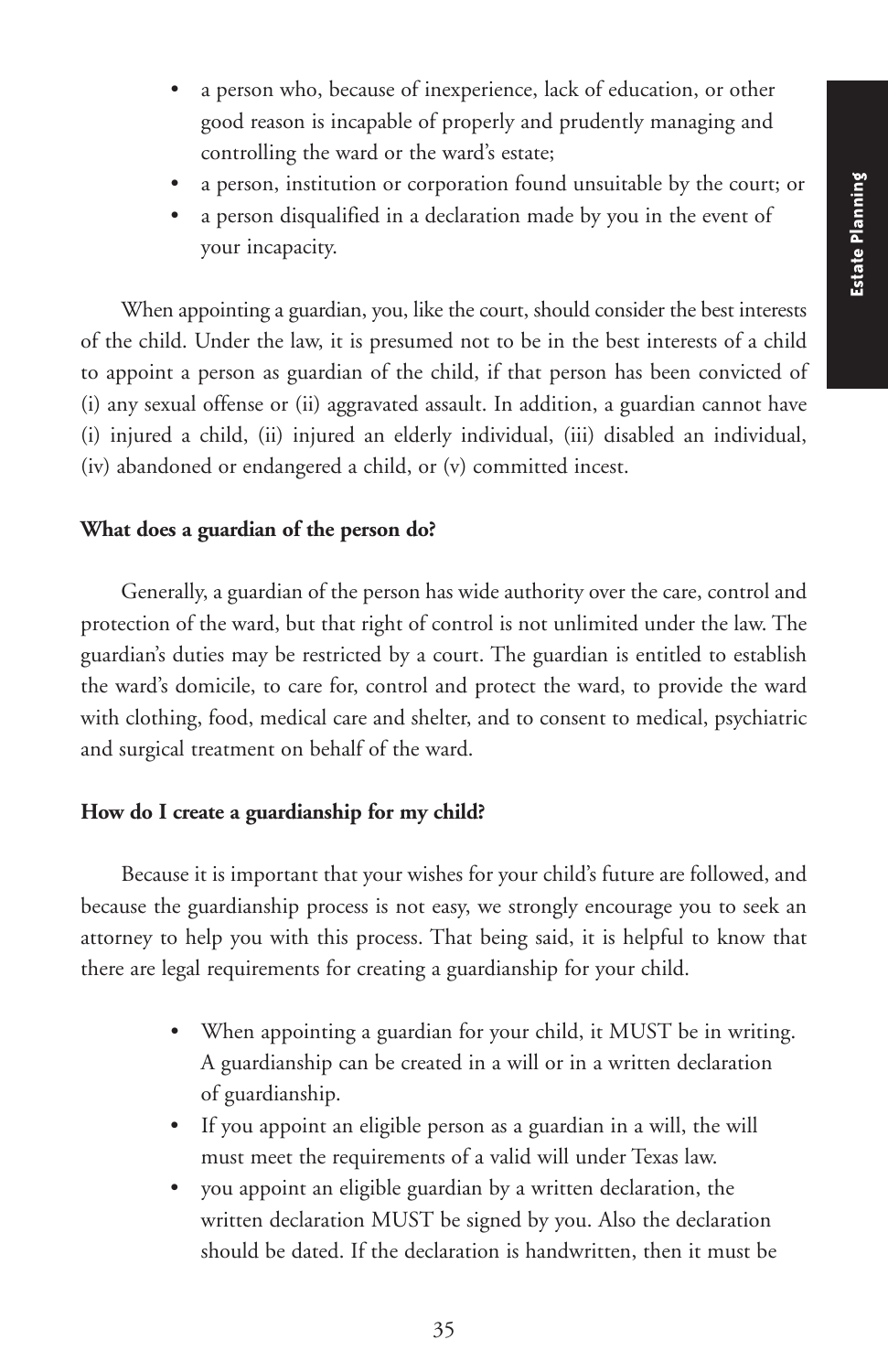- a person who, because of inexperience, lack of education, or other good reason is incapable of properly and prudently managing and controlling the ward or the ward's estate;
- a person, institution or corporation found unsuitable by the court; or
- a person disqualified in a declaration made by you in the event of your incapacity.

When appointing a guardian, you, like the court, should consider the best interests of the child. Under the law, it is presumed not to be in the best interests of a child to appoint a person as guardian of the child, if that person has been convicted of (i) any sexual offense or (ii) aggravated assault. In addition, a guardian cannot have (i) injured a child, (ii) injured an elderly individual, (iii) disabled an individual, (iv) abandoned or endangered a child, or (v) committed incest.

### **What does a guardian of the person do?**

Generally, a guardian of the person has wide authority over the care, control and protection of the ward, but that right of control is not unlimited under the law. The guardian's duties may be restricted by a court. The guardian is entitled to establish the ward's domicile, to care for, control and protect the ward, to provide the ward with clothing, food, medical care and shelter, and to consent to medical, psychiatric and surgical treatment on behalf of the ward.

### **How do I create a guardianship for my child?**

Because it is important that your wishes for your child's future are followed, and because the guardianship process is not easy, we strongly encourage you to seek an attorney to help you with this process. That being said, it is helpful to know that there are legal requirements for creating a guardianship for your child.

- When appointing a guardian for your child, it MUST be in writing. A guardianship can be created in a will or in a written declaration of guardianship.
- If you appoint an eligible person as a guardian in a will, the will must meet the requirements of a valid will under Texas law.
- you appoint an eligible guardian by a written declaration, the written declaration MUST be signed by you. Also the declaration should be dated. If the declaration is handwritten, then it must be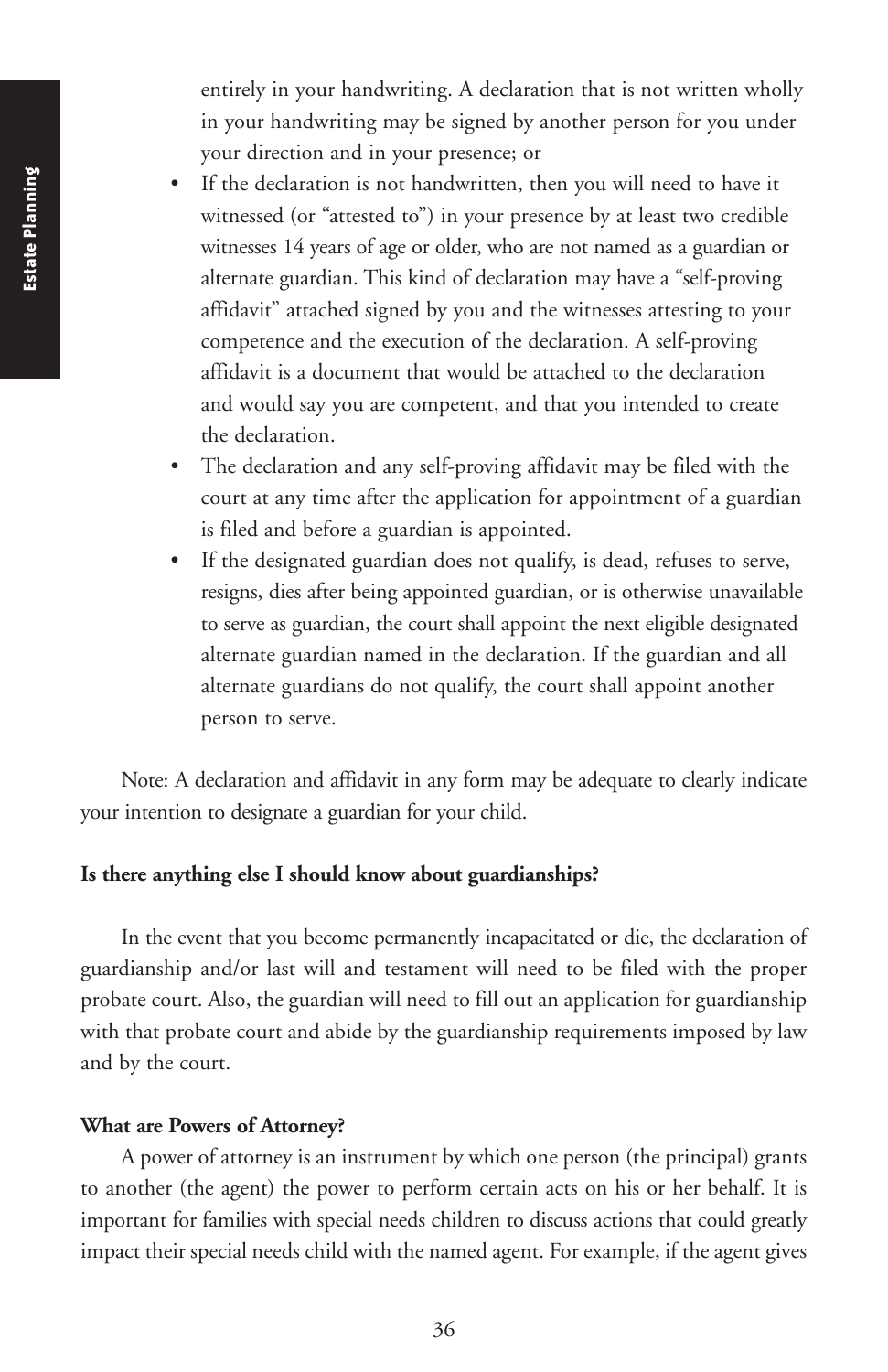entirely in your handwriting. A declaration that is not written wholly in your handwriting may be signed by another person for you under your direction and in your presence; or

- If the declaration is not handwritten, then you will need to have it witnessed (or "attested to") in your presence by at least two credible witnesses 14 years of age or older, who are not named as a guardian or alternate guardian. This kind of declaration may have a "self-proving affidavit" attached signed by you and the witnesses attesting to your competence and the execution of the declaration. A self-proving affidavit is a document that would be attached to the declaration and would say you are competent, and that you intended to create the declaration.
- The declaration and any self-proving affidavit may be filed with the court at any time after the application for appointment of a guardian is filed and before a guardian is appointed.
- If the designated guardian does not qualify, is dead, refuses to serve, resigns, dies after being appointed guardian, or is otherwise unavailable to serve as guardian, the court shall appoint the next eligible designated alternate guardian named in the declaration. If the guardian and all alternate guardians do not qualify, the court shall appoint another person to serve.

Note: A declaration and affidavit in any form may be adequate to clearly indicate your intention to designate a guardian for your child.

### **Is there anything else I should know about guardianships?**

In the event that you become permanently incapacitated or die, the declaration of guardianship and/or last will and testament will need to be filed with the proper probate court. Also, the guardian will need to fill out an application for guardianship with that probate court and abide by the guardianship requirements imposed by law and by the court.

#### **What are Powers of Attorney?**

A power of attorney is an instrument by which one person (the principal) grants to another (the agent) the power to perform certain acts on his or her behalf. It is important for families with special needs children to discuss actions that could greatly impact their special needs child with the named agent. For example, if the agent gives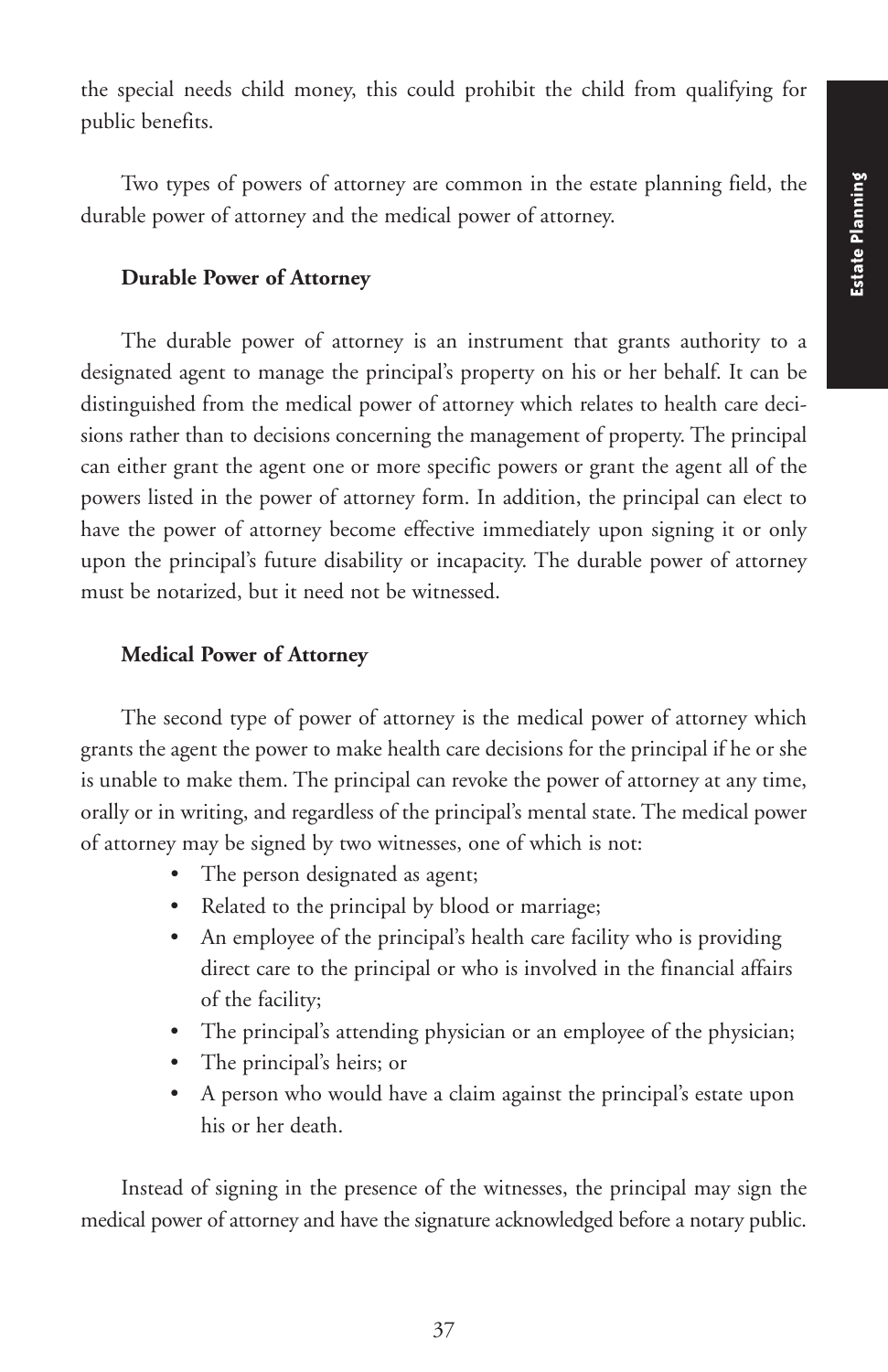the special needs child money, this could prohibit the child from qualifying for public benefits.

Two types of powers of attorney are common in the estate planning field, the durable power of attorney and the medical power of attorney.

#### **Durable Power of Attorney**

The durable power of attorney is an instrument that grants authority to a designated agent to manage the principal's property on his or her behalf. It can be distinguished from the medical power of attorney which relates to health care decisions rather than to decisions concerning the management of property. The principal can either grant the agent one or more specific powers or grant the agent all of the powers listed in the power of attorney form. In addition, the principal can elect to have the power of attorney become effective immediately upon signing it or only upon the principal's future disability or incapacity. The durable power of attorney must be notarized, but it need not be witnessed.

#### **Medical Power of Attorney**

The second type of power of attorney is the medical power of attorney which grants the agent the power to make health care decisions for the principal if he or she is unable to make them. The principal can revoke the power of attorney at any time, orally or in writing, and regardless of the principal's mental state. The medical power of attorney may be signed by two witnesses, one of which is not:

- The person designated as agent;
- Related to the principal by blood or marriage;
- An employee of the principal's health care facility who is providing direct care to the principal or who is involved in the financial affairs of the facility;
- The principal's attending physician or an employee of the physician;
- The principal's heirs; or
- A person who would have a claim against the principal's estate upon his or her death.

Instead of signing in the presence of the witnesses, the principal may sign the medical power of attorney and have the signature acknowledged before a notary public.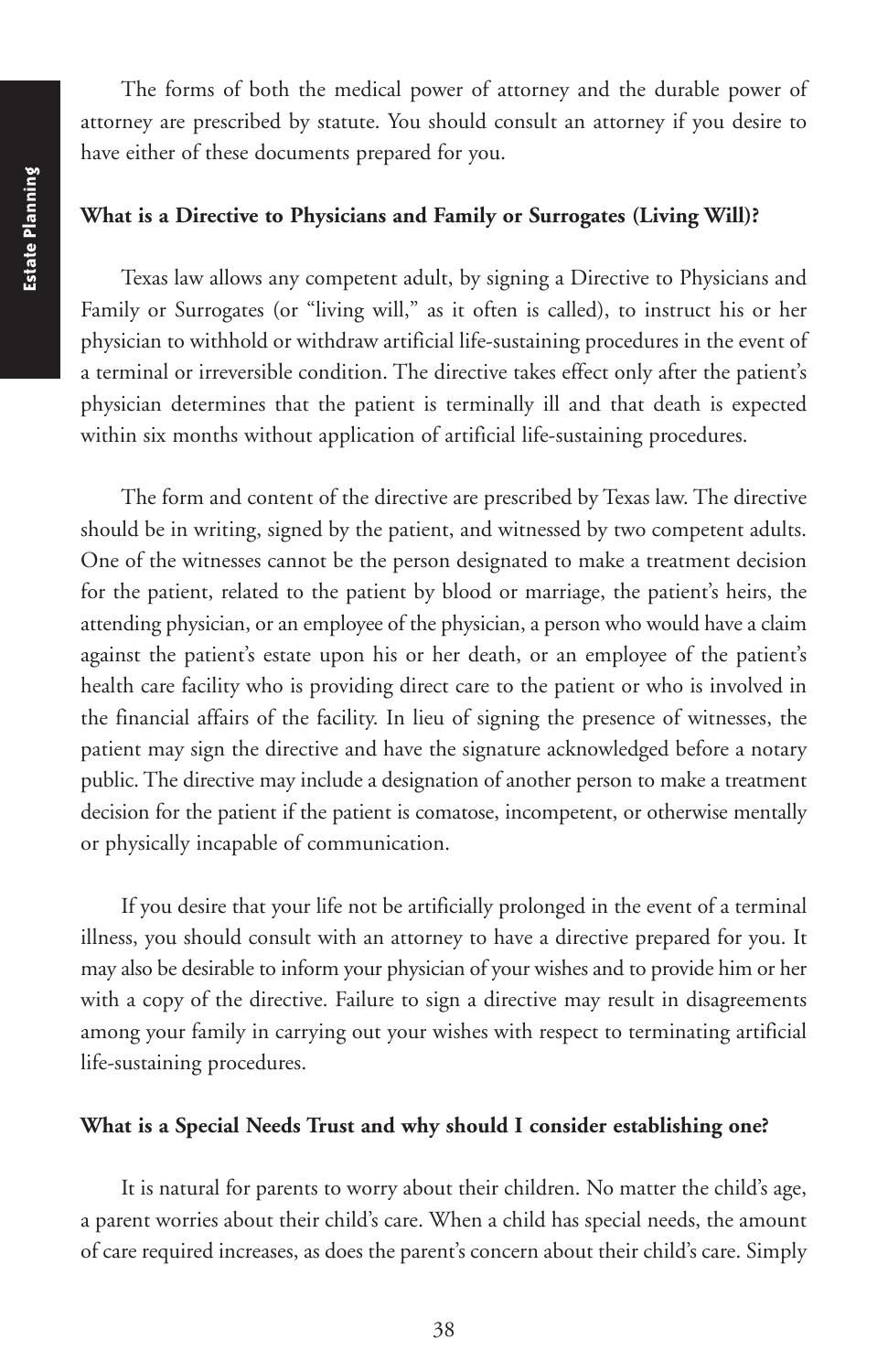The forms of both the medical power of attorney and the durable power of attorney are prescribed by statute. You should consult an attorney if you desire to have either of these documents prepared for you.

#### **What is a Directive to Physicians and Family or Surrogates (Living Will)?**

Texas law allows any competent adult, by signing a Directive to Physicians and Family or Surrogates (or "living will," as it often is called), to instruct his or her physician to withhold or withdraw artificial life-sustaining procedures in the event of a terminal or irreversible condition. The directive takes effect only after the patient's physician determines that the patient is terminally ill and that death is expected within six months without application of artificial life-sustaining procedures.

The form and content of the directive are prescribed by Texas law. The directive should be in writing, signed by the patient, and witnessed by two competent adults. One of the witnesses cannot be the person designated to make a treatment decision for the patient, related to the patient by blood or marriage, the patient's heirs, the attending physician, or an employee of the physician, a person who would have a claim against the patient's estate upon his or her death, or an employee of the patient's health care facility who is providing direct care to the patient or who is involved in the financial affairs of the facility. In lieu of signing the presence of witnesses, the patient may sign the directive and have the signature acknowledged before a notary public. The directive may include a designation of another person to make a treatment decision for the patient if the patient is comatose, incompetent, or otherwise mentally or physically incapable of communication.

If you desire that your life not be artificially prolonged in the event of a terminal illness, you should consult with an attorney to have a directive prepared for you. It may also be desirable to inform your physician of your wishes and to provide him or her with a copy of the directive. Failure to sign a directive may result in disagreements among your family in carrying out your wishes with respect to terminating artificial life-sustaining procedures.

### **What is a Special Needs Trust and why should I consider establishing one?**

It is natural for parents to worry about their children. No matter the child's age, a parent worries about their child's care. When a child has special needs, the amount of care required increases, as does the parent's concern about their child's care. Simply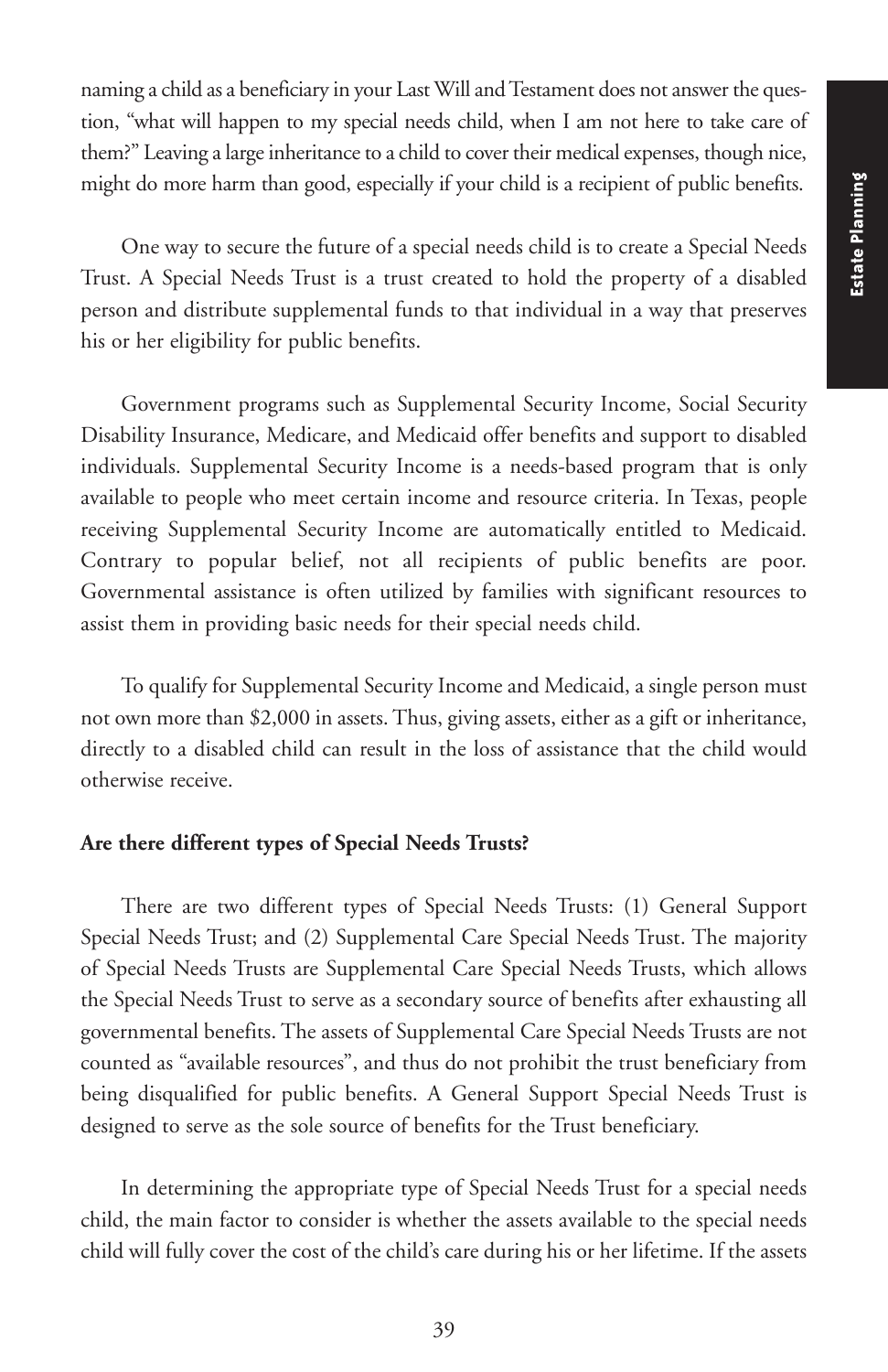naming a child as a beneficiary in your LastWill andTestament does not answer the question, "what will happen to my special needs child, when I am not here to take care of them?" Leaving a large inheritance to a child to cover their medical expenses, though nice, might do more harm than good, especially if your child is a recipient of public benefits.

One way to secure the future of a special needs child is to create a Special Needs Trust. A Special Needs Trust is a trust created to hold the property of a disabled person and distribute supplemental funds to that individual in a way that preserves his or her eligibility for public benefits.

Government programs such as Supplemental Security Income, Social Security Disability Insurance, Medicare, and Medicaid offer benefits and support to disabled individuals. Supplemental Security Income is a needs-based program that is only available to people who meet certain income and resource criteria. In Texas, people receiving Supplemental Security Income are automatically entitled to Medicaid. Contrary to popular belief, not all recipients of public benefits are poor. Governmental assistance is often utilized by families with significant resources to assist them in providing basic needs for their special needs child.

To qualify for Supplemental Security Income and Medicaid, a single person must not own more than \$2,000 in assets. Thus, giving assets, either as a gift or inheritance, directly to a disabled child can result in the loss of assistance that the child would otherwise receive.

#### **Are there different types of Special Needs Trusts?**

There are two different types of Special Needs Trusts: (1) General Support Special Needs Trust; and (2) Supplemental Care Special Needs Trust. The majority of Special Needs Trusts are Supplemental Care Special Needs Trusts, which allows the Special Needs Trust to serve as a secondary source of benefits after exhausting all governmental benefits. The assets of Supplemental Care Special Needs Trusts are not counted as "available resources", and thus do not prohibit the trust beneficiary from being disqualified for public benefits. A General Support Special Needs Trust is designed to serve as the sole source of benefits for the Trust beneficiary.

In determining the appropriate type of Special Needs Trust for a special needs child, the main factor to consider is whether the assets available to the special needs child will fully cover the cost of the child's care during his or her lifetime. If the assets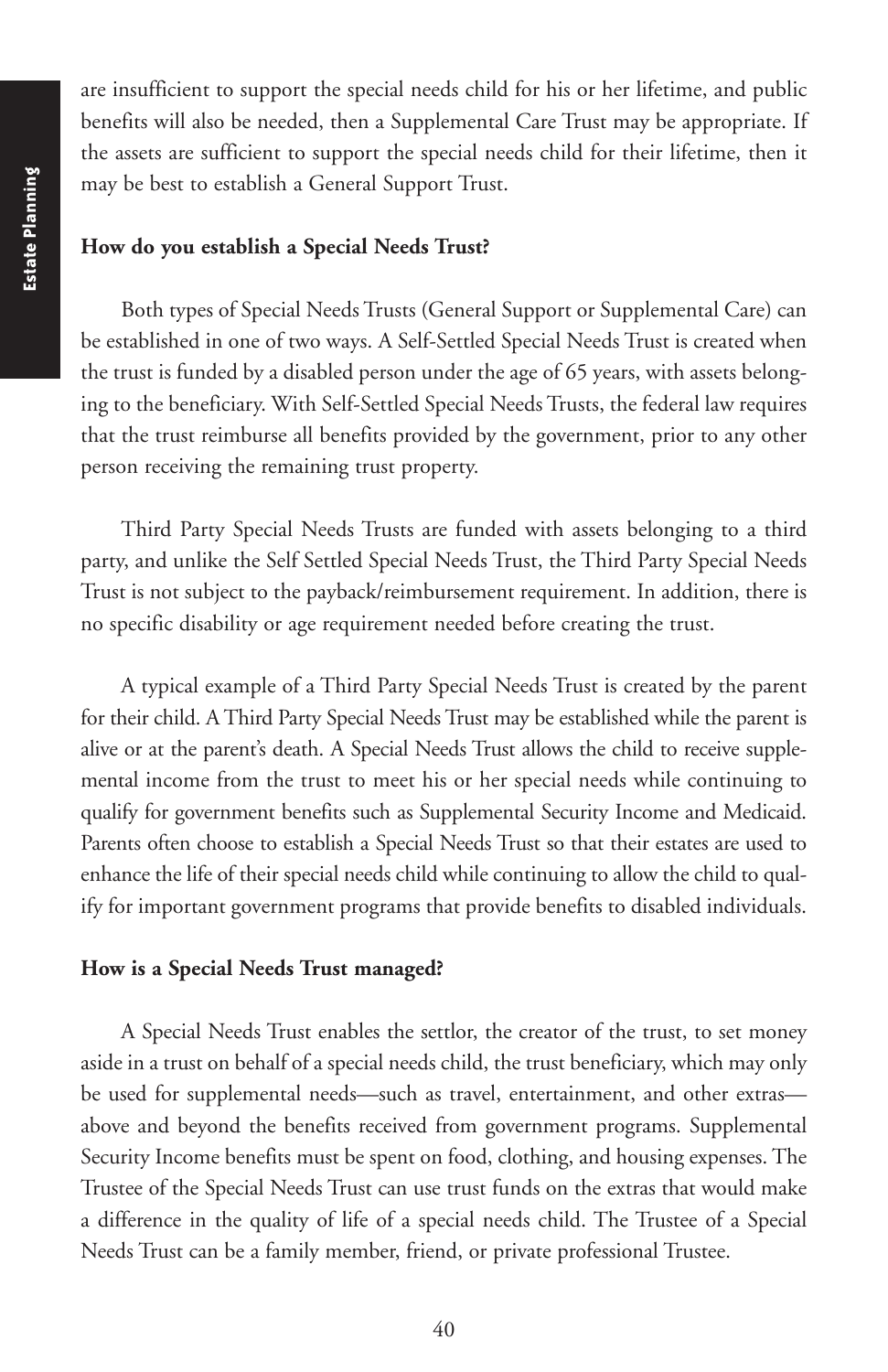are insufficient to support the special needs child for his or her lifetime, and public benefits will also be needed, then a Supplemental Care Trust may be appropriate. If the assets are sufficient to support the special needs child for their lifetime, then it may be best to establish a General Support Trust.

#### **How do you establish a Special Needs Trust?**

Both types of Special Needs Trusts (General Support or Supplemental Care) can be established in one of two ways. A Self-Settled Special Needs Trust is created when the trust is funded by a disabled person under the age of 65 years, with assets belonging to the beneficiary. With Self-Settled Special Needs Trusts, the federal law requires that the trust reimburse all benefits provided by the government, prior to any other person receiving the remaining trust property.

Third Party Special Needs Trusts are funded with assets belonging to a third party, and unlike the Self Settled Special Needs Trust, the Third Party Special Needs Trust is not subject to the payback/reimbursement requirement. In addition, there is no specific disability or age requirement needed before creating the trust.

A typical example of a Third Party Special Needs Trust is created by the parent for their child. A Third Party Special Needs Trust may be established while the parent is alive or at the parent's death. A Special Needs Trust allows the child to receive supplemental income from the trust to meet his or her special needs while continuing to qualify for government benefits such as Supplemental Security Income and Medicaid. Parents often choose to establish a Special Needs Trust so that their estates are used to enhance the life of their special needs child while continuing to allow the child to qualify for important government programs that provide benefits to disabled individuals.

### **How is a Special Needs Trust managed?**

A Special Needs Trust enables the settlor, the creator of the trust, to set money aside in a trust on behalf of a special needs child, the trust beneficiary, which may only be used for supplemental needs—such as travel, entertainment, and other extras above and beyond the benefits received from government programs. Supplemental Security Income benefits must be spent on food, clothing, and housing expenses. The Trustee of the Special Needs Trust can use trust funds on the extras that would make a difference in the quality of life of a special needs child. The Trustee of a Special Needs Trust can be a family member, friend, or private professional Trustee.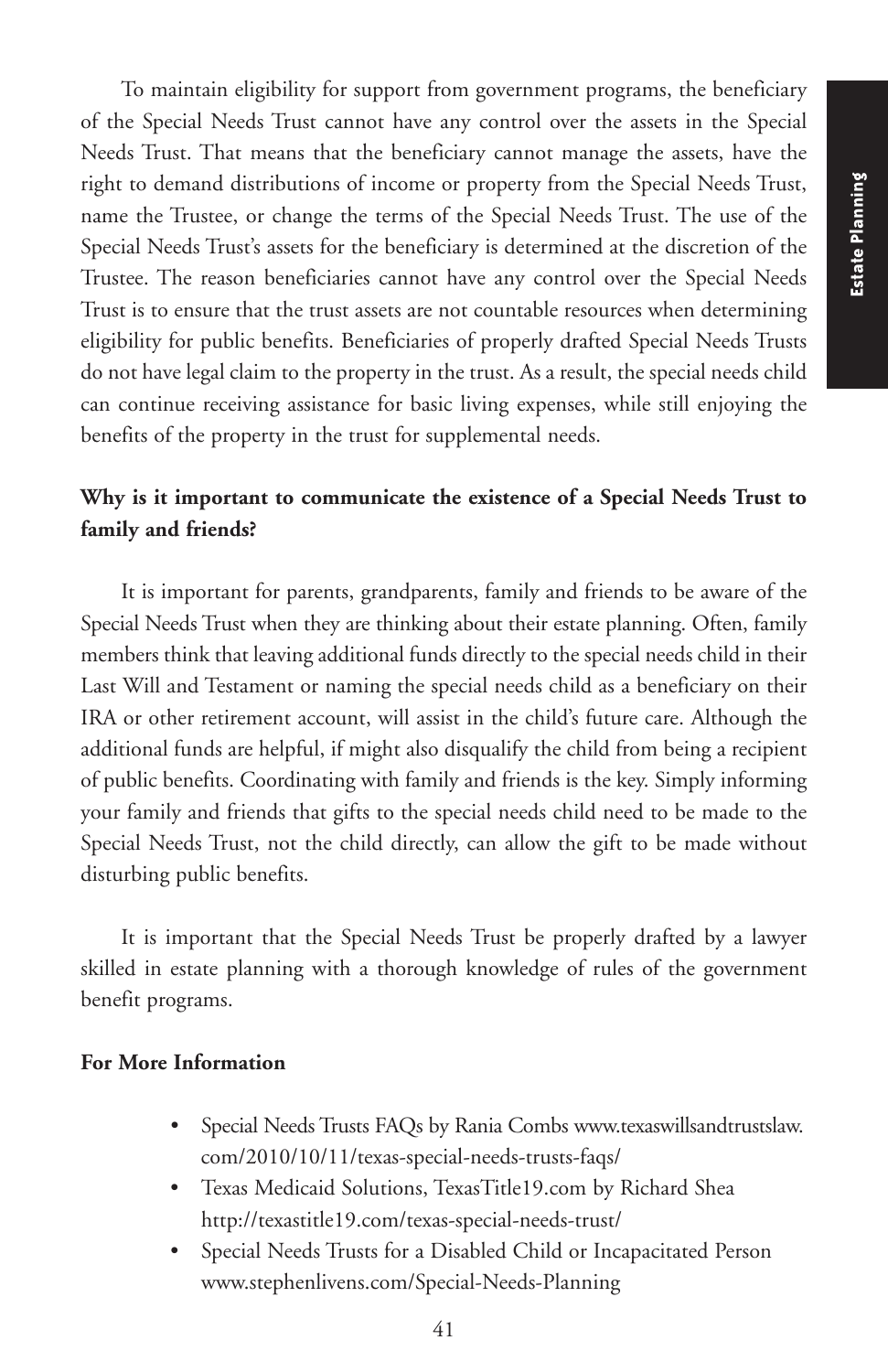To maintain eligibility for support from government programs, the beneficiary of the Special Needs Trust cannot have any control over the assets in the Special Needs Trust. That means that the beneficiary cannot manage the assets, have the right to demand distributions of income or property from the Special Needs Trust, name the Trustee, or change the terms of the Special Needs Trust. The use of the Special Needs Trust's assets for the beneficiary is determined at the discretion of the Trustee. The reason beneficiaries cannot have any control over the Special Needs Trust is to ensure that the trust assets are not countable resources when determining eligibility for public benefits. Beneficiaries of properly drafted Special Needs Trusts do not have legal claim to the property in the trust. As a result, the special needs child can continue receiving assistance for basic living expenses, while still enjoying the benefits of the property in the trust for supplemental needs.

# **Why is it important to communicate the existence of a Special Needs Trust to family and friends?**

It is important for parents, grandparents, family and friends to be aware of the Special Needs Trust when they are thinking about their estate planning. Often, family members think that leaving additional funds directly to the special needs child in their Last Will and Testament or naming the special needs child as a beneficiary on their IRA or other retirement account, will assist in the child's future care. Although the additional funds are helpful, if might also disqualify the child from being a recipient of public benefits. Coordinating with family and friends is the key. Simply informing your family and friends that gifts to the special needs child need to be made to the Special Needs Trust, not the child directly, can allow the gift to be made without disturbing public benefits.

It is important that the Special Needs Trust be properly drafted by a lawyer skilled in estate planning with a thorough knowledge of rules of the government benefit programs.

### **For More Information**

- Special Needs Trusts FAQs by Rania Combs www.texaswillsandtrustslaw. com/2010/10/11/texas-special-needs-trusts-faqs/
- Texas Medicaid Solutions, TexasTitle19.com by Richard Shea http://texastitle19.com/texas-special-needs-trust/
- Special Needs Trusts for a Disabled Child or Incapacitated Person www.stephenlivens.com/Special-Needs-Planning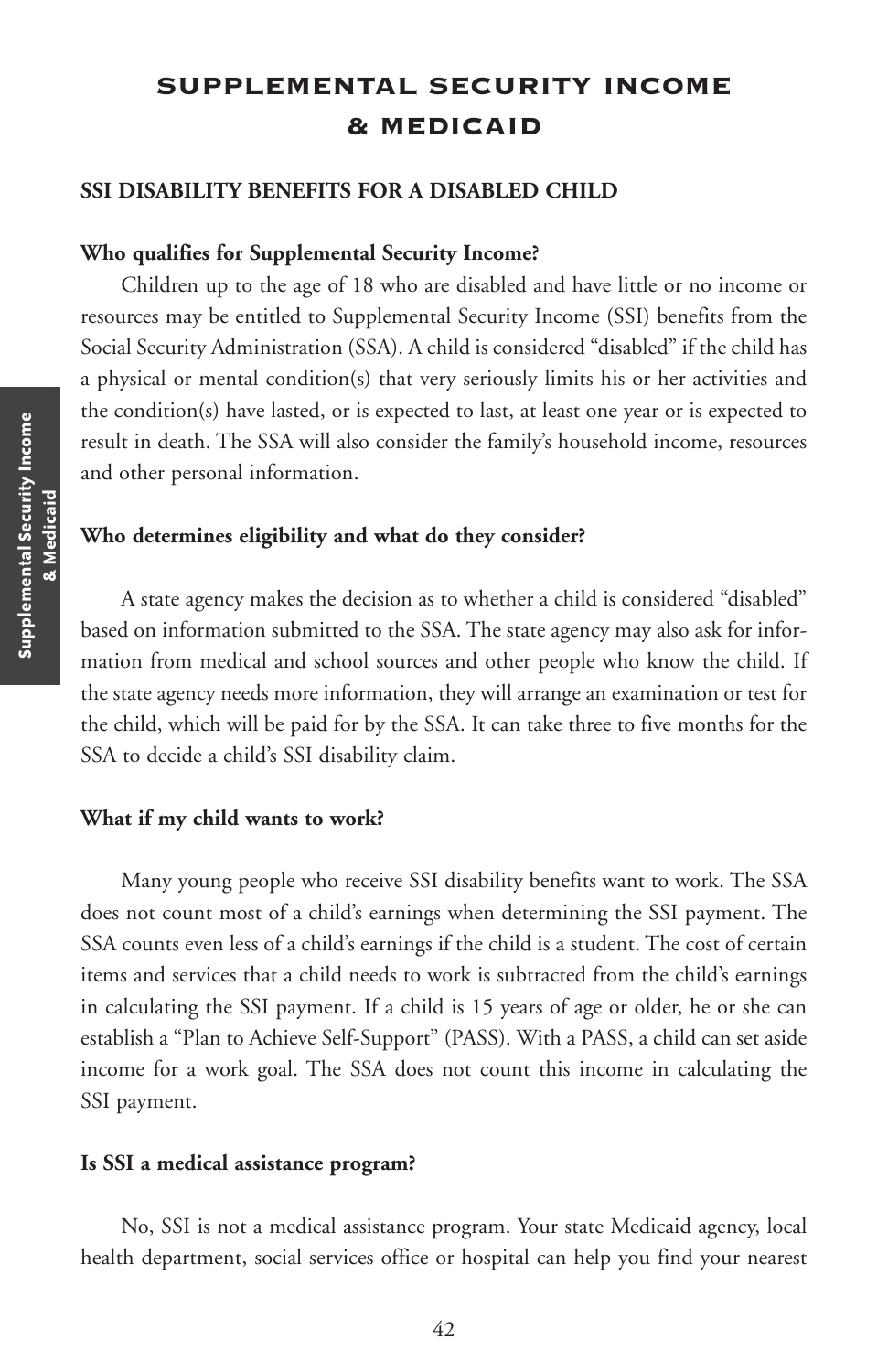# **SUPPLEMENTAL SECURITY INCOME & MEDICAID**

#### **SSI DISABILITY BENEFITS FOR A DISABLED CHILD**

#### **Who qualifies for Supplemental Security Income?**

Children up to the age of 18 who are disabled and have little or no income or resources may be entitled to Supplemental Security Income (SSI) benefits from the Social Security Administration (SSA). A child is considered "disabled" if the child has a physical or mental condition(s) that very seriously limits his or her activities and the condition(s) have lasted, or is expected to last, at least one year or is expected to result in death. The SSA will also consider the family's household income, resources and other personal information.

#### **Who determines eligibility and what do they consider?**

A state agency makes the decision as to whether a child is considered "disabled" based on information submitted to the SSA. The state agency may also ask for information from medical and school sources and other people who know the child. If the state agency needs more information, they will arrange an examination or test for the child, which will be paid for by the SSA. It can take three to five months for the SSA to decide a child's SSI disability claim.

#### **What if my child wants to work?**

Many young people who receive SSI disability benefits want to work. The SSA does not count most of a child's earnings when determining the SSI payment. The SSA counts even less of a child's earnings if the child is a student. The cost of certain items and services that a child needs to work is subtracted from the child's earnings in calculating the SSI payment. If a child is 15 years of age or older, he or she can establish a "Plan to Achieve Self-Support" (PASS). With a PASS, a child can set aside income for a work goal. The SSA does not count this income in calculating the SSI payment.

#### **Is SSI a medical assistance program?**

No, SSI is not a medical assistance program. Your state Medicaid agency, local health department, social services office or hospital can help you find your nearest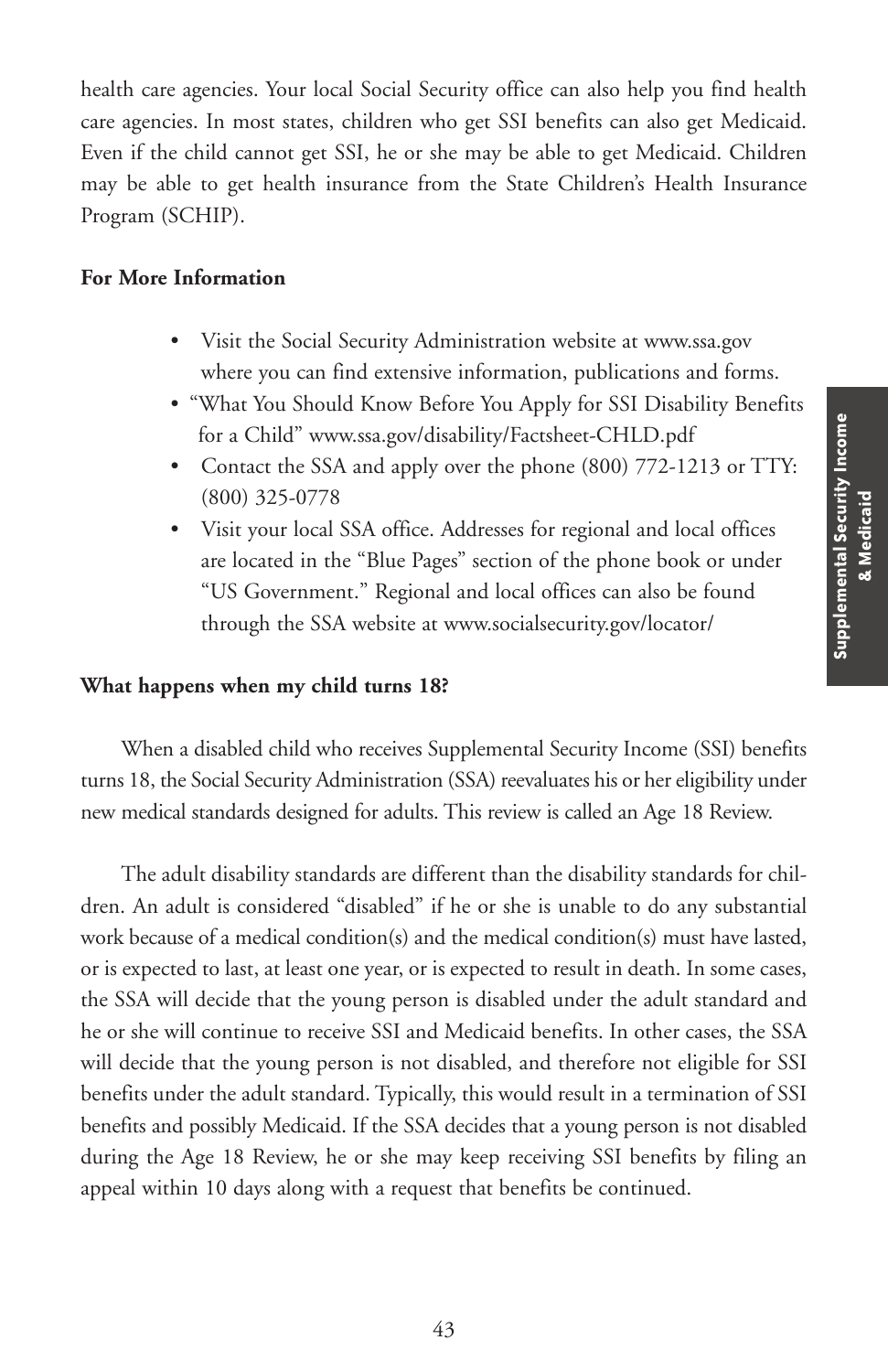health care agencies. Your local Social Security office can also help you find health care agencies. In most states, children who get SSI benefits can also get Medicaid. Even if the child cannot get SSI, he or she may be able to get Medicaid. Children may be able to get health insurance from the State Children's Health Insurance Program (SCHIP).

### **For More Information**

- Visit the Social Security Administration website at www.ssa.gov where you can find extensive information, publications and forms.
- "What You Should Know Before You Apply for SSI Disability Benefits for a Child" www.ssa.gov/disability/Factsheet-CHLD.pdf
- Contact the SSA and apply over the phone (800) 772-1213 or TTY: (800) 325-0778
- Visit your local SSA office. Addresses for regional and local offices are located in the "Blue Pages" section of the phone book or under "US Government." Regional and local offices can also be found through the SSA website at www.socialsecurity.gov/locator/

#### **What happens when my child turns 18?**

When a disabled child who receives Supplemental Security Income (SSI) benefits turns 18, the Social Security Administration (SSA) reevaluates his or hereligibility under new medical standards designed for adults. This review is called an Age 18 Review.

The adult disability standards are different than the disability standards for children. An adult is considered "disabled" if he or she is unable to do any substantial work because of a medical condition(s) and the medical condition(s) must have lasted, or is expected to last, at least one year, or is expected to result in death. In some cases, the SSA will decide that the young person is disabled under the adult standard and he or she will continue to receive SSI and Medicaid benefits. In other cases, the SSA will decide that the young person is not disabled, and therefore not eligible for SSI benefits under the adult standard. Typically, this would result in a termination of SSI benefits and possibly Medicaid. If the SSA decides that a young person is not disabled during the Age 18 Review, he or she may keep receiving SSI benefits by filing an appeal within 10 days along with a request that benefits be continued.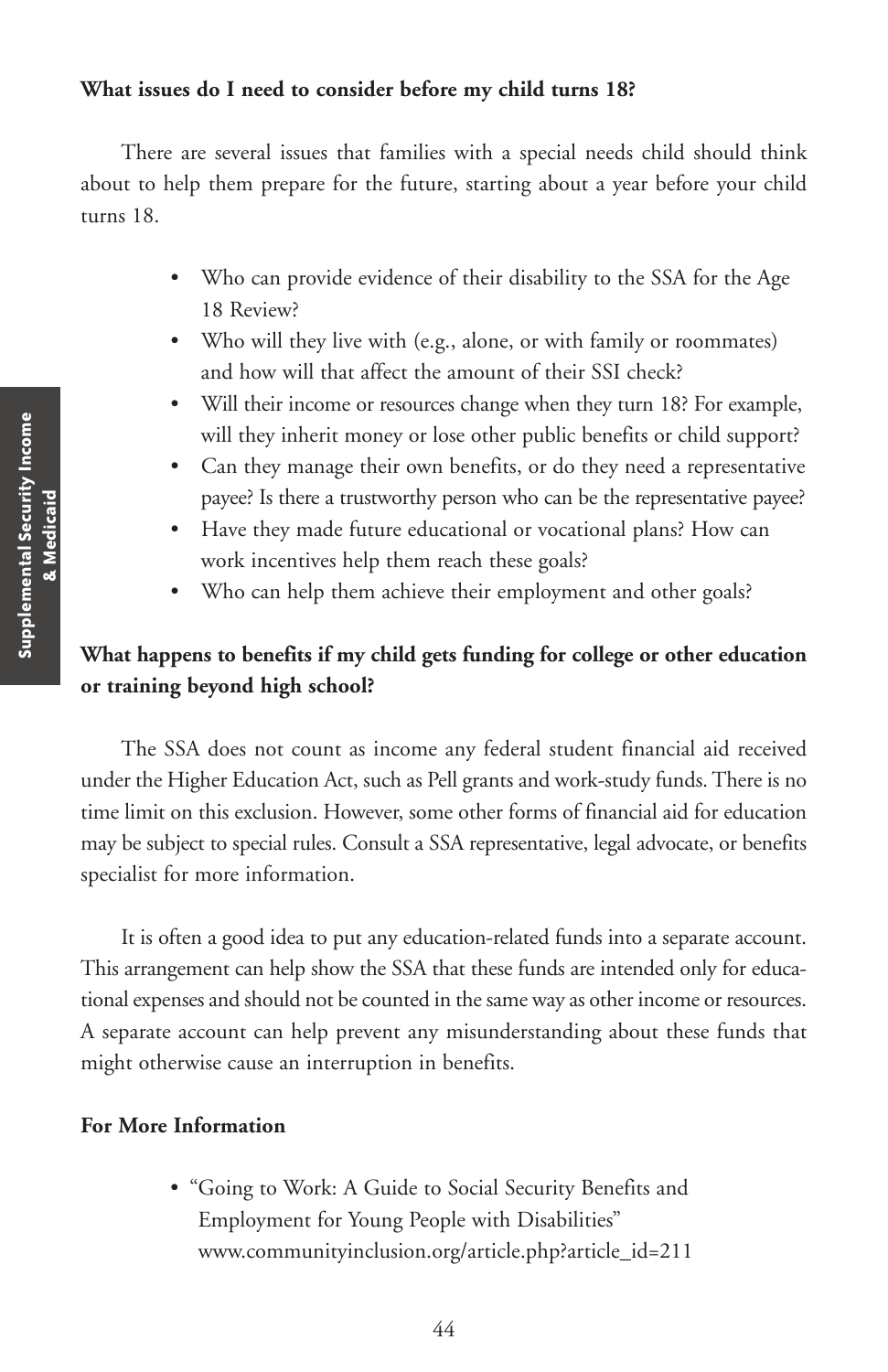### **What issues do I need to consider before my child turns 18?**

There are several issues that families with a special needs child should think about to help them prepare for the future, starting about a year before your child turns 18.

- Who can provide evidence of their disability to the SSA for the Age 18 Review?
- Who will they live with (e.g., alone, or with family or roommates) and how will that affect the amount of their SSI check?
- Will their income or resources change when they turn 18? For example, will they inherit money or lose other public benefits or child support?
- Can they manage their own benefits, or do they need a representative payee? Is there a trustworthy person who can be the representative payee?
- Have they made future educational or vocational plans? How can work incentives help them reach these goals?
- Who can help them achieve their employment and other goals?

# **What happens to benefits if my child gets funding for college or other education or training beyond high school?**

The SSA does not count as income any federal student financial aid received under the Higher Education Act, such as Pell grants and work-study funds. There is no time limit on this exclusion. However, some other forms of financial aid for education may be subject to special rules. Consult a SSA representative, legal advocate, or benefits specialist for more information.

It is often a good idea to put any education-related funds into a separate account. This arrangement can help show the SSA that these funds are intended only for educational expenses and should not be counted in the same way as other income or resources. A separate account can help prevent any misunderstanding about these funds that might otherwise cause an interruption in benefits.

### **For More Information**

• "Going to Work: A Guide to Social Security Benefits and Employment for Young People with Disabilities" www.communityinclusion.org/article.php?article\_id=211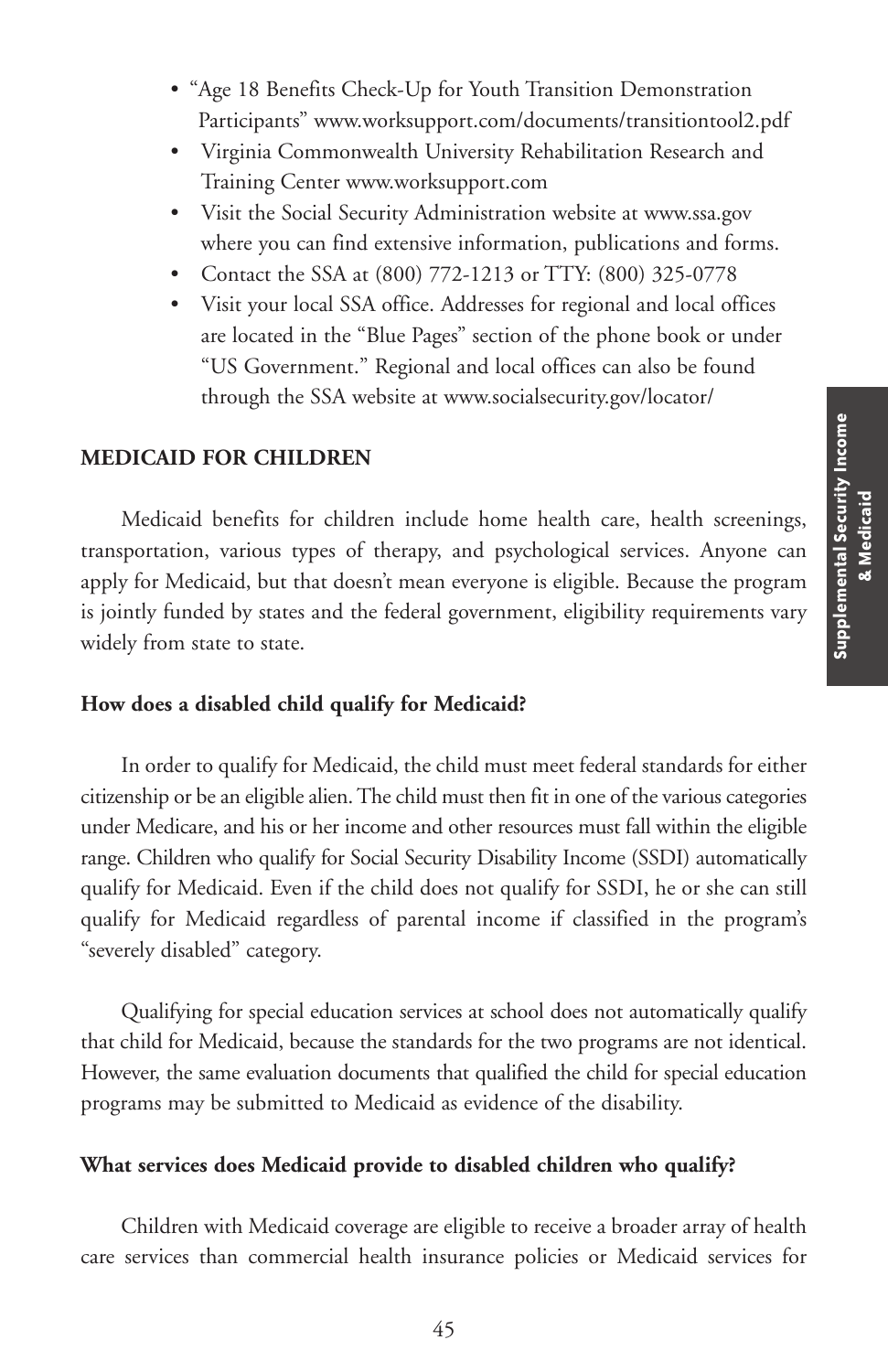- "Age 18 Benefits Check-Up for Youth Transition Demonstration Participants" www.worksupport.com/documents/transitiontool2.pdf
- Virginia Commonwealth University Rehabilitation Research and Training Center www.worksupport.com
- Visit the Social Security Administration website at www.ssa.gov where you can find extensive information, publications and forms.
- Contact the SSA at (800) 772-1213 or TTY: (800) 325-0778
- Visit your local SSA office. Addresses for regional and local offices are located in the "Blue Pages" section of the phone book or under "US Government." Regional and local offices can also be found through the SSA website at www.socialsecurity.gov/locator/

#### **MEDICAID FOR CHILDREN**

Medicaid benefits for children include home health care, health screenings, transportation, various types of therapy, and psychological services. Anyone can apply for Medicaid, but that doesn't mean everyone is eligible. Because the program is jointly funded by states and the federal government, eligibility requirements vary widely from state to state.

#### **How does a disabled child qualify for Medicaid?**

In order to qualify for Medicaid, the child must meet federal standards for either citizenship or be an eligible alien.The child must then fit in one of the various categories under Medicare, and his or her income and other resources must fall within the eligible range. Children who qualify for Social Security Disability Income (SSDI) automatically qualify for Medicaid. Even if the child does not qualify for SSDI, he or she can still qualify for Medicaid regardless of parental income if classified in the program's "severely disabled" category.

Qualifying for special education services at school does not automatically qualify that child for Medicaid, because the standards for the two programs are not identical. However, the same evaluation documents that qualified the child for special education programs may be submitted to Medicaid as evidence of the disability.

#### **What services does Medicaid provide to disabled children who qualify?**

Children with Medicaid coverage are eligible to receive a broader array of health care services than commercial health insurance policies or Medicaid services for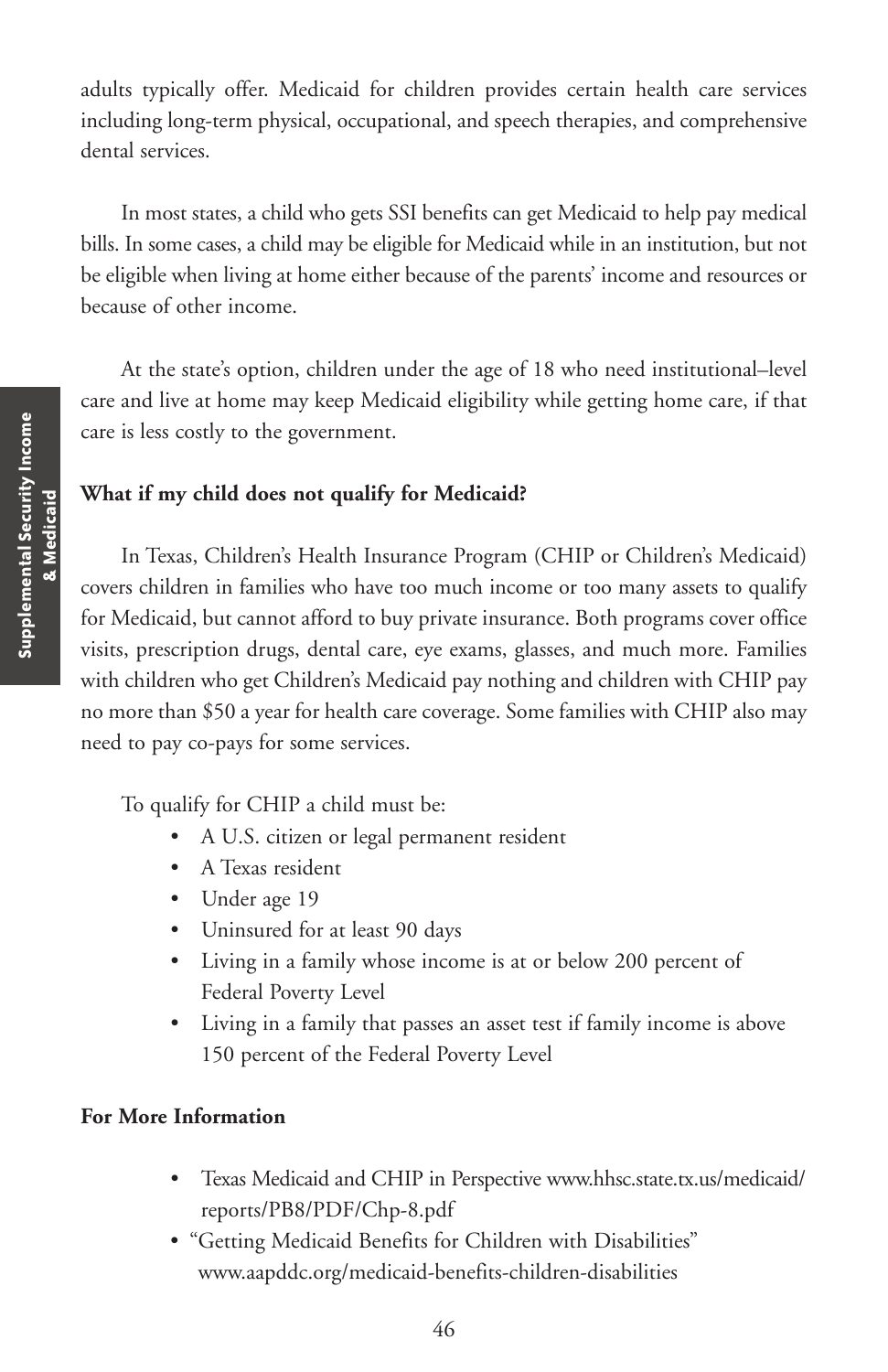adults typically offer. Medicaid for children provides certain health care services including long-term physical, occupational, and speech therapies, and comprehensive dental services.

In most states, a child who gets SSI benefits can get Medicaid to help pay medical bills. In some cases, a child may be eligible for Medicaid while in an institution, but not be eligible when living at home either because of the parents' income and resources or because of other income.

At the state's option, children under the age of 18 who need institutional–level care and live at home may keep Medicaid eligibility while getting home care, if that care is less costly to the government.

### **What if my child does not qualify for Medicaid?**

In Texas, Children's Health Insurance Program (CHIP or Children's Medicaid) covers children in families who have too much income or too many assets to qualify for Medicaid, but cannot afford to buy private insurance. Both programs cover office visits, prescription drugs, dental care, eye exams, glasses, and much more. Families with children who get Children's Medicaid pay nothing and children with CHIP pay no more than \$50 a year for health care coverage. Some families with CHIP also may need to pay co-pays for some services.

To qualify for CHIP a child must be:

- A U.S. citizen or legal permanent resident
- A Texas resident
- Under age 19
- Uninsured for at least 90 days
- Living in a family whose income is at or below 200 percent of Federal Poverty Level
- Living in a family that passes an asset test if family income is above 150 percent of the Federal Poverty Level

# **For More Information**

- Texas Medicaid and CHIP in Perspective www.hhsc.state.tx.us/medicaid/ reports/PB8/PDF/Chp-8.pdf
- "Getting Medicaid Benefits for Children with Disabilities" www.aapddc.org/medicaid-benefits-children-disabilities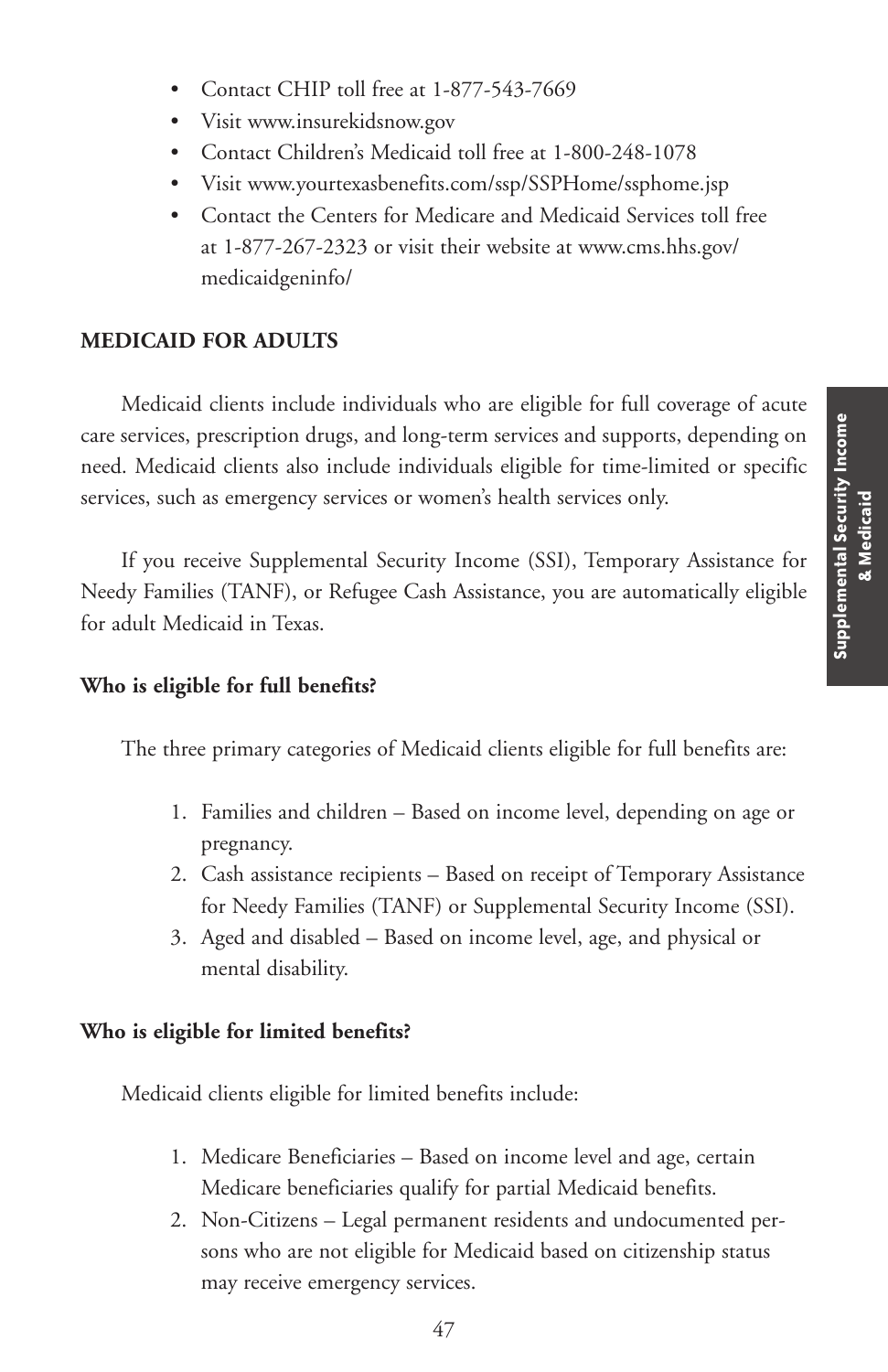- Contact CHIP toll free at 1-877-543-7669
- Visit www.insurekidsnow.gov
- Contact Children's Medicaid toll free at 1-800-248-1078
- Visit www.yourtexasbenefits.com/ssp/SSPHome/ssphome.jsp
- Contact the Centers for Medicare and Medicaid Services toll free at 1-877-267-2323 or visit their website at www.cms.hhs.gov/ medicaidgeninfo/

# **MEDICAID FOR ADULTS**

Medicaid clients include individuals who are eligible for full coverage of acute care services, prescription drugs, and long-term services and supports, depending on need. Medicaid clients also include individuals eligible for time-limited or specific services, such as emergency services or women's health services only.

If you receive Supplemental Security Income (SSI), Temporary Assistance for Needy Families (TANF), or Refugee Cash Assistance, you are automatically eligible for adult Medicaid in Texas.

### **Who is eligible for full benefits?**

The three primary categories of Medicaid clients eligible for full benefits are:

- 1. Families and children Based on income level, depending on age or pregnancy.
- 2. Cash assistance recipients Based on receipt of Temporary Assistance for Needy Families (TANF) or Supplemental Security Income (SSI).
- 3. Aged and disabled Based on income level, age, and physical or mental disability.

### **Who is eligible for limited benefits?**

Medicaid clients eligible for limited benefits include:

- 1. Medicare Beneficiaries Based on income level and age, certain Medicare beneficiaries qualify for partial Medicaid benefits.
- 2. Non-Citizens Legal permanent residents and undocumented persons who are not eligible for Medicaid based on citizenship status may receive emergency services.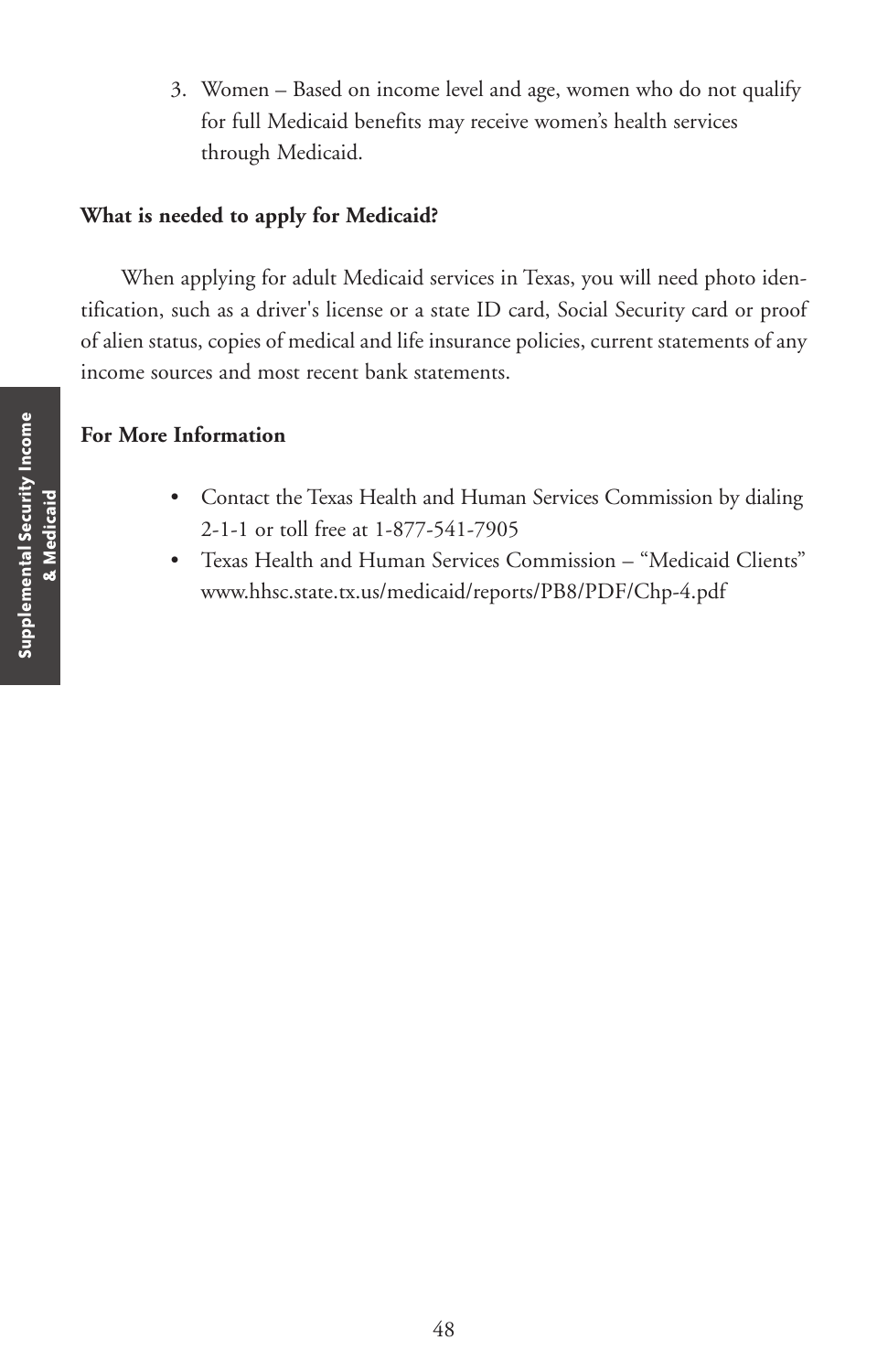3. Women – Based on income level and age, women who do not qualify for full Medicaid benefits may receive women's health services through Medicaid.

### **What is needed to apply for Medicaid?**

When applying for adult Medicaid services in Texas, you will need photo identification, such as a driver's license or a state ID card, Social Security card or proof of alien status, copies of medical and life insurance policies, current statements of any income sources and most recent bank statements.

## **For More Information**

- Contact the Texas Health and Human Services Commission by dialing 2-1-1 or toll free at 1-877-541-7905
- Texas Health and Human Services Commission "Medicaid Clients" www.hhsc.state.tx.us/medicaid/reports/PB8/PDF/Chp-4.pdf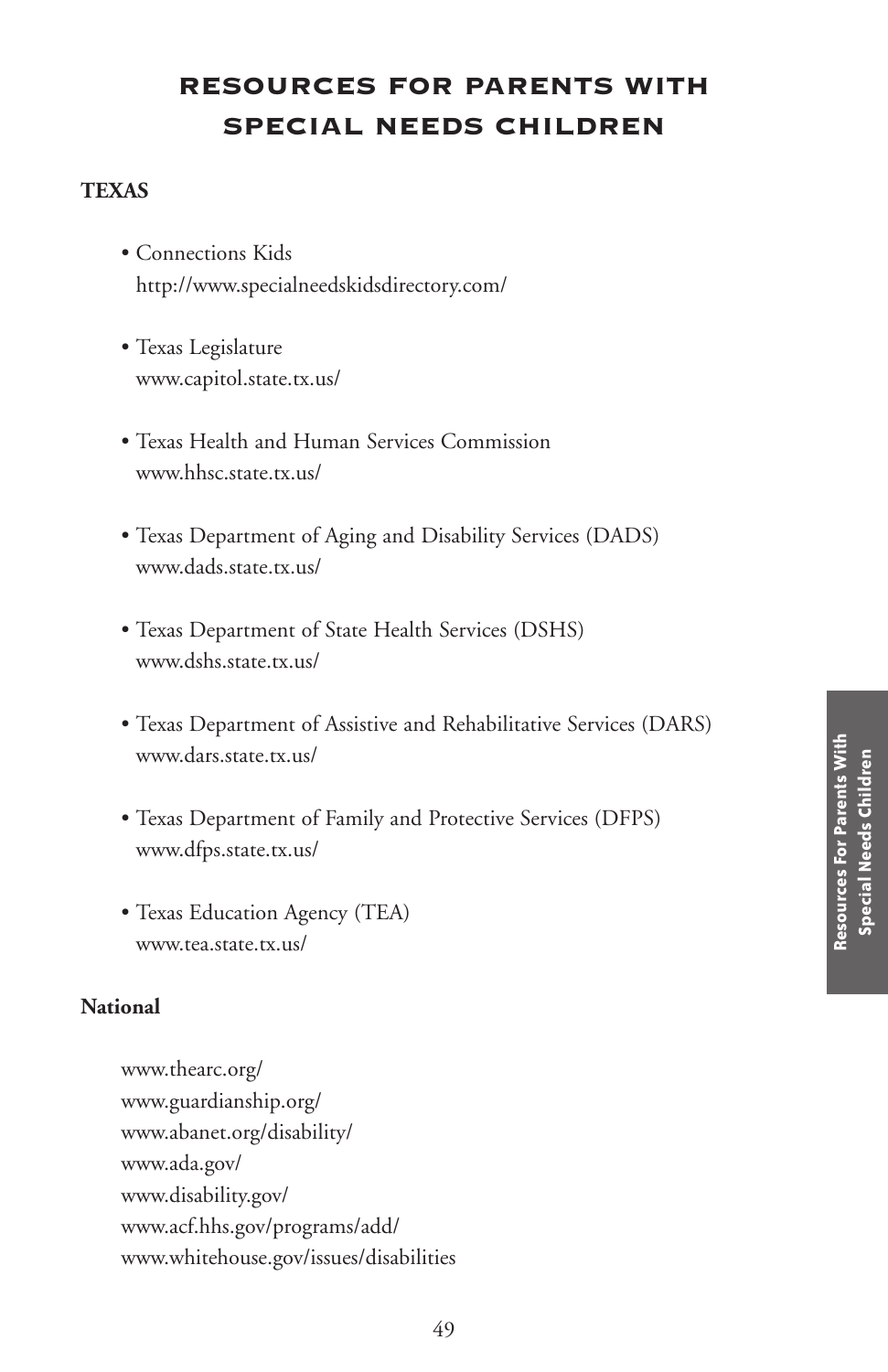# **RESOURCES FOR PARENTS WITH SPECIAL NEEDS CHILDREN**

### **TEXAS**

- Connections Kids http://www.specialneedskidsdirectory.com/
- Texas Legislature www.capitol.state.tx.us/
- Texas Health and Human Services Commission www.hhsc.state.tx.us/
- Texas Department of Aging and Disability Services (DADS) www.dads.state.tx.us/
- Texas Department of State Health Services (DSHS) www.dshs.state.tx.us/
- Texas Department of Assistive and Rehabilitative Services (DARS) www.dars.state.tx.us/
- Texas Department of Family and Protective Services (DFPS) www.dfps.state.tx.us/
- Texas Education Agency (TEA) www.tea.state.tx.us/

### **National**

www.thearc.org/ www.guardianship.org/ www.abanet.org/disability/ www.ada.gov/ www.disability.gov/ www.acf.hhs.gov/programs/add/ www.whitehouse.gov/issues/disabilities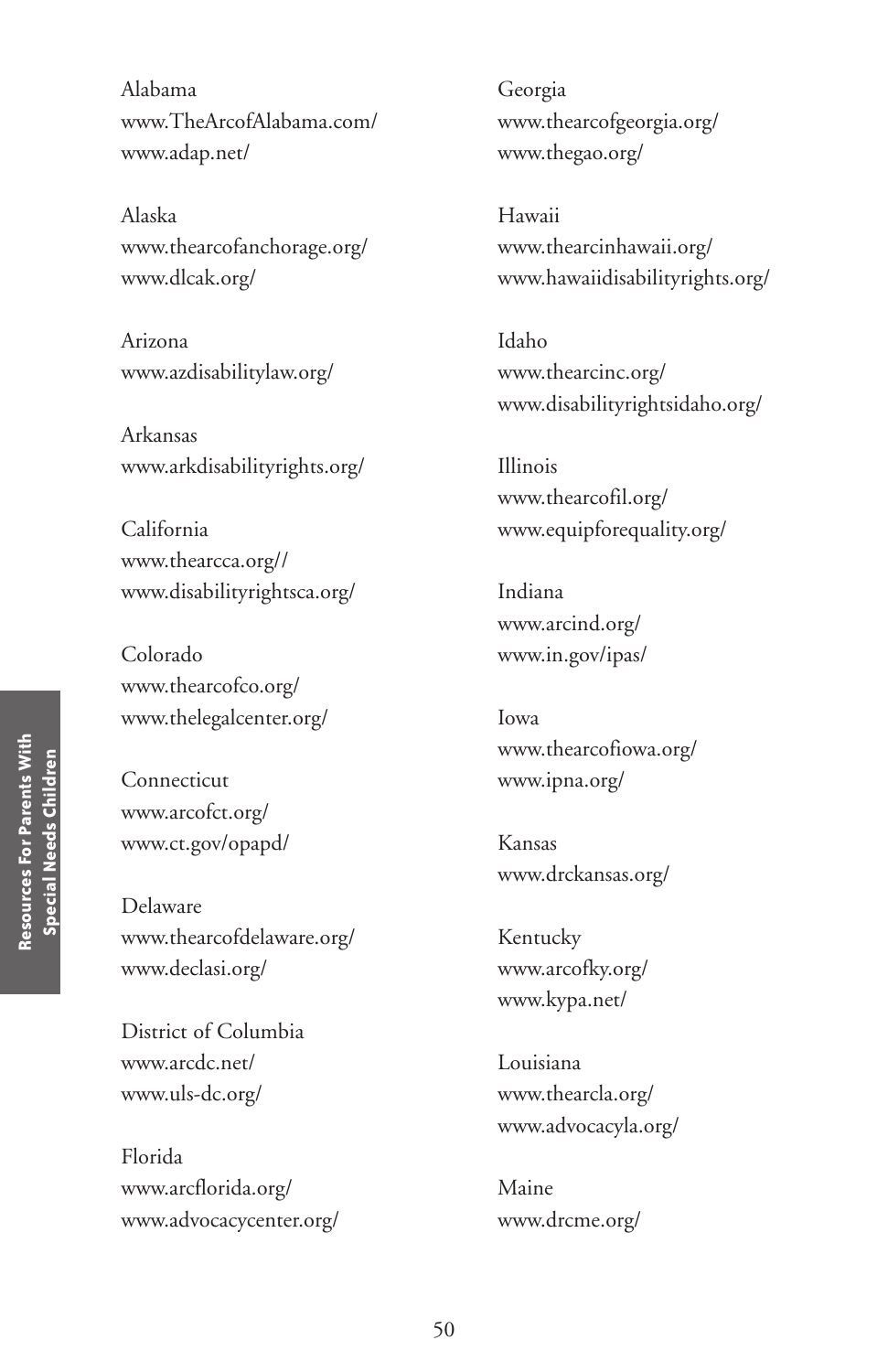Alabama www.TheArcofAlabama.com/ www.adap.net/

Alaska www.thearcofanchorage.org/ www.dlcak.org/

Arizona www.azdisabilitylaw.org/

Arkansas www.arkdisabilityrights.org/

California www.thearcca.org// www.disabilityrightsca.org/

Colorado www.thearcofco.org/ www.thelegalcenter.org/

Connecticut www.arcofct.org/ www.ct.gov/opapd/

Delaware www.thearcofdelaware.org/ www.declasi.org/

District of Columbia www.arcdc.net/ www.uls-dc.org/

Florida www.arcflorida.org/ www.advocacycenter.org/

Georgia www.thearcofgeorgia.org/ www.thegao.org/

Hawaii www.thearcinhawaii.org/ www.hawaiidisabilityrights.org/

Idaho www.thearcinc.org/ www.disabilityrightsidaho.org/

Illinois www.thearcofil.org/ www.equipforequality.org/

Indiana www.arcind.org/ www.in.gov/ipas/

Iowa www.thearcofiowa.org/ www.ipna.org/

Kansas www.drckansas.org/

Kentucky www.arcofky.org/ www.kypa.net/

Louisiana www.thearcla.org/ www.advocacyla.org/

Maine www.drcme.org/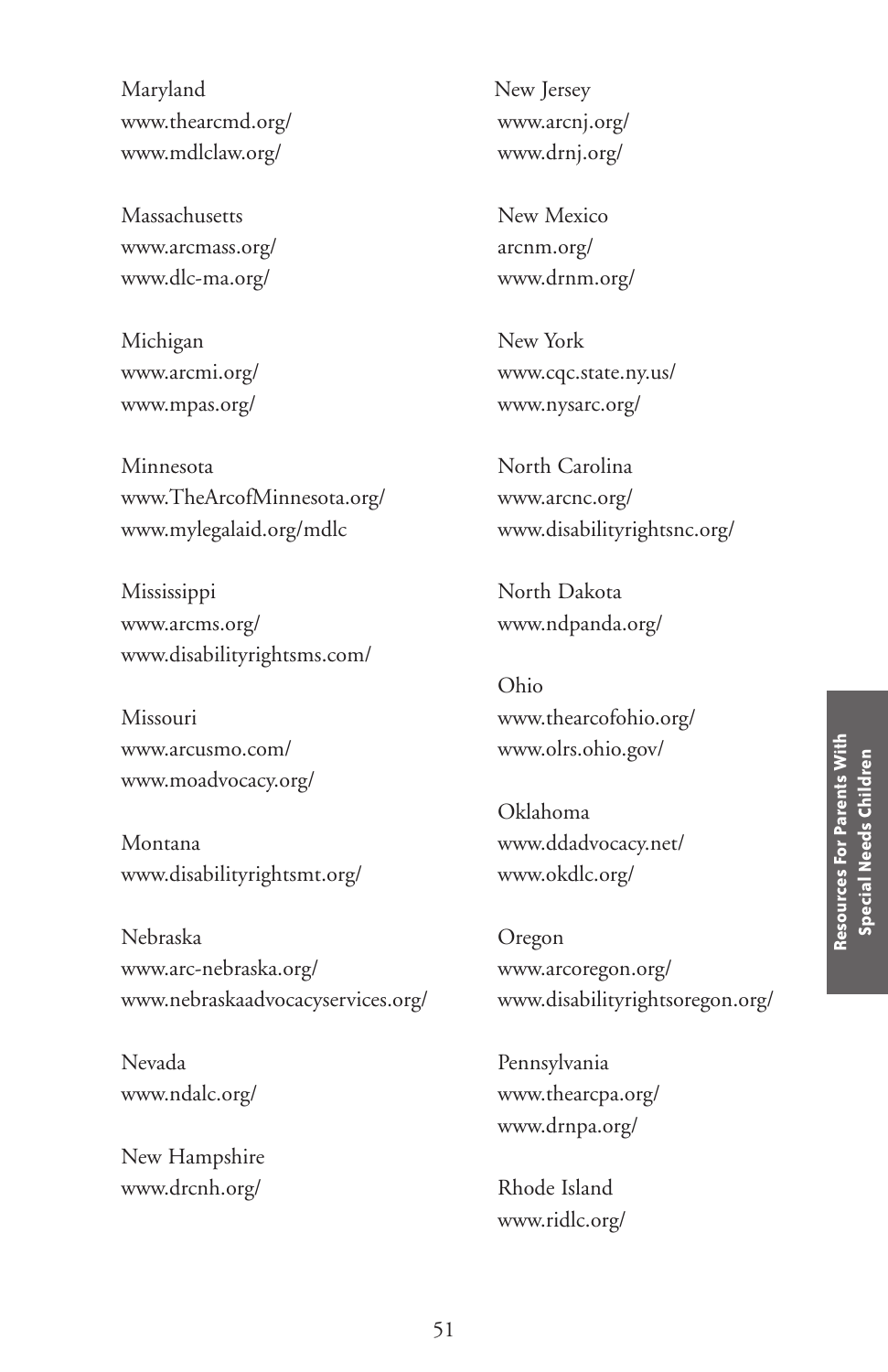Maryland www.thearcmd.org/ www.mdlclaw.org/

Massachusetts www.arcmass.org/ www.dlc-ma.org/

Michigan www.arcmi.org/ www.mpas.org/

Minnesota www.TheArcofMinnesota.org/ www.mylegalaid.org/mdlc

Mississippi www.arcms.org/ www.disabilityrightsms.com/

Missouri www.arcusmo.com/ www.moadvocacy.org/

Montana www.disabilityrightsmt.org/

Nebraska www.arc-nebraska.org/ www.nebraskaadvocacyservices.org/

Nevada www.ndalc.org/

New Hampshire www.drcnh.org/

New Jersey www.arcnj.org/ www.drnj.org/

New Mexico arcnm.org/ www.drnm.org/

New York www.cqc.state.ny.us/ www.nysarc.org/

North Carolina www.arcnc.org/ www.disabilityrightsnc.org/

North Dakota www.ndpanda.org/

Ohio www.thearcofohio.org/ www.olrs.ohio.gov/

Oklahoma www.ddadvocacy.net/ www.okdlc.org/

Oregon www.arcoregon.org/ www.disabilityrightsoregon.org/

Pennsylvania www.thearcpa.org/ www.drnpa.org/

Rhode Island www.ridlc.org/